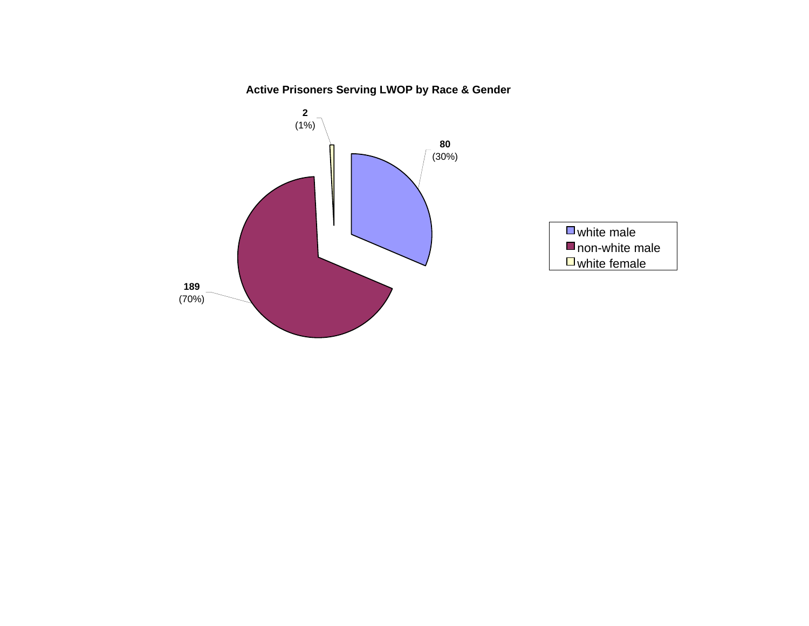**Active Prisoners Serving LWOP by Race & Gender**

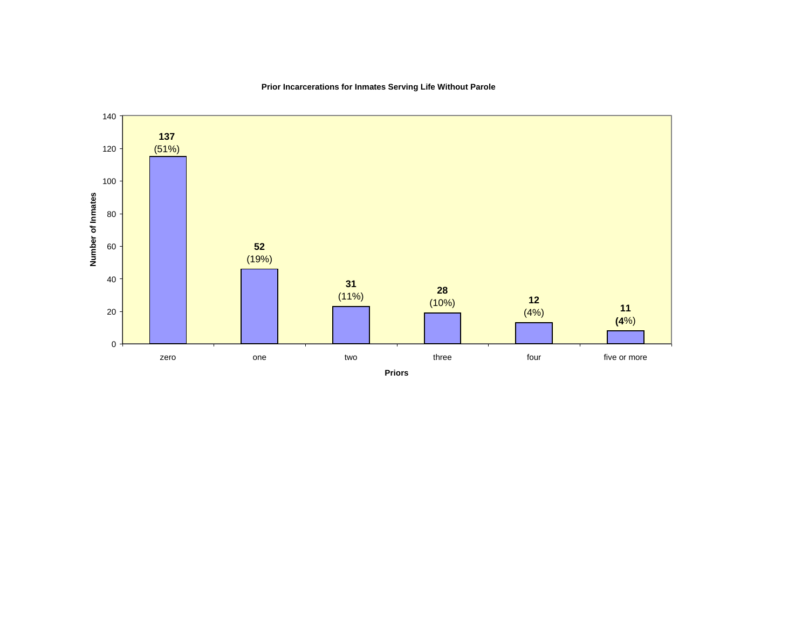

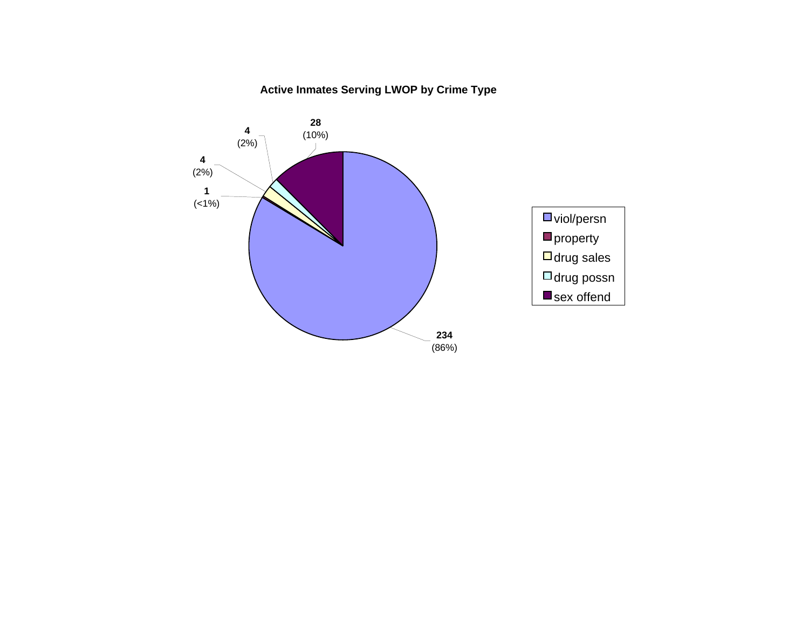# **Active Inmates Serving LWOP by Crime Type**

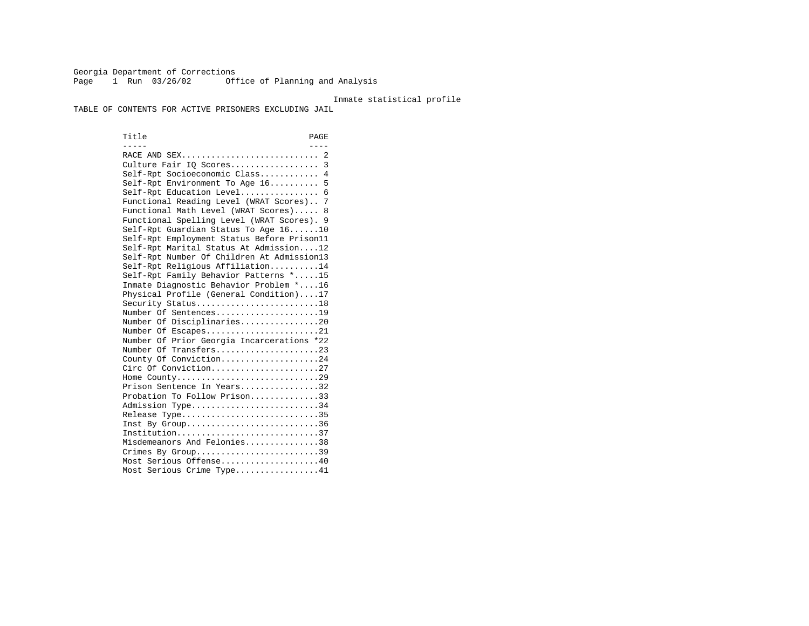Georgia Department of Corrections Page 1 Run 03/26/02 Office of Planning and Analysis

#### Inmate statistical profile

TABLE OF CONTENTS FOR ACTIVE PRISONERS EXCLUDING JAIL

Title PAGE ----- ---- RACE AND SEX............................ 2 Culture Fair IQ Scores.................. 3 Self-Rpt Socioeconomic Class............ 4 Self-Rpt Environment To Age 16.......... 5 Self-Rpt Education Level................ 6 Functional Reading Level (WRAT Scores).. 7 Functional Math Level (WRAT Scores)..... 8 Functional Spelling Level (WRAT Scores). 9 Self-Rpt Guardian Status To Age 16......10 Self-Rpt Employment Status Before Prison11 Self-Rpt Marital Status At Admission....12 Self-Rpt Number Of Children At Admission13 Self-Rpt Religious Affiliation..........14 Self-Rpt Family Behavior Patterns \*.....15 Inmate Diagnostic Behavior Problem \*....16 Physical Profile (General Condition)....17 Security Status...........................18 Number Of Sentences.....................19 Number Of Disciplinaries................20 Number Of Escapes........................21 Number Of Prior Georgia Incarcerations \*22 Number Of Transfers.....................23 County Of Conviction....................24 Circ Of Conviction......................27 Home County.............................29 Prison Sentence In Years.................32 Probation To Follow Prison..............33Admission Type............................34 Release Type..............................35 Inst By Group..............................36 Institution.............................37 Misdemeanors And Felonies...............38 Crimes By Group.............................39 Most Serious Offense....................40 Most Serious Crime Type.................41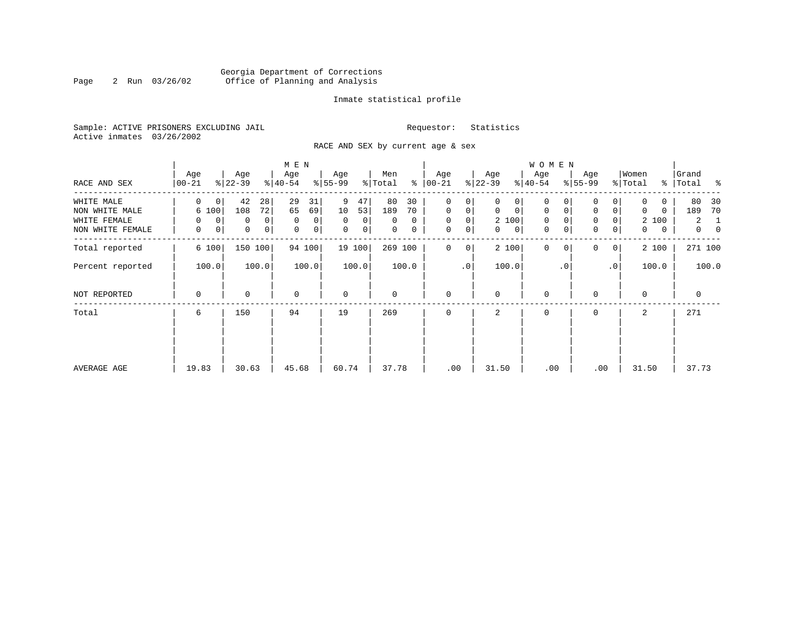## Georgia Department of Corrections<br>2 Run 03/26/02 Office of Planning and Analysis Page 2 Run 03/26/02 Office of Planning and Analysis

## Inmate statistical profile

Sample: ACTIVE PRISONERS EXCLUDING JAIL **Requestor:** Statistics Active inmates 03/26/2002

RACE AND SEX by current age & sex

|                  |                    |                             | M E N            |                      |                     |                  |                             | W O M E N                  |                            |                  |                          |
|------------------|--------------------|-----------------------------|------------------|----------------------|---------------------|------------------|-----------------------------|----------------------------|----------------------------|------------------|--------------------------|
| RACE AND SEX     | Age<br>$ 00 - 21 $ | Age<br>$ 22-39 $            | Age<br>$ 40-54 $ | Age<br>$ 55-99$      | Men<br>ႜ<br>% Total | Age<br>$ 00-21 $ | Age<br>$ 22-39 $            | Age<br>$ 40-54 $           | Age<br>$8 55-99$           | Women<br>% Total | Grand<br>%   Total<br>နွ |
| WHITE MALE       | 0<br>0             | 42<br>28                    | 29<br>31         | 9<br>47              | 80<br>30            | 0<br>0           | 0                           | 0                          |                            | 0                | 80<br>30                 |
| NON WHITE MALE   | 6 100              | 72<br>108                   | 65<br>69         | 10<br>53             | 189<br>70           | $\mathbf 0$<br>0 | $\mathbf 0$<br>$\mathbf{0}$ | 0<br>0                     | $\mathbf 0$<br>0           | 0<br>0           | 189<br>70                |
| WHITE FEMALE     | $\mathbf 0$<br>0   | $\Omega$<br>0               | $\mathbf 0$<br>0 | $\Omega$<br>$\Omega$ | $\Omega$<br>0       | $\mathbf 0$<br>0 | 2 100                       | $\mathbf{0}$               | $\mathbf 0$<br>0           | 2 100            | $\overline{2}$<br>1      |
| NON WHITE FEMALE | 0<br>0             | $\mathbf 0$<br>$\mathsf{O}$ | 0<br>0           | $\mathbf 0$<br> 0    | 0<br>0              | 0<br>$\mathbf 0$ | 0<br>$\mathbf{0}$           | $\mathbf 0$<br>$\mathbf 0$ | $\mathbf 0$<br>0           | 0<br>0           | $\mathbf{0}$<br>$\Omega$ |
| Total reported   | 6 100              | 150<br>100                  | 94 100           | 19 100               | 269 100             | $\mathbf 0$<br>0 | 2 100                       | $\mathbf{0}$               | $\Omega$<br>0 <sup>1</sup> | 2 100            | 271 100                  |
| Percent reported | 100.0              | 100.0                       | 100.0            | 100.0                | 100.0               | $\cdot$ 0        | 100.0                       | $\cdot$ 0                  | .0'                        | 100.0            | 100.0                    |
| NOT REPORTED     | 0                  | $\mathbf 0$                 | $\mathbf 0$      | $\mathbf 0$          | 0                   | $\mathbf 0$      | $\mathbf 0$                 | $\mathbf 0$                | $\Omega$                   | $\mathbf 0$      | 0                        |
| Total            | 6                  | 150                         | 94               | 19                   | 269                 | $\mathbf 0$      | 2                           | 0                          | 0                          | 2                | 271                      |
|                  |                    |                             |                  |                      |                     |                  |                             |                            |                            |                  |                          |
|                  |                    |                             |                  |                      |                     |                  |                             |                            |                            |                  |                          |
| AVERAGE AGE      | 19.83              | 30.63                       | 45.68            | 60.74                | 37.78               | .00              | 31.50                       | .00                        | .00                        | 31.50            | 37.73                    |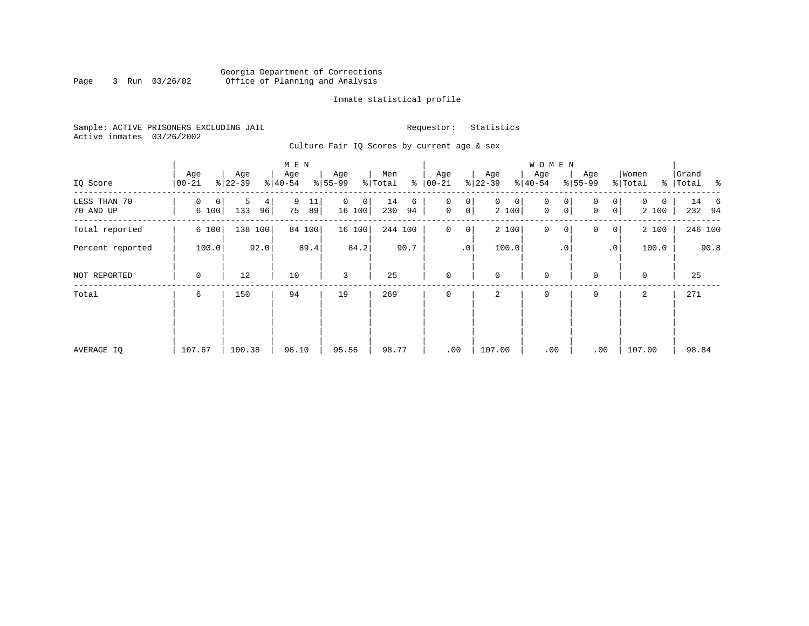## Georgia Department of Corrections Page 3 Run 03/26/02 Office of Planning and Analysis

## Inmate statistical profile

Sample: ACTIVE PRISONERS EXCLUDING JAIL **Requestor:** Statistics Active inmates 03/26/2002

Culture Fair IQ Scores by current age & sex

|                           |                  |                     | M E N               |                  |                      |                                       |                            | W O M E N                            |                                         |                                   |                                 |
|---------------------------|------------------|---------------------|---------------------|------------------|----------------------|---------------------------------------|----------------------------|--------------------------------------|-----------------------------------------|-----------------------------------|---------------------------------|
| IQ Score                  | Age<br>$00 - 21$ | Age<br>$ 22-39 $    | Age<br>$8 40-54$    | Age<br>$8 55-99$ | Men<br>ి<br>% Total  | Age<br>$ 00 - 21 $                    | Age<br>$ 22-39 $           | Age<br>$ 40-54 $                     | Age<br>$8 55-99$                        | Women<br>% Total<br>$\frac{8}{6}$ | Grand<br>Total<br>$\sim$ $\sim$ |
| LESS THAN 70<br>70 AND UP | 0<br>0<br>6 100  | 5<br>4<br>133<br>96 | 9<br>11<br>75<br>89 | 0<br>0<br>16 100 | 14<br>6<br>230<br>94 | 0<br>0<br>$\mathsf{O}$<br>$\mathbf 0$ | $\mathbf{0}$<br>0<br>2 100 | 0<br>0<br>$\mathbf 0$<br>$\mathbf 0$ | 0<br>0<br>0 <sup>1</sup><br>$\mathbf 0$ | $\Omega$<br>0<br>2 100            | 14 6<br>232 94                  |
| Total reported            | 6 100            | 138 100             | 84 100              | 16 100           | 244 100              | $\mathbf 0$<br>0                      | 2 100                      | $\mathbf 0$<br>0                     | 0<br>0 <sup>1</sup>                     | 2 100                             | 246 100                         |
| Percent reported          | 100.0            | 92.0                | 89.4                | 84.2             | 90.7                 | $\cdot$ 0                             | 100.0                      | $\cdot$ 0                            | $\cdot$ 0                               | 100.0                             | 90.8                            |
| NOT REPORTED              | 0                | 12                  | 10                  | 3                | 25                   | $\mathbf{0}$                          | $\mathbf 0$                | $\mathbf 0$                          | $\mathbf 0$                             | $\mathbf 0$                       | 25                              |
| Total                     | 6                | 150                 | 94                  | 19               | 269                  | $\mathbf 0$                           | 2                          | 0                                    | 0                                       | 2                                 | 271                             |
|                           |                  |                     |                     |                  |                      |                                       |                            |                                      |                                         |                                   |                                 |
|                           |                  |                     |                     |                  |                      |                                       |                            |                                      |                                         |                                   |                                 |
| AVERAGE IQ                | 107.67           | 100.38              | 96.10               | 95.56            | 98.77                | .00                                   | 107.00                     | .00                                  | .00                                     | 107.00                            | 98.84                           |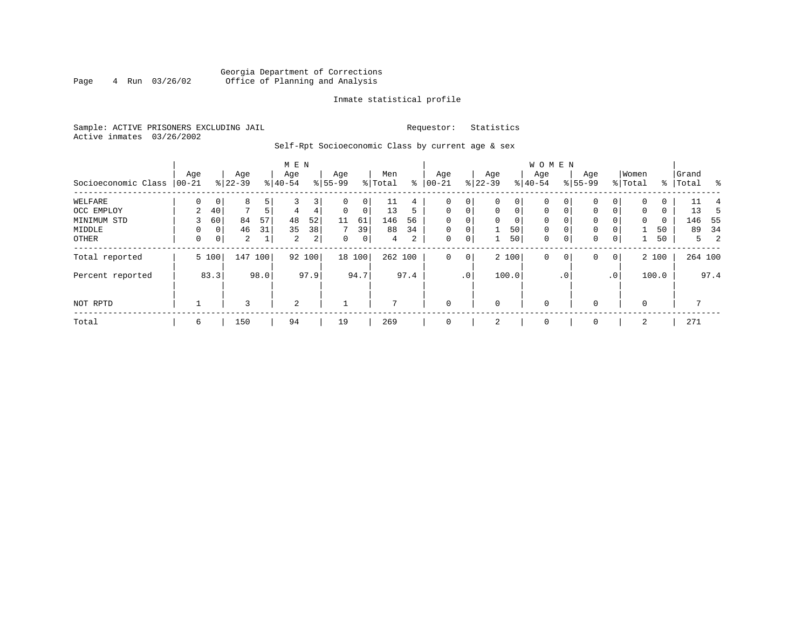## Georgia Department of Corrections<br>4 Run 03/26/02 Office of Planning and Analysis Page 4 Run 03/26/02 Office of Planning and Analysis

## Inmate statistical profile

Sample: ACTIVE PRISONERS EXCLUDING JAIL **Requestor:** Statistics Active inmates 03/26/2002

Self-Rpt Socioeconomic Class by current age & sex

|                     |          |       |           |                | M E N     |                |             |             |         |      |             |                 |              |             | <b>WOMEN</b> |             |             |                |              |       |           |         |
|---------------------|----------|-------|-----------|----------------|-----------|----------------|-------------|-------------|---------|------|-------------|-----------------|--------------|-------------|--------------|-------------|-------------|----------------|--------------|-------|-----------|---------|
|                     | Age      |       | Age       |                | Age       |                | Age         |             | Men     |      | Age         |                 | Age          |             | Age          |             | Age         |                | Women        |       | Grand     |         |
| Socioeconomic Class | $ 00-21$ |       | $ 22-39 $ |                | $8 40-54$ |                | $8 55-99$   |             | % Total | ႜ    | $00 - 21$   |                 | $ 22-39 $    |             | $ 40-54 $    |             | $8155 - 99$ |                | % Total      |       | %   Total | ႜ       |
| WELFARE             | $\Omega$ | 0     | 8         | 5              |           | 3              | 0           | 0           | 11      | 4    | 0           | 0               | 0            | 0           | $\mathbf 0$  | 0           | 0           | 0              | $\Omega$     | 0     |           |         |
| OCC EMPLOY          | 2        | 40    | 7         | 5 <sup>1</sup> | 4         | 4              | $\mathbf 0$ | $\mathbf 0$ | 13      | 5    | $\mathbf 0$ | $\mathbf 0$     | $\mathbf 0$  | $\mathbf 0$ | $\mathbf 0$  | $\mathbf 0$ | 0           | $\Omega$       | $\mathbf{0}$ | 0     | 13        | .5      |
| MINIMUM STD         |          | 60    | 84        | 57             | 48        | 52             | 11          | 61          | 146     | 56   |             | 0               | $\mathbf{0}$ | 0           | 0            | 0           | 0           |                | 0            | 0     | 146       | - 55    |
| MIDDLE              | 0        | 0     | 46        | 31             | 35        | 38             | 7           | 39          | 88      | 34   | $\mathbf 0$ | $\mathbf 0$     |              | 50          | $\mathbf 0$  | $\mathbf 0$ | 0           |                |              | 50    | 89        | 34      |
| OTHER               | 0        | 0     | 2         | $\mathbf{1}$   | 2         | 2 <sub>1</sub> | 0           | 0           | 4       | 2    | 0           | 0               |              | 50          | $\mathbf 0$  | 0           | 0           | $\mathbf 0$    |              | 50    |           | 2<br>5  |
| Total reported      |          | 5 100 | 147       | 100            |           | 92 100         |             | 18 100      | 262 100 |      | 0           | 0               |              | 2 100       | $\mathbf 0$  | 0           | 0           | $\overline{0}$ |              | 2 100 |           | 264 100 |
| Percent reported    |          | 83.3  |           | 98.0           |           | 97.9           |             | 94.7        |         | 97.4 |             | .0 <sup>1</sup> |              | 100.0       |              | . 0         |             | .0             |              | 100.0 |           | 97.4    |
| NOT RPTD            |          |       | 3         |                | 2         |                |             |             |         |      | $\mathbf 0$ |                 | 0            |             | $\mathbf 0$  |             | $\Omega$    |                | $\Omega$     |       |           |         |
| Total               | 6        |       | 150       |                | 94        |                | 19          |             | 269     |      | 0           |                 | 2            |             | 0            |             | 0           |                | 2            |       | 271       |         |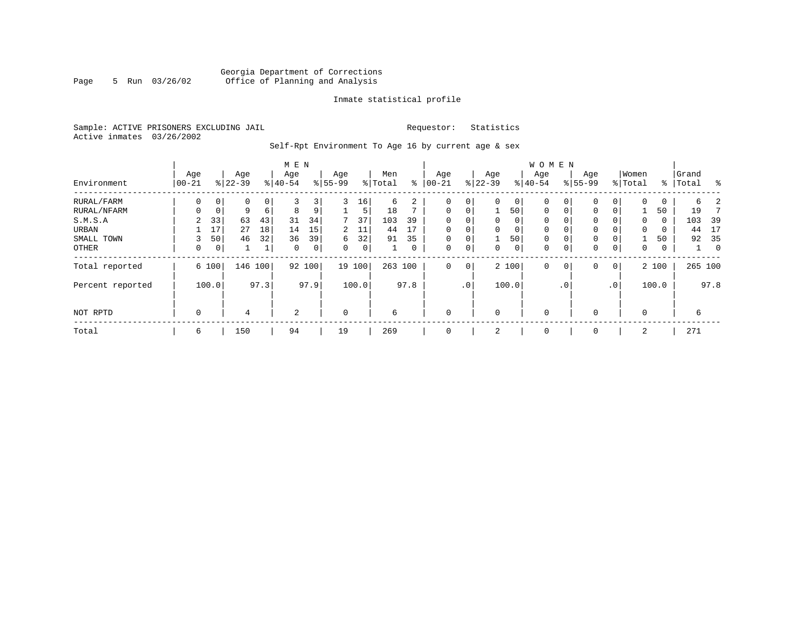## Georgia Department of Corrections Page 5 Run 03/26/02 Office of Planning and Analysis

## Inmate statistical profile

Sample: ACTIVE PRISONERS EXCLUDING JAIL **Requestor:** Statistics Active inmates 03/26/2002

Self-Rpt Environment To Age 16 by current age & sex

|                  |                   |       |                  |         | M E N            |        |                 |       |                |      |                   |             |                  |          | <b>WOMEN</b>     |           |                    |                 |                  |       |                |             |
|------------------|-------------------|-------|------------------|---------|------------------|--------|-----------------|-------|----------------|------|-------------------|-------------|------------------|----------|------------------|-----------|--------------------|-----------------|------------------|-------|----------------|-------------|
| Environment      | Age<br>$ 00 - 21$ |       | Age<br>$8 22-39$ |         | Age<br>$8 40-54$ |        | Age<br>$ 55-99$ |       | Men<br>% Total | နွ   | Age<br>$ 00 - 21$ |             | Age<br>$ 22-39 $ |          | Age<br>$8 40-54$ |           | Age<br>$8155 - 99$ |                 | Women<br>% Total | ႜၟ    | Grand<br>Total | ႜ           |
| RURAL/FARM       | 0                 | 0     | 0                | 0       | 3                | 3      | 3               | 16    | 6              | 2    | 0                 | 0           | $\Omega$         | 0        | 0                |           | 0                  | 0               | 0                | 0     | 6              |             |
| RURAL/NFARM      | $\Omega$          | 0     | 9                | 6       | 8                | 9      |                 | 5     | 18             | ⇁    | $\mathbf 0$       | 0           |                  | 50       | $\mathbf 0$      | $\Omega$  | $\Omega$           | 0               |                  | 50    | 19             |             |
| S.M.S.A          | 2                 | 33    | 63               | 43      | 31               | 34     | 7               | 37    | 103            | 39   | $\mathbf 0$       | 0           | 0                | 0        | 0                |           | 0                  | 0               | 0                | 0     | 103            | 39          |
| URBAN            |                   | 17    | 27               | 18      | 14               | 15     | 2               | 11    | 44             | 17   | $\mathbf 0$       | 0           | $\Omega$         | $\Omega$ | $\mathbf 0$      |           | 0                  | 0               | 0                | 0     | 44             | 17          |
| SMALL TOWN       | 3                 | 50    | 46               | 32      | 36               | 39     | 6               | 32    | 91             | 35   | $\mathbf 0$       | 0           |                  | 50       | 0                |           | 0                  | 0               |                  | 50    | 92             | 35          |
| OTHER            | 0                 | 0     |                  | 1       | $\mathbf 0$      | 0      | $\Omega$        | 0     |                | 0    | $\mathbf 0$       | 0           | 0                | 0        | 0                |           | 0                  | 0               | 0                | 0     |                | $\mathbf 0$ |
| Total reported   |                   | 6 100 |                  | 146 100 |                  | 92 100 | 19              | 100   | 263 100        |      | $\mathbf 0$       | $\mathbf 0$ |                  | 2 100    | $\mathbf 0$      | 0         | 0                  | 0               |                  | 2 100 |                | 265 100     |
| Percent reported |                   | 100.0 |                  | 97.3    |                  | 97.9   |                 | 100.0 |                | 97.8 |                   | $\cdot$ 0   |                  | 100.0    |                  | $\cdot$ 0 |                    | .0 <sup>1</sup> |                  | 100.0 |                | 97.8        |
| NOT RPTD         | $\mathbf 0$       |       | 4                |         | 2                |        | $\mathbf 0$     |       | 6              |      | $\mathbf 0$       |             | $\Omega$         |          | $\mathbf 0$      |           | $\Omega$           |                 | 0                |       | 6              |             |
| Total            | 6                 |       | 150              |         | 94               |        | 19              |       | 269            |      | $\mathbf 0$       |             | 2                |          | 0                |           | $\mathbf 0$        |                 | 2                |       | 271            |             |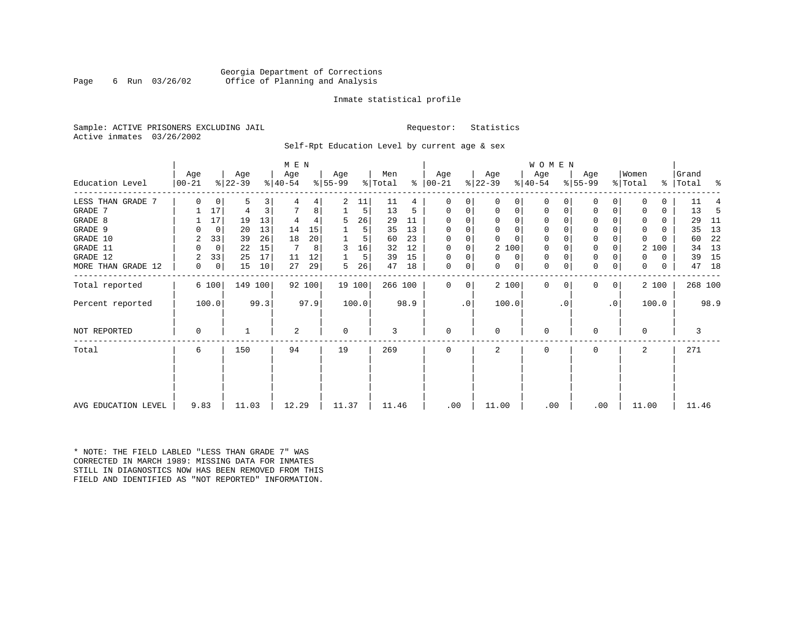## Georgia Department of Corrections Page 6 Run 03/26/02 Office of Planning and Analysis

## Inmate statistical profile

Sample: ACTIVE PRISONERS EXCLUDING JAIL **Requestor:** Statistics Active inmates 03/26/2002

Self-Rpt Education Level by current age & sex

|                     |                  |             | M E N            |         |                  |        |                 |        |                |      |                   |    | WOMEN            |          |                  |          |                  |           |                  |       |                    |         |
|---------------------|------------------|-------------|------------------|---------|------------------|--------|-----------------|--------|----------------|------|-------------------|----|------------------|----------|------------------|----------|------------------|-----------|------------------|-------|--------------------|---------|
| Education Level     | Age<br>$00 - 21$ |             | Age<br>$ 22-39 $ |         | Age<br>$ 40-54 $ |        | Aqe<br>$ 55-99$ |        | Men<br>% Total | ⊱    | Age<br>$ 00 - 21$ |    | Age<br>$ 22-39 $ |          | Age<br>$ 40-54 $ |          | Age<br>$8 55-99$ |           | Women<br>% Total |       | Grand<br>%   Total | ႜ       |
|                     |                  |             |                  |         |                  |        |                 |        |                |      |                   |    |                  |          |                  |          |                  |           |                  |       |                    |         |
| LESS THAN GRADE 7   | $\Omega$         | 0           | 5                | 3       |                  | 4      | 2               | 11     | 11             |      | O                 | 0  | $\Omega$         | 0        | $\mathbf 0$      | O        | 0                |           |                  |       | 11                 |         |
| GRADE 7             |                  | 17          | 4                | 3       |                  | 8      |                 | 5      | 13             | 5    | $\Omega$          | 0  | 0                | 0        | 0                | 0        | 0                |           |                  | 0     | 13                 | -5      |
| GRADE 8             |                  | 17          | 19               | 13      |                  |        | 5.              | 26     | 29             | 11   | $\Omega$          |    | $\Omega$         | 0        | $\Omega$         |          | $\Omega$         |           |                  | 0     | 29                 | -11     |
| GRADE 9             |                  | 0           | 20               | 13      | 14               | 15     |                 | 5      | 35             | 13   |                   |    | $\Omega$         | 0        | 0                | O        | 0                |           | <sup>0</sup>     | U     | 35                 | 13      |
| GRADE 10            | 2                | 33          | 39               | 26      | 18               | 20     |                 | 5      | 60             | 23   | $\Omega$          | 0  | $\Omega$         | $\Omega$ | $\mathbf 0$      | O        | 0                |           | $\Omega$         |       | 60                 | 22      |
| GRADE 11            | $\Omega$         | $\mathbf 0$ | 22               | 15      | 7                | 8      | 3               | 16     | 32             | 12   | $\Omega$          |    | 2 100            |          | 0                |          | $\Omega$         |           | 2                | 100   | 34                 | 13      |
| GRADE 12            |                  | 33          | 25               | 17      | 11               | 12     |                 | 5      | 39             | 15   | $\Omega$          | 0  | $\Omega$         | 0        | 0                | $\Omega$ | 0                |           | 0                | 0     | 39                 | 15      |
| MORE THAN GRADE 12  | 0                | 0           | 15               | 10      | 27               | 29     | 5               | 26     | 47             | 18   | 0                 | 0  | 0                | 0        | 0                | 0        | 0                | 0         | 0                | 0     | 47                 | 18      |
| Total reported      |                  | 6 100       |                  | 149 100 |                  | 92 100 |                 | 19 100 | 266 100        |      | $\Omega$          | 0  | 2 100            |          | $\mathbf{0}$     | $\Omega$ | 0                | 0         |                  | 2 100 |                    | 268 100 |
| Percent reported    |                  | 100.0       |                  | 99.3    |                  | 97.9   |                 | 100.0  |                | 98.9 |                   | .0 | 100.0            |          |                  | . 0      |                  | $\cdot$ 0 |                  | 100.0 |                    | 98.9    |
| NOT REPORTED        | $\Omega$         |             |                  |         | 2                |        | $\Omega$        |        | 3              |      | $\Omega$          |    | $\Omega$         |          | $\mathbf 0$      |          | $\Omega$         |           | $\Omega$         |       |                    | 3       |
| Total               | 6                |             | 150              |         | 94               |        | 19              |        | 269            |      | $\Omega$          |    | 2                |          | 0                |          | $\Omega$         |           | 2                |       | 271                |         |
|                     |                  |             |                  |         |                  |        |                 |        |                |      |                   |    |                  |          |                  |          |                  |           |                  |       |                    |         |
| AVG EDUCATION LEVEL | 9.83             |             | 11.03            |         | 12.29            |        | 11.37           |        | 11.46          |      | .00               |    | 11.00            |          | .00              |          | .00              |           | 11.00            |       | 11.46              |         |

\* NOTE: THE FIELD LABLED "LESS THAN GRADE 7" WAS CORRECTED IN MARCH 1989: MISSING DATA FOR INMATES STILL IN DIAGNOSTICS NOW HAS BEEN REMOVED FROM THIS FIELD AND IDENTIFIED AS "NOT REPORTED" INFORMATION.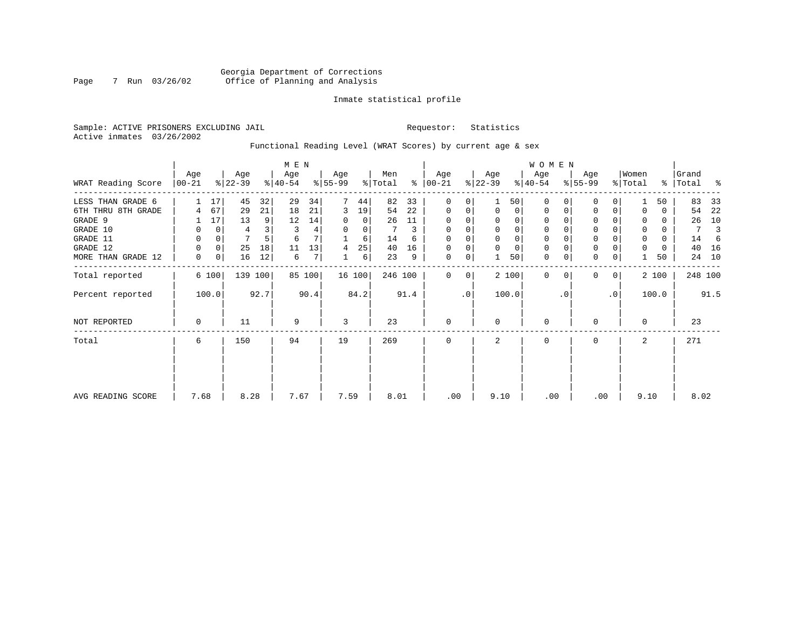## Georgia Department of Corrections Page 7 Run 03/26/02 Office of Planning and Analysis

## Inmate statistical profile

Sample: ACTIVE PRISONERS EXCLUDING JAIL **Requestor:** Statistics Active inmates 03/26/2002

Functional Reading Level (WRAT Scores) by current age & sex

|                    |                  |             |                  |      | M E N            |        |                 |                |                |      |                 |                |                  |              | W O M E N        |           |                  |           |                  |          |                |      |
|--------------------|------------------|-------------|------------------|------|------------------|--------|-----------------|----------------|----------------|------|-----------------|----------------|------------------|--------------|------------------|-----------|------------------|-----------|------------------|----------|----------------|------|
| WRAT Reading Score | Age<br>$ 00-21 $ |             | Age<br>$ 22-39 $ |      | Age<br>$ 40-54 $ |        | Age<br>$ 55-99$ |                | Men<br>% Total | ⊱    | Age<br>$ 00-21$ |                | Age<br>$ 22-39 $ |              | Age<br>$ 40-54 $ |           | Age<br>$8 55-99$ |           | Women<br>% Total | ွေ       | Grand<br>Total | ႜ    |
| LESS THAN GRADE 6  |                  | 17          | 45               | 32   | 29               | 34     |                 | 44             | 82             | 33   | $\Omega$        | $\Omega$       |                  | 50           | $\Omega$         |           | 0                | $\Omega$  |                  | 50       | 83             | 33   |
| 6TH THRU 8TH GRADE | 4                | 67          | 29               | 21   | 18               | 21     | 3               | 19             | 54             | 22   | 0               | 0              | 0                | $\circ$      | 0                | 0         | 0                | 0         |                  | 0        | 54             | 22   |
| GRADE 9            |                  | 17          | 13               | 9    | 12               | 14     | $\Omega$        | $\overline{0}$ | 26             | 11   | 0               | 0              |                  | 0            | 0                |           | 0                |           |                  | $\Omega$ | 26             | 10   |
| GRADE 10           | 0                | 0           | 4                |      | 3                | 4      | $\Omega$        | $\overline{0}$ | 7              | 3    | 0               | 0              |                  | $\mathbf{0}$ | 0                |           | $\mathbf 0$      |           | 0                | 0        | 7              | 3    |
| GRADE 11           | 0                | $\mathbf 0$ | 7                |      | 6                |        |                 | 6              | 14             | 6    | $\Omega$        |                |                  | 0            | 0                |           | $\mathbf 0$      |           | $\Omega$         | $\Omega$ | 14             |      |
| GRADE 12           | 0                | 0           | 25               | 18   | 11               | 13     | 4               | 25             | 40             | 16   | $\Omega$        | 0              | $\Omega$         | $\mathbf 0$  | 0                |           | $\mathbf 0$      |           | $\Omega$         | $\Omega$ | 40             | 16   |
| MORE THAN GRADE 12 | 0                | 0           | 16               | 12   | 6                | 7      |                 | 6              | 23             | 9    | 0               | 0              |                  | 50           | $\mathbf 0$      | 0         | $\mathbf 0$      | 0         |                  | 50       | 24             | 10   |
| Total reported     |                  | 6 100       | 139 100          |      |                  | 85 100 |                 | 16 100         | 246 100        |      | $\mathbf{0}$    | $\overline{0}$ |                  | 2 100        | $\Omega$         | $\Omega$  | $\mathbf{0}$     | 0         |                  | 2 100    | 248 100        |      |
| Percent reported   |                  | 100.0       |                  | 92.7 |                  | 90.4   |                 | 84.2           |                | 91.4 |                 | $\cdot$ 0      |                  | 100.0        |                  | $\cdot$ 0 |                  | $\cdot$ 0 |                  | 100.0    |                | 91.5 |
| NOT REPORTED       | 0                |             | 11               |      | 9                |        | 3               |                | 23             |      | 0               |                | $\Omega$         |              | 0                |           | 0                |           | $\Omega$         |          | 23             |      |
| Total              | 6                |             | 150              |      | 94               |        | 19              |                | 269            |      | $\Omega$        |                | 2                |              | 0                |           | 0                |           | 2                |          | 271            |      |
|                    |                  |             |                  |      |                  |        |                 |                |                |      |                 |                |                  |              |                  |           |                  |           |                  |          |                |      |
| AVG READING SCORE  | 7.68             |             | 8.28             |      | 7.67             |        | 7.59            |                | 8.01           |      | .00             |                | 9.10             |              | .00              |           | .00              |           | 9.10             |          | 8.02           |      |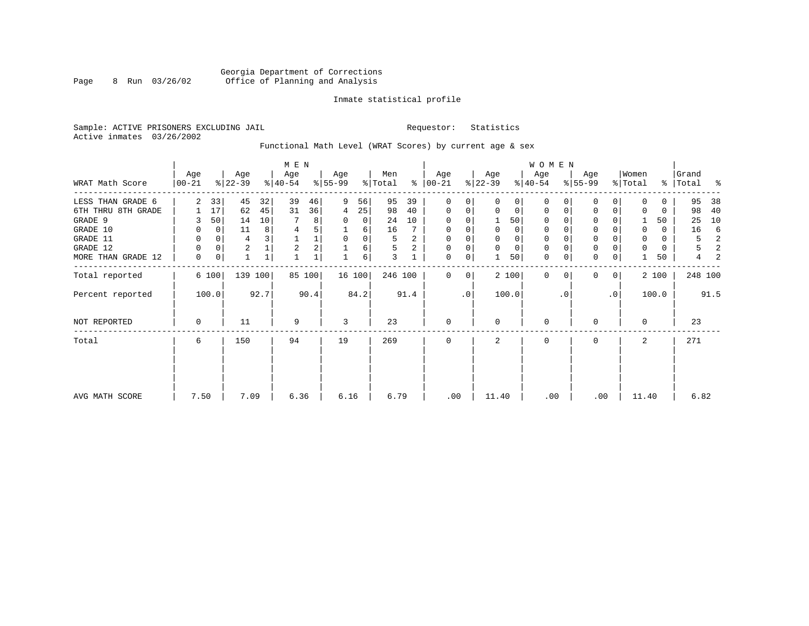## Georgia Department of Corrections Page 8 Run 03/26/02 Office of Planning and Analysis

## Inmate statistical profile

Sample: ACTIVE PRISONERS EXCLUDING JAIL **Requestor:** Statistics Active inmates 03/26/2002

## Functional Math Level (WRAT Scores) by current age & sex

|                     |                 |       |                  |         |                  |        |                  |        |                            |      |                 |             |                  |       | W O M E N        |          |                  |           |                  |       |                    |               |
|---------------------|-----------------|-------|------------------|---------|------------------|--------|------------------|--------|----------------------------|------|-----------------|-------------|------------------|-------|------------------|----------|------------------|-----------|------------------|-------|--------------------|---------------|
| WRAT Math Score     | Age<br>$ 00-21$ |       | Age<br>$ 22-39 $ |         | Age<br>$8 40-54$ |        | Age<br>$ 55-99 $ |        | Men<br>$\frac{1}{2}$ Total | ွေ   | Age<br>$ 00-21$ |             | Age<br>$ 22-39 $ |       | Age<br>$ 40-54 $ |          | Age<br>$ 55-99 $ |           | Women<br>% Total |       | Grand<br>%   Total | $\frac{1}{6}$ |
| LESS THAN GRADE 6   | 2               | 33    | 45               | 32      | 39               | 46     | 9                | 56     | 95                         | 39   | $\mathbf{0}$    | $\Omega$    | $\Omega$         | 0     | $\mathbf 0$      | $\Omega$ | $\Omega$         | $\Omega$  | $\Omega$         | 0     | 95                 | 38            |
| 6TH THRU 8TH GRADE  |                 | 17    | 62               | 45      | 31               | 36     | 4                | 25     | 98                         | 40   | 0               | 0           | $\mathbf 0$      | 0     | 0                | 0        | 0                | 0         |                  | 0     | 98                 | 40            |
| GRADE 9             |                 | 50    | 14               | 10      |                  | 8      | 0                | 0      | 24                         | 10   | 0               |             |                  | 50    | 0                |          | $\Omega$         |           |                  | 50    | 25                 | 10            |
| GRADE 10            | 0               | 0     | 11               | 8       | 4                |        |                  | 6      | 16                         |      | 0               |             | 0                | 0     | 0                |          | 0                |           | $\mathbf 0$      | 0     | 16                 | 6             |
| GRADE 11            | 0               |       | 4                |         |                  | 1      | $\Omega$         | 0      | 5                          | 2    | 0               |             |                  | 0     | 0                |          | $\mathbf 0$      |           |                  | 0     | 5                  | 2             |
| GRADE 12            | $\Omega$        | 0     | 2                |         | 2                | 2      |                  | 6      | 5                          | 2    | 0               | 0           | 0                | 0     | 0                | $\Omega$ | 0                |           | $\Omega$         | 0     | 5                  | 2             |
| MORE THAN GRADE 12  | 0               | 0     |                  | 1       |                  |        |                  | 6      | 3                          |      | $\mathbf 0$     | 0           |                  | 50    | $\mathbf 0$      | 0        | $\mathbf 0$      | 0         |                  | 50    | 4                  | 2             |
| Total reported      |                 | 6 100 |                  | 139 100 |                  | 85 100 |                  | 16 100 | 246 100                    |      | $\mathbf{0}$    | $\mathbf 0$ |                  | 2 100 | $\mathbf 0$      | $\Omega$ | $\Omega$         | 0         |                  | 2 100 | 248 100            |               |
| Percent reported    |                 | 100.0 |                  | 92.7    |                  | 90.4   |                  | 84.2   |                            | 91.4 |                 | $\cdot$ 0   |                  | 100.0 |                  | . 0      |                  | $\cdot$ 0 |                  | 100.0 |                    | 91.5          |
| <b>NOT REPORTED</b> | 0               |       | 11               |         | 9                |        | 3                |        | 23                         |      | $\mathbf 0$     |             | $\Omega$         |       | 0                |          | 0                |           | $\Omega$         |       | 23                 |               |
| Total               | 6               |       | 150              |         | 94               |        | 19               |        | 269                        |      | $\mathbf 0$     |             | 2                |       | 0                |          | 0                |           | 2                |       | 271                |               |
|                     |                 |       |                  |         |                  |        |                  |        |                            |      |                 |             |                  |       |                  |          |                  |           |                  |       |                    |               |
| AVG MATH SCORE      | 7.50            |       | 7.09             |         | 6.36             |        | 6.16             |        | 6.79                       |      | .00             |             | 11.40            |       | .00              |          |                  | .00       | 11.40            |       | 6.82               |               |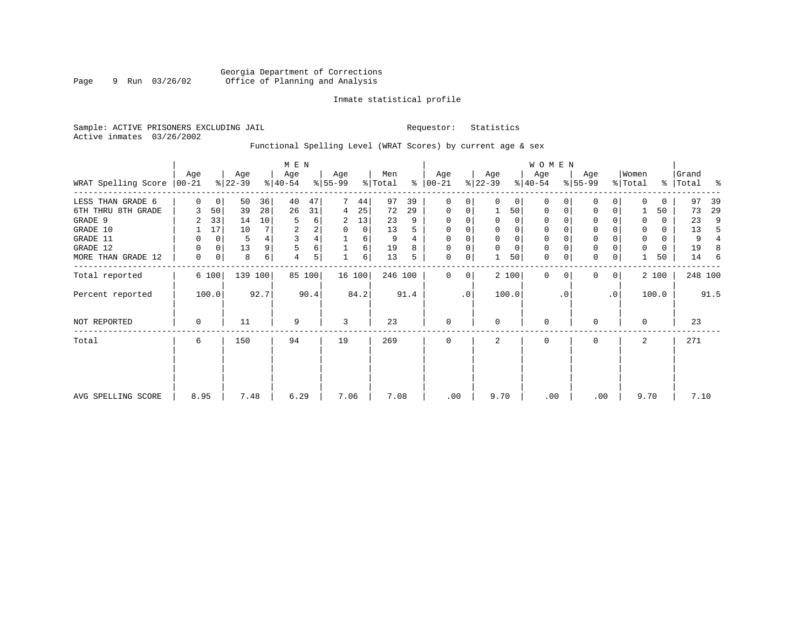## Inmate statistical profile

Sample: ACTIVE PRISONERS EXCLUDING JAIL **Requestor:** Statistics Active inmates 03/26/2002

## Functional Spelling Level (WRAT Scores) by current age & sex

|                     | M E N            |       |                  |      |                  |        |                  |          |                |      | WOMEN            |           |                  |             |                  |          |                  |                 |                  |       |                    |                |
|---------------------|------------------|-------|------------------|------|------------------|--------|------------------|----------|----------------|------|------------------|-----------|------------------|-------------|------------------|----------|------------------|-----------------|------------------|-------|--------------------|----------------|
| WRAT Spelling Score | Age<br>$00 - 21$ |       | Age<br>$ 22-39 $ |      | Age<br>$ 40-54 $ |        | Age<br>$ 55-99 $ |          | Men<br>% Total | ⊱    | Age<br>$ 00-21 $ |           | Age<br>$ 22-39 $ |             | Age<br>$ 40-54 $ |          | Age<br>$8 55-99$ |                 | Women<br>% Total |       | Grand<br>%   Total | နွ             |
|                     |                  |       |                  |      |                  |        |                  |          |                |      |                  |           |                  |             |                  |          |                  |                 |                  |       |                    |                |
| LESS THAN GRADE 6   | $\Omega$         | 0     | 50               | 36   | 40               | 47     | 7                | 44       | 97             | 39   | 0                | 0         | $\Omega$         | 0           | $\Omega$         |          | $\Omega$         |                 |                  | 0     | 97                 | 39             |
| 6TH THRU 8TH GRADE  | 3                | 50    | 39               | 28   | 26               | 31     | 4                | 25       | 72             | 29   | $\mathbf 0$      | 0         |                  | 50          | 0                | $\Omega$ | $\Omega$         |                 |                  | 50    | 73                 | 29             |
| GRADE 9             | 2                | 33    | 14               | 10   | 5                | 6      | 2                | 13       | 23             | 9    | 0                | 0         | $\Omega$         | 0           | 0                |          | 0                |                 | $\Omega$         | 0     | 23                 | 9              |
| GRADE 10            |                  | 17    | 10               |      | 2                | 2      | $\Omega$         | $\Omega$ | 13             | 5    | $\mathbf 0$      | $\Omega$  | $\Omega$         | $\mathbf 0$ | $\mathbf 0$      |          | $\mathbf 0$      |                 | $\Omega$         | 0     | 13                 | 5              |
| GRADE 11            | 0                | 0     | 5                |      | 3                | 4      |                  | 6        | 9              | 4    | $\mathbf{0}$     | $\Omega$  |                  | $\mathbf 0$ | $\mathbf 0$      |          | $\mathbf 0$      |                 | $\mathbf 0$      | 0     | 9                  | $\overline{4}$ |
| GRADE 12            | 0                | 0     | 13               | 9    | 5                | 6      |                  | 6        | 19             | 8    | $\mathbf 0$      | 0         | $\mathbf 0$      | $\mathbf 0$ | $\mathbf 0$      | $\Omega$ | $\mathsf 0$      |                 | $\Omega$         | 0     | 19                 | 8              |
| MORE THAN GRADE 12  | 0                | 0     | 8                | 6    | 4                | 5      |                  | 6        | 13             | 5    | $\mathbf 0$      | 0         |                  | 50          | $\mathbf 0$      | 0        | $\mathbf 0$      | 0               |                  | 50    | 14                 | -6             |
| Total reported      |                  | 6 100 | 139 100          |      |                  | 85 100 | 16 100           |          | 246 100        |      | $\Omega$         | 0         |                  | 2 100       | $\Omega$         | $\Omega$ | $\Omega$         | $\overline{0}$  |                  | 2 100 | 248 100            |                |
| Percent reported    |                  | 100.0 |                  | 92.7 |                  | 90.4   |                  | 84.2     |                | 91.4 |                  | $\cdot$ 0 |                  | 100.0       |                  | . 0      |                  | .0 <sup>1</sup> |                  | 100.0 |                    | 91.5           |
| NOT REPORTED        | $\mathbf 0$      |       | 11               |      | 9                |        | 3                |          | 23             |      | $\mathbf 0$      |           | $\Omega$         |             | $\mathbf 0$      |          | $\Omega$         |                 | $\Omega$         |       | 23                 |                |
| Total               | 6                |       | 150              |      | 94               |        | 19               |          | 269            |      | $\mathbf 0$      |           | 2                |             | $\mathbf 0$      |          | $\Omega$         |                 | 2                |       | 271                |                |
|                     |                  |       |                  |      |                  |        |                  |          |                |      |                  |           |                  |             |                  |          |                  |                 |                  |       |                    |                |
|                     | 8.95             |       | 7.48             |      | 6.29             |        | 7.06             |          | 7.08           |      | .00              |           | 9.70             |             | .00              |          | .00              |                 | 9.70             |       | 7.10               |                |
| AVG SPELLING SCORE  |                  |       |                  |      |                  |        |                  |          |                |      |                  |           |                  |             |                  |          |                  |                 |                  |       |                    |                |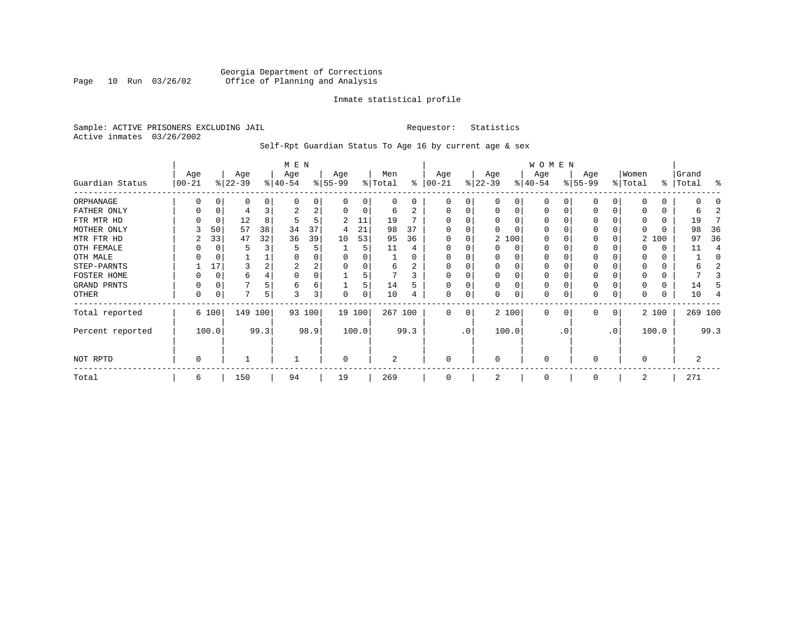## Georgia Department of Corrections Page 10 Run 03/26/02 Office of Planning and Analysis

## Inmate statistical profile

Sample: ACTIVE PRISONERS EXCLUDING JAIL **Requestor:** Statistics Active inmates 03/26/2002

Self-Rpt Guardian Status To Age 16 by current age & sex

|                  | M E N            |          |                  |      |                  |        |                 |          |                |      |                 |                 |                 |          | WOMEN            |          |                 |          |                  |       |                    |         |
|------------------|------------------|----------|------------------|------|------------------|--------|-----------------|----------|----------------|------|-----------------|-----------------|-----------------|----------|------------------|----------|-----------------|----------|------------------|-------|--------------------|---------|
| Guardian Status  | Age<br>$00 - 21$ |          | Age<br>$ 22-39 $ |      | Age<br>$ 40-54 $ |        | Age<br>$ 55-99$ |          | Men<br>% Total | ႜ    | Age<br>$ 00-21$ |                 | Age<br>$ 22-39$ |          | Age<br>$ 40-54 $ |          | Age<br>$ 55-99$ |          | Women<br>% Total |       | Grand<br>%   Total | ႜ       |
| ORPHANAGE        |                  |          | 0                | 0    | $\Omega$         | 0      |                 | 0        | 0              | 0    | O               | 0               |                 | $\Omega$ | $\Omega$         |          | n               |          |                  |       |                    |         |
| FATHER ONLY      | 0                | $\Omega$ | 4                |      | 2                | 2      | $\Omega$        | $\Omega$ | 6              | 2    | $\Omega$        | 0               | O               | $\Omega$ | $\Omega$         | C        | $\Omega$        |          |                  |       | h                  |         |
| FTR MTR HD       |                  | C        | 12               | 8    | 5                | 5      | 2               | 11       | 19             |      | $\Omega$        |                 |                 |          | O                |          | <sup>0</sup>    |          |                  |       | 19                 |         |
| MOTHER ONLY      |                  | 50       | 57               | 38   | 34               | 37     | 4               | 21       | 98             | 37   |                 |                 |                 |          | $\Omega$         |          | 0               |          |                  |       | 98                 | 36      |
| MTR FTR HD       | 2                | 33       | 47               | 32   | 36               | 39     | 10              | 53       | 95             | 36   | $\Omega$        |                 |                 | 2 100    | $\Omega$         |          | $\Omega$        |          | 2                | 100   | 97                 | 36      |
| OTH FEMALE       |                  |          | 5                |      | 5                | 5      |                 | 5        | 11             |      |                 |                 |                 | 0        | 0                |          | 0               |          |                  |       | 11                 |         |
| OTH MALE         |                  |          |                  |      | O                | 0      |                 |          |                |      |                 |                 |                 |          | O                |          |                 |          |                  |       |                    | C       |
| STEP-PARNTS      |                  | 17       | 3                |      | 2                | 2      |                 | $\Omega$ | 6              | 2    | $\Omega$        |                 | $\Omega$        | $\Omega$ | 0                |          | 0               |          |                  |       | 6                  |         |
| FOSTER HOME      |                  | C        | 6                |      | $\Omega$         | 0      |                 |          |                | 3    | $\Omega$        |                 |                 |          | 0                |          | <sup>0</sup>    |          |                  |       |                    |         |
| GRAND PRNTS      | 0                | 0        |                  |      | 6                | 6      |                 | 5        | 14             | 5    | $\Omega$        | 0               | $\Omega$        | $\Omega$ | 0                |          | 0               |          |                  | 0     | 14                 |         |
| OTHER            | 0                | C        | 7                | 5    | 3                | 3      | 0               | 0        | 10             |      | $\mathbf 0$     | 0               |                 | 0        | 0                |          | 0               | $\Omega$ |                  | 0     | 10                 |         |
| Total reported   |                  | 6 100    | 149 100          |      |                  | 93 100 | 19 100          |          | 267 100        |      | $\Omega$        | $\Omega$        |                 | 2 100    | $\Omega$         | $\Omega$ | $\Omega$        | 0        |                  | 2 100 |                    | 269 100 |
| Percent reported |                  | 100.0    |                  | 99.3 |                  | 98.9   |                 | 100.0    |                | 99.3 |                 | .0 <sup>′</sup> |                 | 100.0    |                  | . 0      |                 | .0       |                  | 100.0 |                    | 99.3    |
| NOT RPTD         | 0                |          |                  |      |                  |        | $\Omega$        |          | 2              |      | $\Omega$        |                 | $\Omega$        |          | $\Omega$         |          | ∩               |          | U                |       | 2                  |         |
| Total            | 6                |          | 150              |      | 94               |        | 19              |          | 269            |      | $\Omega$        |                 |                 |          | $\Omega$         |          | $\Omega$        |          | 2                |       | 271                |         |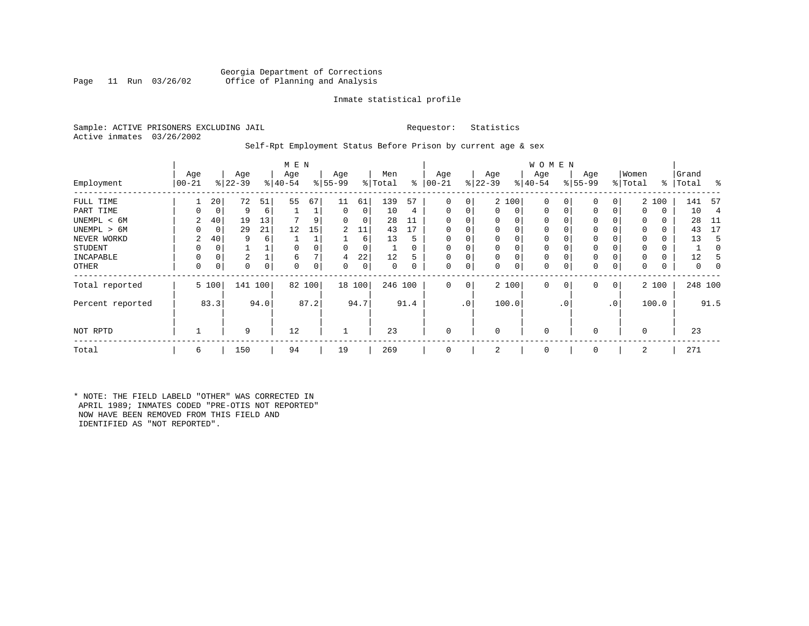## Georgia Department of Corrections<br>Page 11 Run 03/26/02 Office of Planning and Analysis Office of Planning and Analysis

## Inmate statistical profile

Sample: ACTIVE PRISONERS EXCLUDING JAIL **Requestor:** Statistics Active inmates 03/26/2002

## Self-Rpt Employment Status Before Prison by current age & sex

|                  | M E N           |       |                  |      |                 |        |                 |        |                |          |                 |                |                  |          | <b>WOMEN</b>     |             |                 |              |                  |       |                    |                |
|------------------|-----------------|-------|------------------|------|-----------------|--------|-----------------|--------|----------------|----------|-----------------|----------------|------------------|----------|------------------|-------------|-----------------|--------------|------------------|-------|--------------------|----------------|
| Employment       | Age<br>$ 00-21$ |       | Age<br>$ 22-39 $ |      | Age<br>$ 40-54$ |        | Age<br>$ 55-99$ |        | Men<br>% Total | ွေ       | Age<br>$ 00-21$ |                | Age<br>$ 22-39 $ |          | Age<br>$ 40-54 $ |             | Age<br>$ 55-99$ |              | Women<br>% Total |       | Grand<br>%   Total | ႜ              |
| FULL TIME        |                 | 20    | 72               | 51   | 55              | 67     | 11              | 61     | 139            | 57       | $\Omega$        | 0              |                  | 2 100    | $\mathbf 0$      | 0           | 0               | 0            |                  | 2 100 | 141                | -57            |
| PART TIME        | 0               | 0     | 9                | 6    |                 |        | 0               | 0      | 10             | 4        | $\Omega$        | 0              | $\mathbf{0}$     | 0        | $\mathbf 0$      | $\mathbf 0$ | $\Omega$        | 0            | $\Omega$         | 0     | 10                 | $\overline{4}$ |
| UNEMPL < 6M      | 2               | 40    | 19               | 13   |                 |        | 0               | 0      | 28             | 11       |                 |                | 0                | 0        | $\mathbf 0$      |             | 0               |              | $\Omega$         | 0     | 28                 | -11            |
| UNEMPL > 6M      | 0               | 0     | 29               | 21   | 12              | 15     | 2               | 11     | 43             | 17       |                 |                | $\Omega$         | $\Omega$ | $\mathbf 0$      | $\Omega$    | $\Omega$        |              | $\Omega$         | 0     | 43                 | 17             |
| NEVER WORKD      | 2               | 40    | 9                | 6    |                 |        |                 | 6      | 13             | 5        |                 |                | 0                | 0        | $\mathbf 0$      | C           | $\Omega$        |              | $\Omega$         | 0     | 13                 | 5              |
| <b>STUDENT</b>   | 0               | 0     |                  |      | $\Omega$        |        | 0               | 0      |                | $\Omega$ | $\Omega$        |                | $\mathbf 0$      | $\Omega$ | $\mathbf 0$      | $\Omega$    | 0               |              | $\Omega$         | 0     |                    |                |
| INCAPABLE        | 0               | 0     | 2                |      | 6               |        | 4               | 22     | 12             | 5        |                 |                | $\mathbf 0$      | 0        | $\mathbf 0$      |             | 0               |              |                  | 0     | 12                 |                |
| <b>OTHER</b>     | 0               | 0     | 0                | 0    | $\Omega$        | 0      | 0               | 0      | 0              | 0        | $\Omega$        | 0              | 0                | 0        | 0                | 0           | 0               | 0            | $\Omega$         | 0     | 0                  | 0              |
| Total reported   |                 | 5 100 | 141              | 100  |                 | 82 100 |                 | 18 100 | 246 100        |          | $\Omega$        | 0 <sup>1</sup> |                  | 2 100    | $\mathbf{0}$     | $\mathbf 0$ | 0               | $\mathbf{0}$ | 2 100            |       | 248 100            |                |
| Percent reported |                 | 83.3  |                  | 94.0 |                 | 87.2   |                 | 94.7   |                | 91.4     |                 | .0'            |                  | 100.0    |                  | . 0         |                 | $\cdot$ 0    | 100.0            |       |                    | 91.5           |
| NOT RPTD         |                 |       | 9                |      | 12              |        |                 |        | 23             |          | $\Omega$        |                | $\mathbf 0$      |          | $\mathbf{0}$     |             | $\Omega$        |              | $\Omega$         |       | 23                 |                |
| Total            | 6               |       | 150              |      | 94              |        | 19              |        | 269            |          |                 |                | 2                |          | $\mathbf 0$      |             | $\Omega$        |              | 2                |       | 271                |                |

\* NOTE: THE FIELD LABELD "OTHER" WAS CORRECTED IN APRIL 1989; INMATES CODED "PRE-OTIS NOT REPORTED" NOW HAVE BEEN REMOVED FROM THIS FIELD AND IDENTIFIED AS "NOT REPORTED".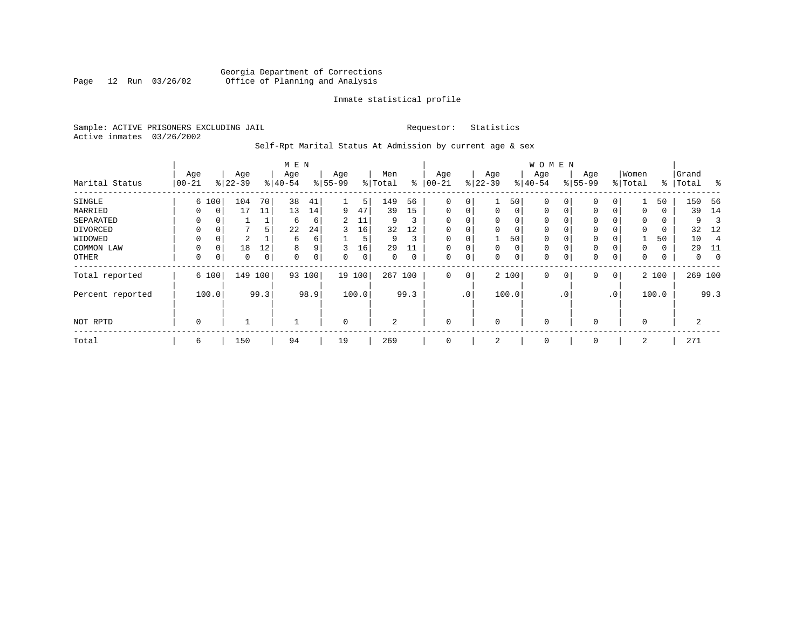## Georgia Department of Corrections<br>Page 12 Run 03/26/02 Office of Planning and Analysis Page 12 Run 03/26/02 Office of Planning and Analysis

## Inmate statistical profile

Sample: ACTIVE PRISONERS EXCLUDING JAIL **Requestor:** Statistics Active inmates 03/26/2002

Self-Rpt Marital Status At Admission by current age & sex

|                  |               |          |          |      | M E N       |             |           |      |         |             |             |             |             |           | <b>WOMEN</b> |           |              |          |          |          |       |             |
|------------------|---------------|----------|----------|------|-------------|-------------|-----------|------|---------|-------------|-------------|-------------|-------------|-----------|--------------|-----------|--------------|----------|----------|----------|-------|-------------|
|                  | Age           |          | Age      |      | Age         |             | Age       |      | Men     |             | Age         |             | Age         |           | Age          |           | Age          |          | Women    |          | Grand |             |
| Marital Status   | $00 - 21$     |          | $ 22-39$ |      | $ 40-54 $   |             | $8 55-99$ |      | % Total | ႜ           | $ 00-21$    |             | $ 22-39$    |           | $ 40-54 $    |           | $8 55-99$    |          | % Total  | ႜ        | Total | ွေ          |
| SINGLE           |               | 6 100    | 104      | 70   | 38          | 41          |           | 5    | 149     | 56          | 0           | 0           |             | 50        | 0            |           | $\mathbf 0$  |          |          | 50       | 150   | -56         |
| MARRIED          | 0             | 0        | 17       | 11   | 13          | 14          | 9         | 47   | 39      | 15          | $\mathbf 0$ | 0           | $\mathbf 0$ | 0         | 0            | 0         | 0            | $\Omega$ | 0        | 0        | 39    | 14          |
| SEPARATED        | $\Omega$      |          |          |      | 6           | 6           | 2         | 11   | 9       | 3           | $\Omega$    | 0           | $\Omega$    | $\Omega$  | 0            |           | 0            |          | $\Omega$ | $\Omega$ | 9     |             |
| DIVORCED         | 0             | 0        | 7        | 5    | 22          | 24          | 3         | 16   | 32      | 12          | 0           | 0           | $\Omega$    | 0         | 0            |           | 0            |          | $\Omega$ | 0        | 32    | 12          |
| WIDOWED          | 0             |          | 2        |      | 6           | 6           |           | 5    | 9       | 3           | $\mathbf 0$ | 0           |             | 50        | 0            |           | 0            |          |          | 50       | 10    |             |
| COMMON LAW       | 0             | $\Omega$ | 18       | 12   | 8           | 9           | 3         | 16   | 29      |             | $\Omega$    | 0           | $\Omega$    | 0         | 0            |           | 0            |          | $\Omega$ | 0        | 29    | 11          |
| OTHER            | $\mathbf 0$   | 0        | 0        | 0    | $\mathbf 0$ | $\mathbf 0$ | 0         | 0    | 0       | $\mathbf 0$ | $\mathbf 0$ | 0           | 0           | 0         | 0            |           | $\mathbf{0}$ | 0        | 0        | 0        | 0     | $\mathbf 0$ |
| Total reported   |               | 6 100    | 149      | 100  | 93          | 100         | 19        | 100  | 267     | 100         | $\mathbf 0$ | $\mathbf 0$ |             | 2 100     | 0            | 0         | $\mathbf{0}$ | 0        |          | 2 100    |       | 269 100     |
| Percent reported | 99.3<br>100.0 |          |          | 98.9 |             | 100.0       |           | 99.3 |         | $\cdot$ 0   |             | 100.0       |             | $\cdot$ 0 |              | $\cdot$ 0 |              | 100.0    |          | 99.3     |       |             |
| NOT RPTD         | 0             |          |          |      |             |             | 0         |      | 2       |             | $\mathbf 0$ |             | $\Omega$    |           | 0            |           | 0            |          | $\Omega$ |          | 2     |             |
| Total            | 6             |          | 150      |      | 94          |             | 19        |      | 269     |             | 0           |             | 2           |           | 0            |           | 0            |          | 2        |          | 271   |             |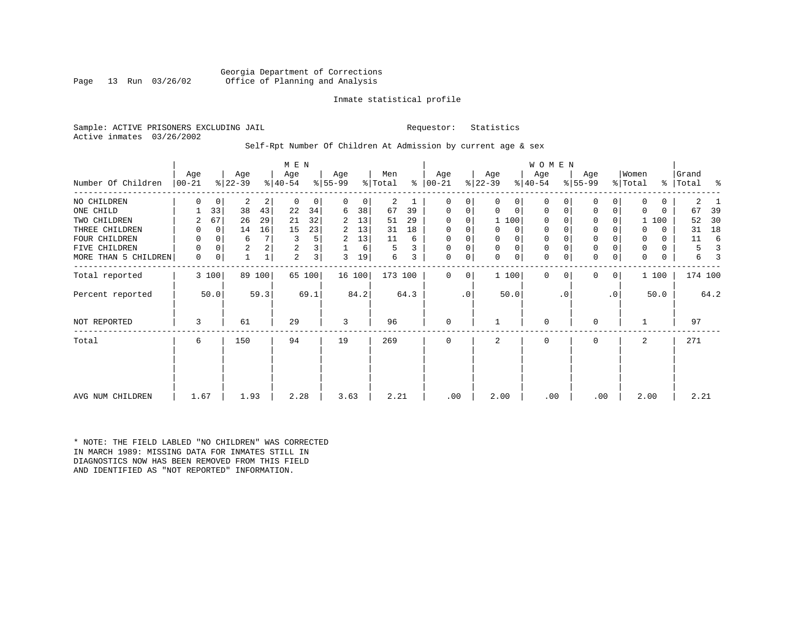Georgia Department of Corrections<br>Page 13 Run 03/26/02 Office of Planning and Analysis Office of Planning and Analysis

## Inmate statistical profile

Sample: ACTIVE PRISONERS EXCLUDING JAIL **Requestor:** Statistics Active inmates 03/26/2002

## Self-Rpt Number Of Children At Admission by current age & sex

|                      | M E N           |             |                  |        |                  |                |                  |        |                |      |                  |           |                  |             | WOMEN            |           |                  |           |                  |          |                |      |
|----------------------|-----------------|-------------|------------------|--------|------------------|----------------|------------------|--------|----------------|------|------------------|-----------|------------------|-------------|------------------|-----------|------------------|-----------|------------------|----------|----------------|------|
| Number Of Children   | Age<br>$ 00-21$ |             | Age<br>$ 22-39 $ |        | Age<br>$ 40-54 $ |                | Age<br>$ 55-99 $ |        | Men<br>% Total | ⊱    | Age<br>$ 00-21 $ |           | Age<br>$ 22-39 $ |             | Age<br>$ 40-54 $ |           | Age<br>$ 55-99 $ |           | Women<br>% Total | ွေ       | Grand<br>Total | ႜ    |
| NO CHILDREN          | 0               | $\mathbf 0$ | 2                | 2      | $\Omega$         | 0              | $\Omega$         | 0      | $\overline{a}$ |      | 0                | 0         | $\Omega$         | 0           | $\Omega$         |           | 0                | 0         | $\Omega$         | 0        | 2              |      |
| ONE CHILD            |                 | 33          | 38               | 43     | 22               | 34             | 6                | 38     | 67             | 39   | 0                | 0         | 0                | $\mathbf 0$ | $\mathbf 0$      | 0         | 0                | 0         | $\Omega$         | $\Omega$ | 67             | 39   |
| TWO CHILDREN         |                 | 67          | 26               | 29     | 21               | 32             | 2                | 13     | 51             | 29   | 0                | 0         |                  | 1 100       | 0                |           | $\mathbf 0$      | 0         |                  | 100      | 52             | 30   |
| THREE CHILDREN       | 0               | 0           | 14               | 16     | 15               | 23             | 2                | 13     | 31             | 18   | 0                | 0         |                  | 0           | 0                |           | $\mathbf 0$      |           | $\Omega$         | $\Omega$ | 31             | 18   |
| FOUR CHILDREN        | 0               | $\Omega$    | 6                | 7      | 3                | 5              | 2                | 13     | 11             | 6    | $\Omega$         |           |                  | 0           | 0                |           | $\mathbf 0$      |           | 0                | $\Omega$ | 11             | 6    |
| FIVE CHILDREN        | 0               | 0           | $\overline{a}$   | 2      | 2                | 3              |                  | 6      | 5              | 3    | 0                | 0         | $\Omega$         | $\mathbf 0$ | 0                |           | $\mathbf 0$      | 0         | 0                | $\Omega$ | 5              |      |
| MORE THAN 5 CHILDREN | 0               | 0           |                  |        | 2                | 3 <sup>1</sup> | 3                | 19     | 6              | 3    | 0                | 0         | $\Omega$         | $\mathbf 0$ | $\mathbf 0$      | 0         | $\mathbf 0$      | 0         | 0                | 0        | 6              |      |
| Total reported       |                 | 3 100       |                  | 89 100 |                  | 65 100         |                  | 16 100 | 173 100        |      | $\Omega$         | $\Omega$  |                  | 1 100       | $\Omega$         | $\Omega$  | $\mathbf{0}$     | 0         |                  | 1 100    | 174 100        |      |
| Percent reported     |                 | 50.0        |                  | 59.3   |                  | 69.1           |                  | 84.2   |                | 64.3 |                  | $\cdot$ 0 |                  | 50.0        |                  | $\cdot$ 0 |                  | $\cdot$ 0 |                  | 50.0     |                | 64.2 |
| <b>NOT REPORTED</b>  | 3               |             | 61               |        | 29               |                | 3                |        | 96             |      | 0                |           |                  |             | 0                |           | $\mathbf 0$      |           |                  |          | 97             |      |
| Total                | 6               |             | 150              |        | 94               |                | 19               |        | 269            |      | $\Omega$         |           | 2                |             | 0                |           | $\mathbf 0$      |           | 2                |          | 271            |      |
|                      |                 |             |                  |        |                  |                |                  |        |                |      |                  |           |                  |             |                  |           |                  |           |                  |          |                |      |
| AVG NUM CHILDREN     | 1.67            |             | 1.93             |        | 2.28             |                | 3.63             |        | 2.21           |      | .00              |           | 2.00             |             | .00              |           | .00              |           | 2.00             |          | 2.21           |      |

\* NOTE: THE FIELD LABLED "NO CHILDREN" WAS CORRECTED IN MARCH 1989: MISSING DATA FOR INMATES STILL IN DIAGNOSTICS NOW HAS BEEN REMOVED FROM THIS FIELD AND IDENTIFIED AS "NOT REPORTED" INFORMATION.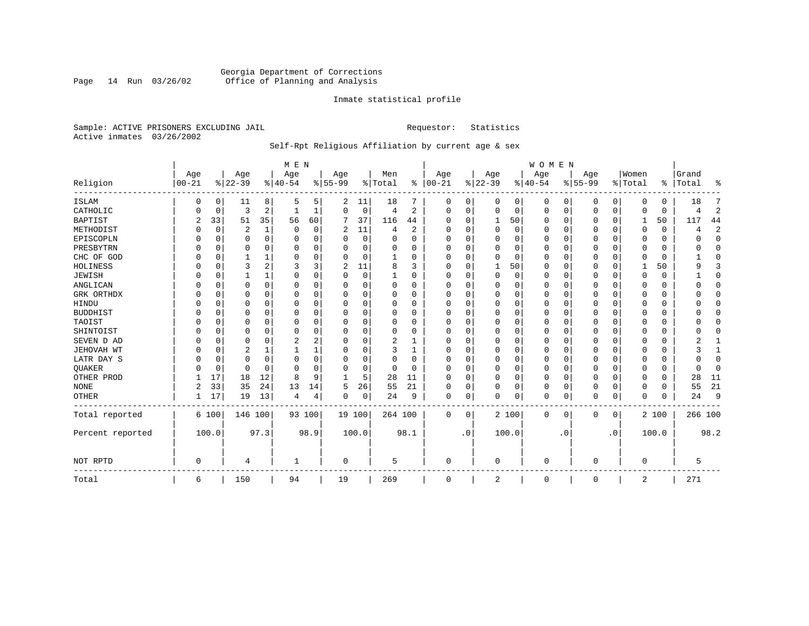## Georgia Department of Corrections<br>Page 14 Run 03/26/02 Office of Planning and Analysis Page 14 Run 03/26/02 Office of Planning and Analysis

## Inmate statistical profile

Sample: ACTIVE PRISONERS EXCLUDING JAIL **Requestor:** Statistics Active inmates 03/26/2002

## Self-Rpt Religious Affiliation by current age & sex

|                   |           |          |                |              | M E N          |          |           |          |                |             |            |             |             |          | WOMEN        |           |             |           |          |             |           |                |
|-------------------|-----------|----------|----------------|--------------|----------------|----------|-----------|----------|----------------|-------------|------------|-------------|-------------|----------|--------------|-----------|-------------|-----------|----------|-------------|-----------|----------------|
|                   | Age       |          | Age            |              | Age            |          | Age       |          | Men            |             | Age        |             | Age         |          | Age          |           | Age         |           | Women    |             | Grand     |                |
| Religion          | $00 - 21$ |          | $8 22-39$      |              | $8 40-54$      |          | $8 55-99$ |          | % Total        | ႜ           | $ 00 - 21$ |             | $ 22-39$    |          | $8 40-54$    |           | $8155 - 99$ |           | % Total  |             | %   Total | ٩,             |
| <b>ISLAM</b>      | 0         | 0        | 11             | 8            | 5              | 5.       | 2         | 11       | 18             |             | 0          | 0           | 0           | 0        | 0            | 0         | 0           | 0         | $\Omega$ | 0           | 18        | 7              |
| CATHOLIC          |           | 0        | 3              | 2            |                |          | $\Omega$  | 0        | 4              | 2           | $\Omega$   | 0           | $\mathbf 0$ | 0        | 0            | 0         | 0           | 0         | $\Omega$ | $\mathbf 0$ | 4         | $\overline{2}$ |
| <b>BAPTIST</b>    | 2         | 33       | 51             | 35           | 56             | 60       | 7         | 37       | 116            | 44          | $\Omega$   | $\Omega$    | 1           | 50       | $\Omega$     | 0         | 0           | $\Omega$  | 1        | 50          | 117       | 44             |
| METHODIST         |           | 0        | $\overline{2}$ | $\mathbf{1}$ | $\mathbf 0$    | 0        | 2         | 11       | $\overline{4}$ | 2           | $\Omega$   | $\Omega$    | $\mathbf 0$ | 0        | $\Omega$     | $\Omega$  | 0           | $\Omega$  | $\Omega$ | $\Omega$    | 4         | $\overline{2}$ |
| EPISCOPLN         |           | 0        | U              | $\Omega$     | $\Omega$       | $\Omega$ |           | 0        | $\Omega$       | $\Omega$    | $\Omega$   | $\Omega$    | $\mathbf 0$ | $\Omega$ | 0            | 0         | 0           | $\Omega$  | $\Omega$ | 0           |           | $\mathbf{0}$   |
| PRESBYTRN         |           | 0        | 0              | 0            | $\mathbf 0$    | $\Omega$ | U         | $\Omega$ | $\Omega$       | $\Omega$    | $\Omega$   | $\Omega$    | $\Omega$    | $\Omega$ | <sup>0</sup> | $\Omega$  | 0           | $\Omega$  | $\Omega$ | 0           | O         | $\Omega$       |
| CHC OF GOD        |           | 0        |                | 1            | $\Omega$       | $\Omega$ | U         | 0        |                | $\Omega$    | $\Omega$   | $\Omega$    | $\Omega$    | $\Omega$ | $\Omega$     | $\Omega$  | 0           | $\Omega$  | $\Omega$ | $\Omega$    |           | $\Omega$       |
| HOLINESS          |           | 0        | 3              | 2            | 3              | 3        | 2         | 11       | 8              | 3           | $\Omega$   | $\Omega$    |             | 50       | $\Omega$     | 0         | 0           | $\Omega$  |          | 50          | a         | 3              |
| <b>JEWISH</b>     |           | 0        |                | 1            | $\Omega$       | $\Omega$ | U         | $\Omega$ |                | O           | $\Omega$   |             | 0           | $\Omega$ | 0            | $\Omega$  | 0           | $\Omega$  | $\Omega$ | $\Omega$    |           | $\mathbf 0$    |
| ANGLICAN          |           | 0        | 0              | 0            | $\Omega$       | 0        | U         | 0        | 0              | 0           | $\Omega$   | $\Omega$    | $\Omega$    | $\Omega$ | <sup>0</sup> | 0         | 0           | 0         | $\Omega$ | 0           |           | $\mathbf{0}$   |
| GRK ORTHDX        |           | $\Omega$ | U              | $\Omega$     | $\Omega$       | $\Omega$ | U         | O        | $\Omega$       | $\Omega$    | $\Omega$   | $\Omega$    | $\cap$      | $\Omega$ | $\Omega$     | $\Omega$  | U           | $\Omega$  | $\Omega$ | $\Omega$    |           | $\Omega$       |
| HINDU             |           | $\Omega$ | 0              | 0            | $\Omega$       | 0        | U         | 0        | $\Omega$       | 0           | $\Omega$   | $\Omega$    | $\Omega$    | $\Omega$ | <sup>0</sup> | $\Omega$  | 0           | 0         | $\Omega$ | 0           |           | $\Omega$       |
| <b>BUDDHIST</b>   |           | 0        | 0              | $\Omega$     | $\Omega$       | $\Omega$ | U         | 0        | $\Omega$       | $\Omega$    | $\Omega$   | 0           | $\Omega$    | 0        | $\Omega$     | 0         | 0           | $\Omega$  | $\Omega$ | O           |           | $\Omega$       |
| TAOIST            |           | 0        | 0              | $\Omega$     | $\Omega$       | $\Omega$ | U         | 0        | $\Omega$       | $\Omega$    | $\Omega$   | $\Omega$    | $\Omega$    | $\Omega$ | $\Omega$     | $\Omega$  | 0           | $\Omega$  | $\Omega$ | O           |           | $\Omega$       |
| SHINTOIST         |           | $\Omega$ | 0              | $\Omega$     | $\Omega$       | $\Omega$ | 0         | 0        | $\Omega$       | 0           | $\Omega$   | $\Omega$    | $\Omega$    | $\Omega$ | 0            | $\Omega$  | 0           | 0         | $\Omega$ | 0           |           | $\Omega$       |
| SEVEN D AD        |           | $\Omega$ | 0              | $\Omega$     | 2              | 2        | 0         | 0        | 2              | 1           | $\Omega$   | $\Omega$    | $\Omega$    | $\Omega$ | 0            | $\Omega$  | $\Omega$    | $\Omega$  | $\Omega$ | $\Omega$    |           | $\mathbf{1}$   |
| <b>JEHOVAH WT</b> |           | 0        | 2              | 1            |                | 1        | O         | 0        | 3              | 1           | $\Omega$   | $\Omega$    | $\mathbf 0$ | 0        | $\Omega$     | $\Omega$  | 0           | $\Omega$  | $\Omega$ | $\Omega$    |           | 1              |
| LATR DAY S        |           | 0        | 0              | 0            | $\Omega$       | $\Omega$ | U         | 0        | $\Omega$       | $\mathbf 0$ | $\Omega$   | $\Omega$    | $\Omega$    | $\Omega$ | $\Omega$     | 0         | 0           | $\Omega$  | $\Omega$ | 0           |           | $\mathbf 0$    |
| <b>OUAKER</b>     |           | 0        | $\Omega$       | $\Omega$     | $\Omega$       | $\Omega$ | O         | 0        | $\Omega$       | $\Omega$    | $\Omega$   | $\Omega$    | $\mathbf 0$ | $\Omega$ | $\Omega$     | $\Omega$  | 0           | $\Omega$  | $\Omega$ | 0           | ∩         | $\Omega$       |
| OTHER PROD        |           | 17       | 18             | 12           | 8              | 9        | -1        | 5        | 28             | 11          | $\Omega$   | $\Omega$    | $\mathbf 0$ | 0        | $\Omega$     | $\Omega$  | 0           | $\Omega$  | $\Omega$ | $\Omega$    | 28        | 11             |
| <b>NONE</b>       | 2         | 33       | 35             | 24           | 13             | 14       | 5         | 26       | 55             | 21          | $\Omega$   | 0           | $\Omega$    | 0        | $\Omega$     | 0         | 0           | 0         | $\Omega$ | 0           | 55        | 21             |
| <b>OTHER</b>      |           | 17       | 19             | 13           | $\overline{4}$ | 4        | 0         | 0        | 24             | 9           | 0          | $\mathbf 0$ | $\Omega$    | 0        | 0            | 0         | 0           | 0         | $\Omega$ | 0           | 24        | 9              |
| Total reported    |           | 6 100    | 146 100        |              |                | 93 100   | 19 100    |          | 264 100        |             | $\Omega$   | 0           |             | 2 100    | $\Omega$     | 0         | 0           | 0         |          | 2 100       | 266 100   |                |
| Percent reported  |           | 100.0    |                | 97.3         |                | 98.9     |           | 100.0    |                | 98.1        |            | $\cdot$ 0   |             | 100.0    |              | $\cdot$ 0 |             | $\cdot$ 0 |          | 100.0       |           | 98.2           |
| NOT RPTD          | $\Omega$  |          | 4              |              |                |          | 0         |          | 5              |             | $\Omega$   |             | $\Omega$    |          | $\cap$       |           | 0           |           | $\Omega$ |             | 5         |                |
| Total             | 6         |          | 150            |              | 94             |          | 19        |          | 269            |             | $\Omega$   |             | 2           |          | $\Omega$     |           | 0           |           | 2        |             | 271       |                |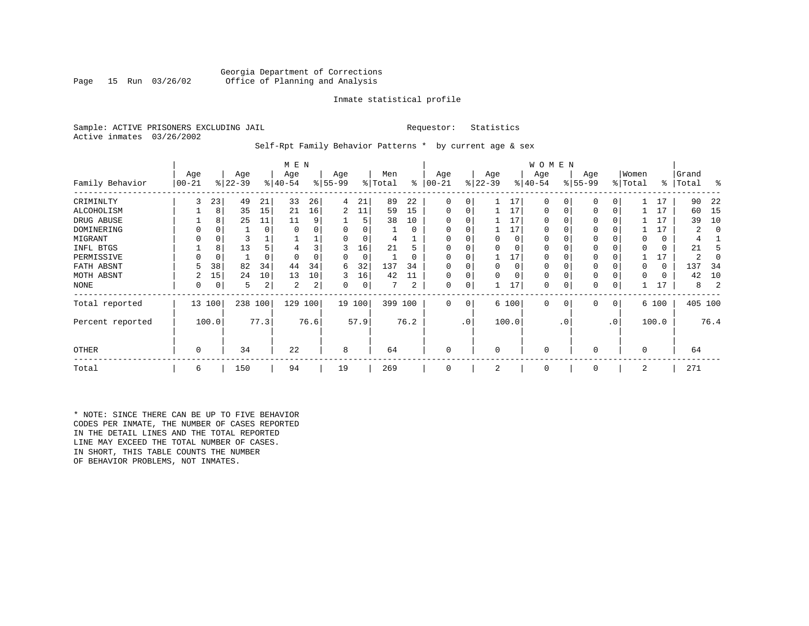## Georgia Department of Corrections<br>Page 15 Run 03/26/02 Office of Planning and Analysis Office of Planning and Analysis

## Inmate statistical profile

Sample: ACTIVE PRISONERS EXCLUDING JAIL **Requestor:** Statistics Active inmates 03/26/2002

Self-Rpt Family Behavior Patterns \* by current age & sex

|                  |                 |          |                  |          | M E N            |      |                 |        |                |          |                  |                 |                  |          | W O M E N       |           |                 |     |                  |       |                |      |
|------------------|-----------------|----------|------------------|----------|------------------|------|-----------------|--------|----------------|----------|------------------|-----------------|------------------|----------|-----------------|-----------|-----------------|-----|------------------|-------|----------------|------|
| Family Behavior  | Age<br>$ 00-21$ |          | Age<br>$ 22-39 $ |          | Age<br>$ 40-54 $ |      | Age<br>$ 55-99$ |        | Men<br>% Total | ႜ        | Age<br>$00 - 21$ |                 | Age<br>$ 22-39 $ |          | Age<br>$ 40-54$ |           | Age<br>$ 55-99$ |     | Women<br>% Total | ∻     | Grand<br>Total | ႜ    |
| CRIMINLTY        | 3               | 23       | 49               | 21       | 33               | 26   | 4               | 21     | 89             | 22       | 0                | 0               |                  | 17       | $\Omega$        | 0         | $\Omega$        | 0   |                  | 17    | 90             | 22   |
| ALCOHOLISM       |                 | 8        | 35               | 15       | 21               | 16   | 2               | 11     | 59             | 15       | 0                | 0               |                  | 17       | 0               |           | $\Omega$        | 0   |                  | 17    | 60             | -15  |
| DRUG ABUSE       |                 | 8        | 25               | 11       | 11               | 9    |                 | 5      | 38             | 10       |                  |                 |                  | 17       | U               |           |                 |     |                  | 17    | 39             | 10   |
| DOMINERING       |                 |          |                  | 0        |                  |      |                 |        |                | 0        |                  |                 |                  | 17       | <sup>0</sup>    |           |                 |     |                  | 17    |                |      |
| MIGRANT          |                 | 0        |                  |          |                  |      |                 | 0      |                |          |                  |                 |                  | 0        | 0               |           | $\Omega$        |     |                  | 0     |                |      |
| INFL BTGS        |                 | 8        | 13               | 5        |                  |      | 3               | 16     | 21             | ל        |                  |                 |                  | $\Omega$ | 0               |           | $\Omega$        |     |                  | 0     | 21             |      |
| PERMISSIVE       |                 | $\Omega$ |                  | $\Omega$ |                  |      | 0               | 0      |                | $\Omega$ | $\Omega$         | U               |                  | 17       | 0               |           | $\Omega$        |     |                  | 17    | 2              |      |
| FATH ABSNT       |                 | 38       | 82               | 34       | 44               | 34   | 6               | 32     | 137            | 34       |                  |                 |                  | $\Omega$ | 0               |           |                 |     |                  | 0     | 137            | -34  |
| MOTH ABSNT       |                 | 15       | 24               | 10       | 13               | 10   | 3               | 16     | 42             | 11       |                  | 0               |                  | $\Omega$ | 0               |           | $\Omega$        |     |                  | 0     | 42             | 10   |
| NONE             | 0               | 0        | 5                | 2        | 2                | 2    | 0               | 0      |                | 2        | 0                | 0               |                  | 17       | 0               |           | 0               |     |                  | 17    | 8              |      |
| Total reported   |                 | 13 100   | 238              | 100      | 129              | 100  |                 | 19 100 | 399 100        |          | 0                | 0               |                  | 6 100    | $\mathbf{0}$    | 0         | 0               | 0   |                  | 6 100 | 405 100        |      |
| Percent reported |                 | 100.0    |                  | 77.3     |                  | 76.6 |                 | 57.9   |                | 76.2     |                  | .0 <sup>1</sup> |                  | 100.0    |                 | $\cdot$ 0 |                 | .0' |                  | 100.0 |                | 76.4 |
| <b>OTHER</b>     | 0               |          | 34               |          | 22               |      | 8               |        | 64             |          | 0                |                 | $\Omega$         |          | 0               |           | $\Omega$        |     | $\Omega$         |       | 64             |      |
| Total            | 6               |          | 150              |          | 94               |      | 19              |        | 269            |          | 0                |                 | 2                |          | 0               |           | 0               |     | 2                |       | 271            |      |

\* NOTE: SINCE THERE CAN BE UP TO FIVE BEHAVIOR CODES PER INMATE, THE NUMBER OF CASES REPORTED IN THE DETAIL LINES AND THE TOTAL REPORTED LINE MAY EXCEED THE TOTAL NUMBER OF CASES. IN SHORT, THIS TABLE COUNTS THE NUMBER OF BEHAVIOR PROBLEMS, NOT INMATES.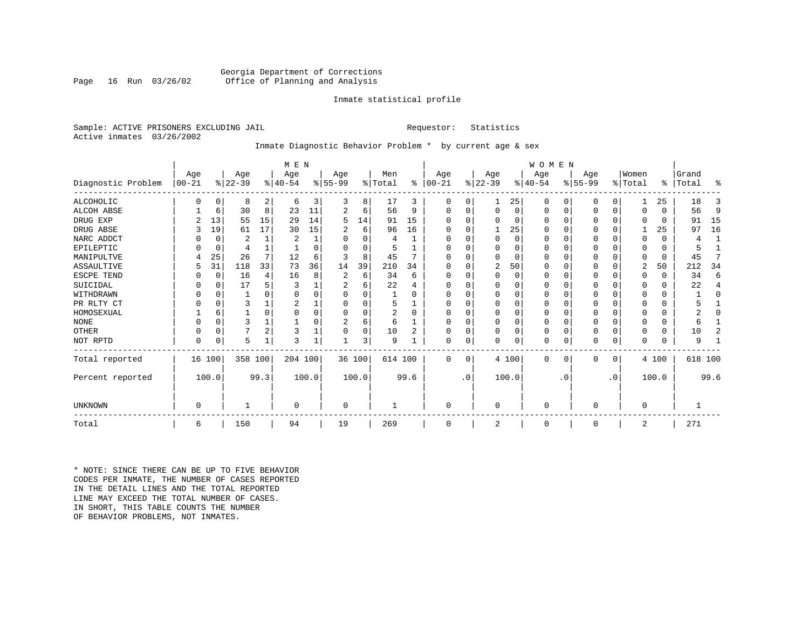## Georgia Department of Corrections<br>Page 16 Run 03/26/02 Office of Planning and Analysis Office of Planning and Analysis

## Inmate statistical profile

Sample: ACTIVE PRISONERS EXCLUDING JAIL **Requestor:** Statistics Active inmates 03/26/2002

## Inmate Diagnostic Behavior Problem \* by current age & sex

|                    |            | M E N    |           |                |           |          |                |          |                |                |           |           |              |          | WOMEN     |           |           |             |          |          |           |              |
|--------------------|------------|----------|-----------|----------------|-----------|----------|----------------|----------|----------------|----------------|-----------|-----------|--------------|----------|-----------|-----------|-----------|-------------|----------|----------|-----------|--------------|
|                    | Age        |          | Age       |                | Age       |          | Age            |          | Men            |                | Age       |           | Age          |          | Aqe       |           | Age       |             | Women    |          | Grand     |              |
| Diagnostic Problem | $ 00 - 21$ |          | $ 22-39 $ |                | $8 40-54$ |          | $ 55-99$       |          | % Total        | ∻              | $00 - 21$ |           | $ 22-39 $    |          | $ 40-54 $ |           | $8 55-99$ |             | % Total  |          | %   Total | ႜ            |
| ALCOHOLIC          |            | 0        | 8         | $\overline{2}$ | 6         | 3        | 3              | 8        | 17             | 3              | 0         | $\Omega$  |              | 25       | $\Omega$  | 0         | 0         | $\Omega$    |          | 25       | 18        | 3            |
| ALCOH ABSE         |            | 6        | 30        | 8              | 23        | 11       |                | 6        | 56             | 9              | $\Omega$  | $\Omega$  | 0            | 0        | 0         | 0         | 0         | $\mathbf 0$ | $\Omega$ | $\Omega$ | 56        | 9            |
| DRUG EXP           |            | 13       | 55        | 15             | 29        | 14       | 5              | 14       | 91             | 15             |           |           | $\Omega$     | 0        | $\Omega$  | $\Omega$  | 0         | $\Omega$    | $\Omega$ | $\Omega$ | 91        | 15           |
| DRUG ABSE          | 3          | 19       | 61        | 17             | 30        | 15       |                | 6        | 96             | 16             | O         |           |              | 25       | $\Omega$  | $\Omega$  | O         | $\Omega$    |          | 25       | 97        | 16           |
| NARC ADDCT         |            | $\Omega$ | 2         | $\mathbf{1}$   | 2         |          | U              | $\Omega$ | 4              |                |           |           | $\Omega$     | $\Omega$ | $\Omega$  | $\Omega$  | U         | $\Omega$    | $\Omega$ | $\Omega$ | 4         | $\mathbf{1}$ |
| EPILEPTIC          |            | $\Omega$ | 4         |                |           | $\Omega$ | $\Omega$       | O        |                |                | $\Omega$  |           | $\Omega$     | O        | $\Omega$  | $\Omega$  | O         | $\Omega$    | $\Omega$ | $\Omega$ |           |              |
| MANIPULTVE         |            | 25       | 26        | 7              | 12        | 6        |                | 8        | 45             |                |           |           | $\Omega$     | 0        | $\Omega$  | $\Omega$  | 0         | $\Omega$    | $\Omega$ | $\Omega$ | 45        | 7            |
| ASSAULTIVE         | 5          | 31       | 118       | 33             | 73        | 36       | 14             | 39       | 210            | 34             | ∩         |           | 2            | 50       | $\Omega$  | $\Omega$  | 0         | 0           | 2        | 50       | 212       | 34           |
| ESCPE TEND         |            | 0        | 16        | 4              | 16        | 8        | 2              | 6        | 34             | 6              |           |           | $\Omega$     | 0        | $\Omega$  | $\Omega$  | Ω         | O           | $\Omega$ | $\Omega$ | 34        | 6            |
| SUICIDAL           |            | $\Omega$ | 17        |                |           |          |                | 6        | 22             |                |           |           |              | O        |           | $\Omega$  |           | O           |          | $\Omega$ | 22        | 4            |
| WITHDRAWN          |            |          |           |                |           |          |                | U        |                |                |           |           | <sup>0</sup> | U        | O         |           |           | U           |          | U        |           | O            |
| PR RLTY CT         |            |          | 3         |                |           |          | U              | O        | 5              |                |           |           | <sup>0</sup> | 0        | $\Omega$  | $\Omega$  |           | O           |          | $\Omega$ |           |              |
| HOMOSEXUAL         |            | 6        |           | O              |           |          |                | O        | $\overline{2}$ | $\Omega$       |           |           | $\Omega$     | 0        | $\Omega$  | $\Omega$  | ი         | U           |          | U        |           | U            |
| <b>NONE</b>        |            |          | ζ         |                |           |          | $\overline{2}$ | 6        | 6              |                | ∩         |           | <sup>0</sup> | 0        | $\Omega$  | $\Omega$  | U         | O           |          | 0        | 6         |              |
| <b>OTHER</b>       |            | $\Omega$ |           | 2              | 3         |          |                | 0        | 10             | $\overline{c}$ | O         |           | $\Omega$     | 0        | $\Omega$  | $\Omega$  | 0         | $\Omega$    | $\Omega$ | $\Omega$ | 10        | 2            |
| NOT RPTD           | $\Omega$   | $\Omega$ | 5         | 1              | 3         |          |                | 3        | 9              |                | $\Omega$  | 0         | $\Omega$     | 0        | $\Omega$  | 0         | N         | $\mathbf 0$ | $\Omega$ | $\Omega$ | 9         |              |
| Total reported     |            | 16 100   | 358 100   |                | 204 100   |          |                | 36 100   | 614 100        |                | $\Omega$  | $\Omega$  |              | 4 100    | $\Omega$  | 0         | 0         | 0           |          | 4 100    | 618 100   |              |
| Percent reported   |            | 100.0    |           | 99.3           |           | 100.0    |                | 100.0    |                | 99.6           |           | $\cdot$ 0 |              | 100.0    |           | $\cdot$ 0 |           | $\cdot$ 0   |          | 100.0    |           | 99.6         |
| UNKNOWN            | $\Omega$   |          |           |                | $\Omega$  |          | 0              |          |                |                | $\Omega$  |           | $\mathbf 0$  |          | $\Omega$  |           | 0         |             | $\Omega$ |          |           |              |
|                    |            |          |           |                |           |          |                |          |                |                |           |           |              |          |           |           |           |             |          |          |           |              |
| Total              | 6          |          | 150       |                | 94        |          | 19             |          | 269            |                | $\Omega$  |           | 2            |          | 0         |           | $\Omega$  |             | 2        |          | 271       |              |

\* NOTE: SINCE THERE CAN BE UP TO FIVE BEHAVIOR CODES PER INMATE, THE NUMBER OF CASES REPORTED IN THE DETAIL LINES AND THE TOTAL REPORTED LINE MAY EXCEED THE TOTAL NUMBER OF CASES.IN SHORT, THIS TABLE COUNTS THE NUMBER OF BEHAVIOR PROBLEMS, NOT INMATES.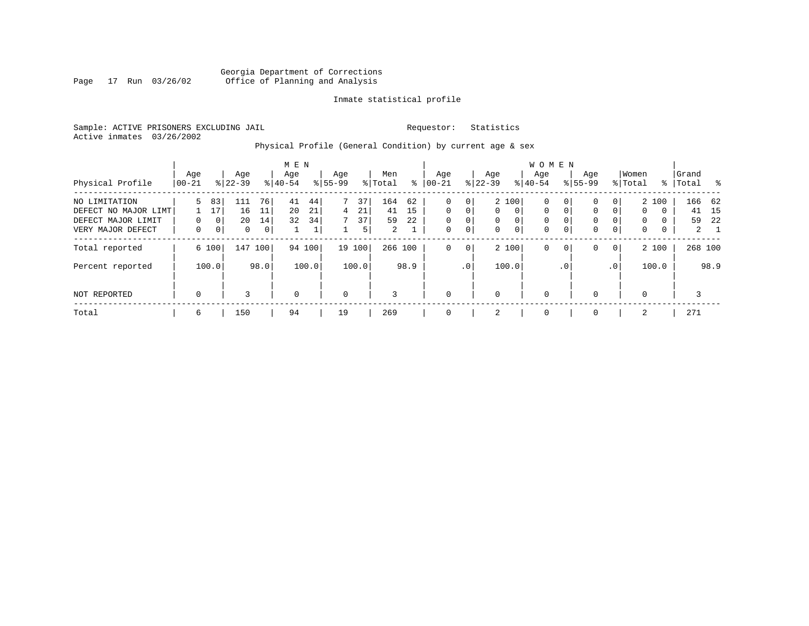## Georgia Department of Corrections Page 17 Run 03/26/02 Office of Planning and Analysis

## Inmate statistical profile

Sample: ACTIVE PRISONERS EXCLUDING JAIL **Requestor:** Statistics Active inmates 03/26/2002

## Physical Profile (General Condition) by current age & sex

|                                                                                  |                 |                              |                      |                                  | M E N            |                                   |                       |                     |                      |                                |                         |                         |                                          |                                | <b>WOMEN</b>                                          |                                   |                            |                                |                                                  |             |                    |                          |
|----------------------------------------------------------------------------------|-----------------|------------------------------|----------------------|----------------------------------|------------------|-----------------------------------|-----------------------|---------------------|----------------------|--------------------------------|-------------------------|-------------------------|------------------------------------------|--------------------------------|-------------------------------------------------------|-----------------------------------|----------------------------|--------------------------------|--------------------------------------------------|-------------|--------------------|--------------------------|
| Physical Profile                                                                 | Age<br>$ 00-21$ |                              | Age<br>$8 22-39$     |                                  | Age<br>$8 40-54$ |                                   | Age<br>$8155 - 99$    |                     | Men<br>% Total       | ⊱                              | Age<br>$ 00-21$         |                         | Age<br>$ 22-39 $                         |                                | Aqe<br>$8 40-54$                                      |                                   | Age<br>$8155 - 99$         |                                | Women<br>% Total                                 |             | Grand<br>%   Total | $\sim$ 8                 |
| NO LIMITATION<br>DEFECT NO MAJOR LIMT<br>DEFECT MAJOR LIMIT<br>VERY MAJOR DEFECT | 5<br>$\Omega$   | 83<br>17<br>0<br>$\mathbf 0$ | 111<br>16<br>20<br>0 | 76<br>11<br>14<br>0 <sup>1</sup> | 41<br>20<br>32   | 44<br>21<br>34 <sub>1</sub><br>Τ. | $7^{\circ}$<br>4<br>7 | 37<br>21<br>37<br>5 | 164<br>41<br>59<br>2 | 62<br>15<br>22<br>$\mathbf{I}$ | 0<br>$\Omega$<br>0<br>0 | 0<br>$\Omega$<br>0<br>0 | $\mathbf{0}$<br>$\mathbf{0}$<br>$\Omega$ | 2 100<br>$\mathbf 0$<br>0<br>0 | $\mathbf 0$<br>$\mathbf 0$<br>$\mathbf 0$<br>$\Omega$ | 0<br>0<br>$\Omega$<br>$\mathbf 0$ | 0<br>0<br>0<br>$\mathbf 0$ | 0<br>$\Omega$<br>$\Omega$<br>0 | 2 100<br>$\mathbf 0$<br>$\Omega$<br>$\mathbf{0}$ | 0<br>0<br>0 | 166 62<br>41<br>59 | 15<br>22<br>$\mathbf{2}$ |
| Total reported                                                                   |                 | 6 100                        | 147                  | 100                              |                  | 94 100                            |                       | 19 100              | 266 100              |                                | 0                       | 0                       |                                          | 2 100                          | $\mathbf 0$                                           | $\mathbf 0$                       | 0                          | $\overline{0}$                 | 2 100                                            |             | 268 100            |                          |
| Percent reported                                                                 |                 | 100.0                        |                      | 98.0                             |                  | 100.0                             |                       | 100.0               |                      | 98.9                           |                         | .0 <sup>1</sup>         |                                          | 100.0                          |                                                       | . 0                               |                            | .0 <sup>1</sup>                | 100.0                                            |             |                    | 98.9                     |
| NOT REPORTED                                                                     | $\mathbf 0$     |                              | 3                    |                                  | $\mathbf 0$      |                                   | 0                     |                     | 3                    |                                | $\mathbf 0$             |                         | 0                                        |                                | $\mathbf 0$                                           |                                   | $\Omega$                   |                                | 0                                                |             | 3                  |                          |
| Total                                                                            | 6               |                              | 150                  |                                  | 94               |                                   | 19                    |                     | 269                  |                                | 0                       |                         | 2                                        |                                | 0                                                     |                                   | $\Omega$                   |                                | 2                                                |             | 271                |                          |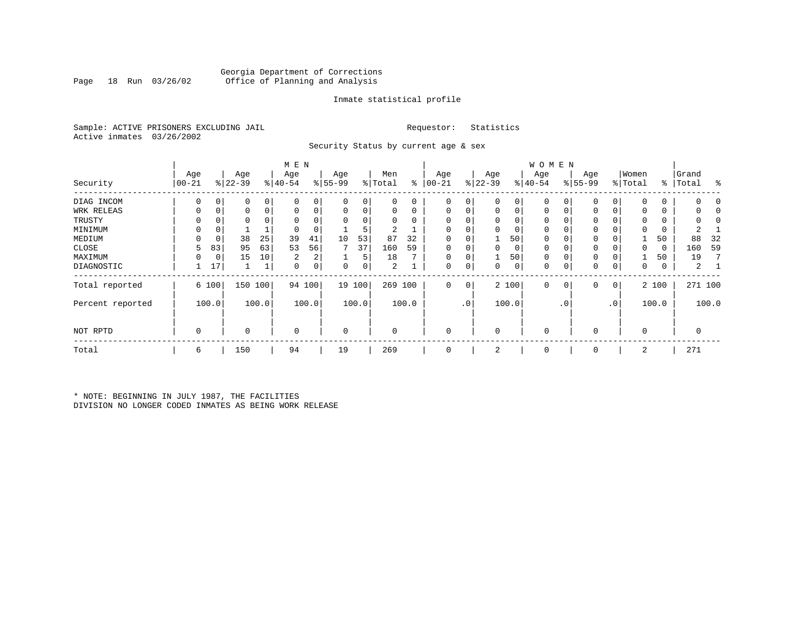## Georgia Department of Corrections Office of Planning and Analysis

## Inmate statistical profile

Sample: ACTIVE PRISONERS EXCLUDING JAIL **Requestor:** Statistics Active inmates 03/26/2002

Security Status by current age & sex

|                  |             |       |           |       | M E N       |                |             |        |          |                 |            |                 |             |       | W O M E N   |     |             |                |             |               |       |         |
|------------------|-------------|-------|-----------|-------|-------------|----------------|-------------|--------|----------|-----------------|------------|-----------------|-------------|-------|-------------|-----|-------------|----------------|-------------|---------------|-------|---------|
|                  | Age         |       | Age       |       | Age         |                | Age         |        | Men      |                 | Age        |                 | Age         |       | Age         |     | Age         |                | Women       |               | Grand |         |
| Security         | $00 - 21$   |       | $ 22-39 $ |       | $ 40-54$    |                | $8 55-99$   |        | % Total  | ి               | $ 00 - 21$ |                 | $8 22-39$   |       | $ 40-54 $   |     | $ 55-99 $   |                | % Total     | $\frac{8}{6}$ | Total | ႜ       |
| DIAG INCOM       | $\Omega$    | 0     | 0         | 0     | $\Omega$    | 0              | 0           | 0      | 0        | 0               | 0          | $\overline{0}$  | $\mathbf 0$ | 0     | 0           |     | 0           | 0              | $\Omega$    | 0             |       | O       |
| WRK RELEAS       |             | 0     | 0         | 0     |             | 0              | 0           | 0      | 0        | 0               | $\Omega$   | 0               | 0           | 0     | 0           |     | 0           | 0              | $\Omega$    | 0             |       |         |
| TRUSTY           |             |       | 0         |       |             |                | $\Omega$    | 0      | $\Omega$ | $\Omega$        |            |                 | 0           | 0     | 0           |     | 0           |                | $\Omega$    | 0             |       |         |
| MINIMUM          | $\Omega$    | 0     |           |       |             |                |             | 5      | 2        |                 |            |                 | 0           | 0     | 0           |     | $\mathbf 0$ |                | $\Omega$    | 0             |       |         |
| MEDIUM           | $\Omega$    | 0     | 38        | 25    | 39          | 41             | 10          | 53     | 87       | 32              | 0          |                 |             | 50    | 0           |     | 0           |                |             | 50            | 88    | 32      |
| CLOSE            | 5           | 83    | 95        | 63    | 53          | 56             |             | 37     | 160      | 59              |            |                 | 0           | 0     | 0           |     | 0           |                | $\Omega$    | 0             | 160   | 59      |
| MAXIMUM          | 0           | 0     | 15        | 10    | 2           | 2 <sub>1</sub> |             | 5      | 18       | $\mathbf{\tau}$ | $\Omega$   |                 |             | 50    | 0           |     | 0           |                |             | 50            | 19    | 7       |
| DIAGNOSTIC       |             | 17    |           |       | 0           | $\overline{0}$ | 0           | 0      | 2        |                 | 0          | $\overline{0}$  | 0           | 0     | 0           | 0   | 0           | 0              | 0           | 0             | 2     |         |
| Total reported   |             | 6 100 | 150 100   |       |             | 94 100         |             | 19 100 |          | 269 100         | 0          | 0               |             | 2 100 | $\mathbf 0$ | 0   | 0           | $\overline{0}$ |             | 2 100         |       | 271 100 |
| Percent reported |             | 100.0 |           | 100.0 |             | 100.0          |             | 100.0  |          | 100.0           |            | .0 <sup>1</sup> |             | 100.0 |             | . 0 |             | $\cdot$ 0      |             | 100.0         |       | 100.0   |
| NOT RPTD         | $\mathbf 0$ |       | $\Omega$  |       | $\mathbf 0$ |                | $\mathbf 0$ |        | $\Omega$ |                 | $\Omega$   |                 | 0           |       | $\mathbf 0$ |     | $\Omega$    |                | $\mathbf 0$ |               | 0     |         |
| Total            | 6           |       | 150       |       | 94          |                | 19          |        | 269      |                 | 0          |                 | 2           |       | 0           |     | $\mathbf 0$ |                | 2           |               | 271   |         |

\* NOTE: BEGINNING IN JULY 1987, THE FACILITIES DIVISION NO LONGER CODED INMATES AS BEING WORK RELEASE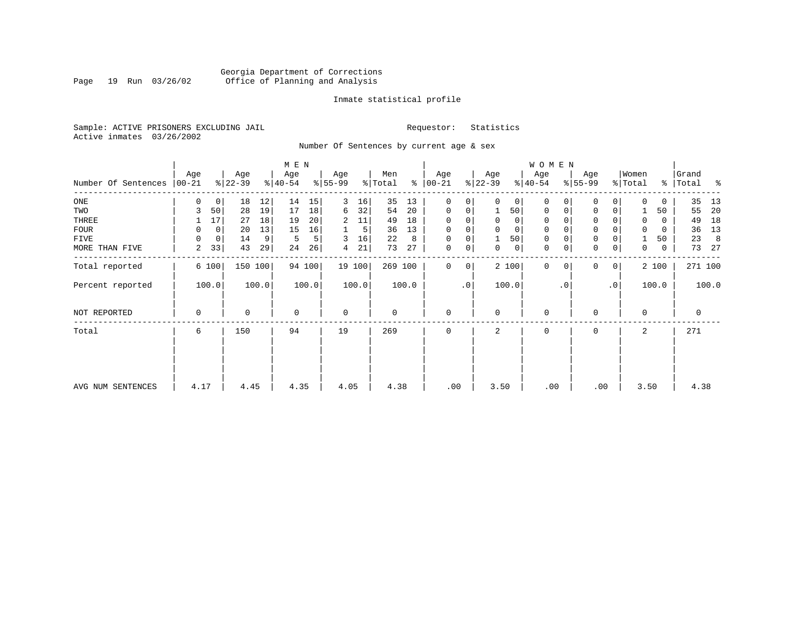## Georgia Department of Corrections<br>Page 19 Run 03/26/02 Office of Planning and Analysis Page 19 Run 03/26/02 Office of Planning and Analysis

## Inmate statistical profile

Sample: ACTIVE PRISONERS EXCLUDING JAIL **Requestor:** Statistics Active inmates 03/26/2002

Number Of Sentences by current age & sex

|                     |                 |             |                  |       | M E N            |        |                 |                |                |       |                      |                |                  |                | W O M E N        |           |                     |                 |                  |          |                |       |
|---------------------|-----------------|-------------|------------------|-------|------------------|--------|-----------------|----------------|----------------|-------|----------------------|----------------|------------------|----------------|------------------|-----------|---------------------|-----------------|------------------|----------|----------------|-------|
| Number Of Sentences | Age<br>$ 00-21$ |             | Age<br>$ 22-39 $ |       | Age<br>$ 40-54 $ |        | Age<br>$ 55-99$ |                | Men<br>% Total |       | Age<br>$8   00 - 21$ |                | Age<br>$ 22-39 $ |                | Age<br>$8 40-54$ |           | Age<br>$8 55-99$    |                 | Women<br>% Total | ွေ       | Grand<br>Total | ႜ     |
| $_{\rm ONE}$        | 0               | 0           | 18               | 12    | 14               | 15     | 3               | 16             | 35             | 13    | 0                    | 0              | 0                | 0 <sup>1</sup> | 0                |           | $\mathbf 0$         | 0               | $\Omega$         | 0        | 35             | 13    |
| TWO                 | 3               | 50          | 28               | 19    | 17               | 18     | 6               | 32             | 54             | 20    | 0                    | 0              |                  | 50             | 0                |           | 0                   | 0               |                  | 50       | 55             | 20    |
| THREE               |                 | 17          | 27               | 18    | 19               | 20     | 2               | 11             | 49             | 18    | $\Omega$             |                |                  | $\mathbf{0}$   | 0                |           | 0                   |                 | $\Omega$         | 0        | 49             | 18    |
| FOUR                | 0               | $\mathbf 0$ | 20               | 13    | 15               | 16     |                 | 5 <sup>1</sup> | 36             | 13    | $\Omega$             | 0              |                  | $\mathbf 0$    | $\Omega$         |           | $\mathsf{O}\xspace$ |                 |                  | $\Omega$ | 36             | 13    |
| FIVE                | $\Omega$        | 0           | 14               | 9     | 5                | 5      | 3               | 16             | 22             | 8     | 0                    | 0              |                  | 50             | 0                |           | $\mathbf 0$         |                 |                  | 50       | 23             | 8     |
| MORE THAN FIVE      | 2               | 33          | 43               | 29    | 24               | 26     | 4               | 21             | 73             | 27    | $\mathbf 0$          | $\overline{0}$ | 0                | 0              | 0                |           | $\mathsf{O}\xspace$ | 0               | $\mathbf 0$      | 0        | 73             | 27    |
| Total reported      |                 | 6 100       | 150 100          |       |                  | 94 100 |                 | 19 100         | 269 100        |       | $\Omega$             | $\overline{0}$ |                  | 2 100          | $\Omega$         | $\Omega$  | $\Omega$            | 0               |                  | 2 100    | 271 100        |       |
| Percent reported    |                 | 100.0       |                  | 100.0 |                  | 100.0  |                 | 100.0          |                | 100.0 |                      | $\cdot$ 0      |                  | 100.0          |                  | $\cdot$ 0 |                     | .0 <sup>1</sup> |                  | 100.0    |                | 100.0 |
| NOT REPORTED        | 0               |             | 0                |       | $\Omega$         |        | $\mathbf 0$     |                | 0              |       | 0                    |                | $\Omega$         |                | $\mathbf 0$      |           | 0                   |                 | $\Omega$         |          | 0              |       |
| Total               | 6               |             | 150              |       | 94               |        | 19              |                | 269            |       | $\Omega$             |                | 2                |                | 0                |           | 0                   |                 | 2                |          | 271            |       |
|                     |                 |             |                  |       |                  |        |                 |                |                |       |                      |                |                  |                |                  |           |                     |                 |                  |          |                |       |
| AVG NUM SENTENCES   | 4.17            |             | 4.45             |       | 4.35             |        | 4.05            |                | 4.38           |       | .00                  |                | 3.50             |                | .00              |           | .00                 |                 | 3.50             |          | 4.38           |       |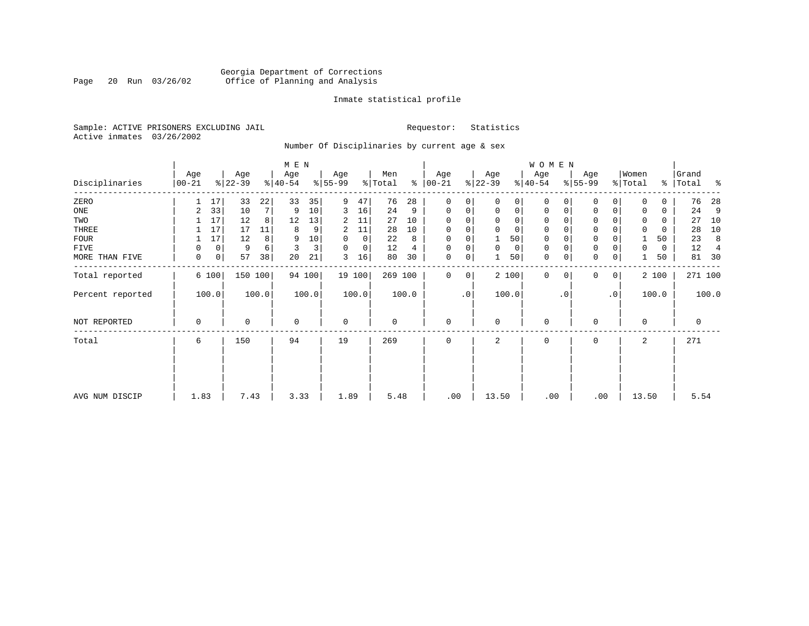## Georgia Department of Corrections Page 20 Run 03/26/02 Office of Planning and Analysis

## Inmate statistical profile

Sample: ACTIVE PRISONERS EXCLUDING JAIL **Requestor:** Statistics Active inmates 03/26/2002

Number Of Disciplinaries by current age & sex

|                  |                 |         |                  |         | M E N            |        |                 |             |                |       |                  |           |                  |       | W O M E N        |             |                  |              |                  |       |                    |                |
|------------------|-----------------|---------|------------------|---------|------------------|--------|-----------------|-------------|----------------|-------|------------------|-----------|------------------|-------|------------------|-------------|------------------|--------------|------------------|-------|--------------------|----------------|
| Disciplinaries   | Age<br>$ 00-21$ |         | Age<br>$ 22-39 $ |         | Age<br>$ 40-54 $ |        | Age<br>$ 55-99$ |             | Men<br>% Total | ి     | Age<br>$00 - 21$ |           | Age<br>$ 22-39 $ |       | Age<br>$ 40-54 $ |             | Age<br>$8 55-99$ |              | Women<br>% Total |       | Grand<br>%   Total | ႜ              |
| ZERO             |                 | 17      | 33               | 22      | 33               | 35     | 9               | 47          | 76             | 28    | $\mathbf 0$      | 0         | $\Omega$         | 0     | $\Omega$         | $\Omega$    | $\Omega$         | $\Omega$     | $\Omega$         | 0     | 76                 | 28             |
| ONE              | 2               | 33      | 10               | 7       | 9                | 10     | 3               | 16          | 24             | 9     | 0                | 0         | $\mathbf 0$      | 0     | 0                | 0           | 0                | 0            | $\Omega$         | 0     | 24                 | 9              |
| TWO              |                 | 17      | 12               | 8       | 12               | 13     | 2               | 11          | 27             | 10    | 0                |           |                  | 0     | 0                | $\Omega$    | 0                |              | 0                | 0     | 27                 | 10             |
| THREE            |                 | 17      | 17               | 11      | 8                | 9      | 2               | 11          | 28             | 10    | 0                |           | $\mathbf 0$      | 0     | 0                |             | 0                |              | $\mathbf 0$      | 0     | 28                 | 10             |
| <b>FOUR</b>      |                 | 17      | 12               | 8       | 9                | 10     | 0               | $\mathbf 0$ | 22             | 8     | $\mathbf 0$      |           |                  | 50    | 0                |             | $\mathbf 0$      |              |                  | 50    | 23                 | 8              |
| FIVE             | O               | 0       | 9                | 6       | 3                | 3      | 0               | 0           | 12             | 4     | 0                | 0         | $\mathbf 0$      | 0     | 0                | $\Omega$    | 0                |              | 0                | 0     | 12                 | $\overline{4}$ |
| MORE THAN FIVE   | 0               | $\circ$ | 57               | 38      | 20               | 21     | 3               | 16          | 80             | 30    | 0                | 0         |                  | 50    | $\mathbf 0$      | $\mathbf 0$ | $\mathbf 0$      | $\mathbf 0$  |                  | 50    | 81                 | 30             |
| Total reported   |                 | 6 100   |                  | 150 100 |                  | 94 100 |                 | 19 100      | 269 100        |       | $\mathbf 0$      | 0         |                  | 2 100 | $\mathbf 0$      | 0           | 0                | $\mathbf{0}$ |                  | 2 100 |                    | 271 100        |
| Percent reported |                 | 100.0   |                  | 100.0   |                  | 100.0  |                 | 100.0       |                | 100.0 |                  | $\cdot$ 0 |                  | 100.0 |                  | $\cdot$ 0   |                  | $\cdot$ 0    |                  | 100.0 |                    | 100.0          |
| NOT REPORTED     | 0               |         | 0                |         | 0                |        | 0               |             | 0              |       | $\mathbf 0$      |           | $\mathbf 0$      |       | 0                |             | 0                |              | $\mathbf 0$      |       | 0                  |                |
| Total            | 6               |         | 150              |         | 94               |        | 19              |             | 269            |       | $\mathbf 0$      |           | 2                |       | 0                |             | 0                |              | 2                |       | 271                |                |
|                  |                 |         |                  |         |                  |        |                 |             |                |       |                  |           |                  |       |                  |             |                  |              |                  |       |                    |                |
|                  |                 |         |                  |         |                  |        |                 |             |                |       |                  |           |                  |       |                  |             |                  |              |                  |       |                    |                |
| AVG NUM DISCIP   | 1.83            |         | 7.43             |         | 3.33             |        | 1.89            |             | 5.48           |       | .00              |           | 13.50            |       | .00              |             | .00              |              | 13.50            |       | 5.54               |                |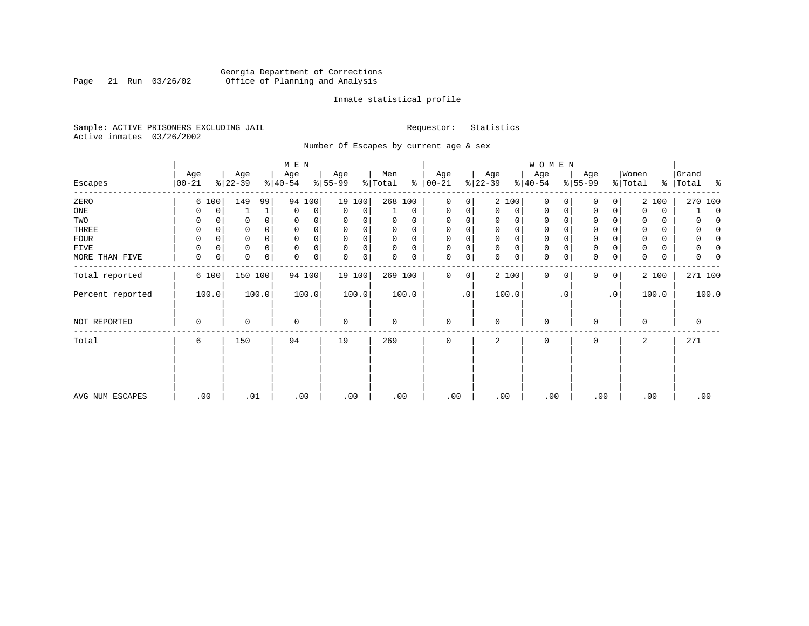## Georgia Department of Corrections<br>Page 21 Run 03/26/02 Office of Planning and Analysis Page 21 Run 03/26/02 Office of Planning and Analysis

## Inmate statistical profile

Sample: ACTIVE PRISONERS EXCLUDING JAIL **Requestor:** Statistics Active inmates 03/26/2002

Number Of Escapes by current age & sex

|                  |                  |       |                  |          | M E N            |        |                 |        |                |             |                  |           |                 |             | <b>WOMEN</b>     |           |                  |           |                  |       |                          |
|------------------|------------------|-------|------------------|----------|------------------|--------|-----------------|--------|----------------|-------------|------------------|-----------|-----------------|-------------|------------------|-----------|------------------|-----------|------------------|-------|--------------------------|
| Escapes          | Age<br>$00 - 21$ |       | Age<br>$ 22-39 $ |          | Age<br>$ 40-54 $ |        | Age<br>$ 55-99$ |        | Men<br>% Total | ៖           | Age<br>$00 - 21$ |           | Age<br>$ 22-39$ |             | Age<br>$ 40-54 $ |           | Age<br>$ 55-99 $ |           | Women<br>% Total | ွေ    | Grand<br> Total<br>း - ၁ |
| ZERO             |                  | 6 100 | 149              | 99       | 94               | 100    |                 | 19 100 | 268 100        |             | $\mathbf 0$      | 0         |                 | 2 100       | 0                |           | 0                | 0         |                  | 2 100 | 270 100                  |
| ONE              |                  | 0     |                  | 1        | 0                | 0      | 0               | 0      |                | $\mathbf 0$ | 0                | 0         | $\Omega$        | 0           | 0                | 0         | $\mathbf 0$      | 0         | 0                | 0     | $\Omega$                 |
| TWO              | 0                |       |                  |          | 0                | 0      | 0               |        | 0              | 0           | 0                |           | 0               | 0           | 0                |           | U                |           | 0                | 0     |                          |
| THREE            | 0                |       |                  |          | 0                |        | $\Omega$        | 0      | 0              | 0           | 0                |           | 0               | 0           | 0                |           | 0                |           | 0                | 0     |                          |
| <b>FOUR</b>      | $\Omega$         |       |                  |          | $\Omega$         | 0      | $\Omega$        | 0      | 0              | $\Omega$    | 0                |           | $\Omega$        | $\mathbf 0$ | $\mathbf 0$      |           | $\Omega$         |           | $\Omega$         | 0     |                          |
| FIVE             |                  | 0     |                  | $\Omega$ | $\mathbf 0$      | 0      | $\Omega$        | 0      | 0              | $\Omega$    | $\Omega$         | 0         | $\Omega$        | $\mathsf 0$ | 0                |           | $\Omega$         |           | 0                | 0     |                          |
| MORE THAN FIVE   | 0                | 0     | 0                | 0        | 0                | 0      | 0               | 0      | 0              | 0           | 0                | 0         | $\Omega$        | $\mathbf 0$ | $\mathbf 0$      |           | $\Omega$         | 0         | 0                | 0     |                          |
| Total reported   |                  | 6 100 | 150 100          |          |                  | 94 100 |                 | 19 100 | 269 100        |             | 0                | 0         |                 | 2 100       | $\mathbf{0}$     | $\Omega$  | 0                | $\circ$   |                  | 2 100 | 271 100                  |
| Percent reported |                  | 100.0 |                  | 100.0    |                  | 100.0  |                 | 100.0  |                | 100.0       |                  | $\cdot$ 0 |                 | 100.0       |                  | $\cdot$ 0 |                  | $\cdot$ 0 |                  | 100.0 | 100.0                    |
| NOT REPORTED     | $\Omega$         |       | 0                |          | $\mathbf 0$      |        | 0               |        | 0              |             | 0                |           | $\Omega$        |             | 0                |           | 0                |           | $\mathbf 0$      |       | $\mathbf 0$              |
| Total            | 6                |       | 150              |          | 94               |        | 19              |        | 269            |             | 0                |           | 2               |             | 0                |           | $\mathbf 0$      |           | 2                |       | 271                      |
|                  |                  |       |                  |          |                  |        |                 |        |                |             |                  |           |                 |             |                  |           |                  |           |                  |       |                          |
| AVG NUM ESCAPES  | .00              |       | .01              |          | .00              |        | .00             |        | .00            |             | .00              |           | .00             |             | .00              |           | .00              |           |                  | .00   | .00                      |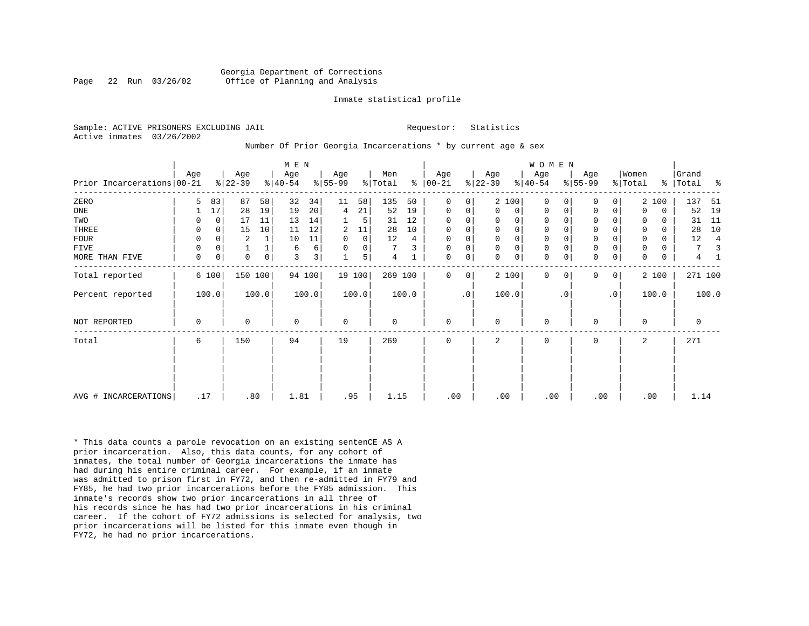#### Georgia Department of Corrections Page 22 Run 03/26/02 Office of Planning and Analysis

#### Inmate statistical profile

Sample: ACTIVE PRISONERS EXCLUDING JAIL **Requestor:** Statistics Active inmates 03/26/2002

## Number Of Prior Georgia Incarcerations \* by current age & sex

|                            |             |             |                  |                | M E N            |                |                  |             |                |       |                   |              |                  |              | WOMEN            |           |                  |                |                  |             |                |       |
|----------------------------|-------------|-------------|------------------|----------------|------------------|----------------|------------------|-------------|----------------|-------|-------------------|--------------|------------------|--------------|------------------|-----------|------------------|----------------|------------------|-------------|----------------|-------|
| Prior Incarcerations 00-21 | Age         |             | Age<br>$8 22-39$ |                | Age<br>$ 40-54 $ |                | Age<br>$ 55-99 $ |             | Men<br>% Total | ⊱     | Age<br>$ 00 - 21$ |              | Age<br>$ 22-39 $ |              | Age<br>$8 40-54$ |           | Age<br>$ 55-99 $ |                | Women<br>% Total | ႜၟ          | Grand<br>Total | ႜ     |
| ZERO                       | 5           | 83          | 87               | 58             | 32               | 34             | 11               | 58          | 135            | 50    | 0                 | 0            |                  | 2 100        | $\Omega$         | $\Omega$  | $\Omega$         | 0              |                  | 2 100       | 137            | 51    |
| ONE                        |             | 17          | 28               | 19             | 19               | 20             | 4                | 21          | 52             | 19    | 0                 | $\mathbf{0}$ | $\Omega$         | 0            | 0                | 0         | $\mathbf 0$      | 0              | $\Omega$         | $\mathbf 0$ | 52             | 19    |
| TWO                        | 0           | $\Omega$    | 17               | 11             | 13               | 14             |                  | 5           | 31             | 12    | 0                 | 0            | 0                | 0            | 0                |           | 0                |                | 0                | 0           | 31             | 11    |
| THREE                      | 0           | $\Omega$    | 15               | 10             | 11               | 12             | 2                | 11          | 28             | 10    | 0                 | 0            | $\mathbf 0$      | $\mathsf{O}$ | $\mathsf 0$      |           | $\mathbf 0$      | 0              | $\Omega$         | $\Omega$    | 28             | 10    |
| <b>FOUR</b>                | 0           | $\Omega$    | $\overline{2}$   |                | 10               | 11             | $\mathbf 0$      | $\mathbf 0$ | 12             | 4     | $\mathbf 0$       | 0            | $\mathbf 0$      | $\mathsf{O}$ | 0                |           | $\mathbf 0$      |                | 0                | 0           | 12             | 4     |
| FIVE                       | 0           | 0           |                  |                | 6                | 6              | 0                | 0           | 7              | 3     | $\mathbf 0$       | 0            | $\mathbf 0$      | $\mathbf 0$  | $\mathbf 0$      |           | $\mathsf 0$      | 0              | 0                | 0           | 7              |       |
| MORE THAN FIVE             | $\mathbf 0$ | $\mathbf 0$ | $\Omega$         | $\overline{0}$ | 3                | 3 <sup>1</sup> |                  | 5           | 4              |       | 0                 | 0            | $\Omega$         | $\mathsf{O}$ | $\mathbf 0$      | 0         | $\mathbf 0$      | $\mathbf 0$    | $\Omega$         | $\mathbf 0$ | 4              |       |
| Total reported             |             | 6 100       | 150 100          |                |                  | 94 100         |                  | 19 100      | 269 100        |       | $\Omega$          | 0            |                  | 2 100        | $\Omega$         | $\Omega$  | $\mathbf 0$      | $\overline{0}$ |                  | 2 100       | 271 100        |       |
| Percent reported           |             | 100.0       |                  | 100.0          |                  | 100.0          |                  | 100.0       |                | 100.0 |                   | $\cdot$ 0    |                  | 100.0        |                  | $\cdot$ 0 |                  | $\cdot$ 0      |                  | 100.0       |                | 100.0 |
| NOT REPORTED               | 0           |             | $\Omega$         |                | 0                |                | $\mathbf 0$      |             | 0              |       | $\mathbf 0$       |              | $\Omega$         |              | $\mathbf 0$      |           | $\mathbf 0$      |                | $\Omega$         |             | 0              |       |
| Total                      | 6           |             | 150              |                | 94               |                | 19               |             | 269            |       | 0                 |              | 2                |              | 0                |           | $\mathbf 0$      |                | 2                |             | 271            |       |
|                            |             |             |                  |                |                  |                |                  |             |                |       |                   |              |                  |              |                  |           |                  |                |                  |             |                |       |
| AVG # INCARCERATIONS       | .17         |             | .80              |                | 1.81             |                | .95              |             | 1.15           |       | .00               |              | .00              |              | .00              |           | .00              |                | .00              |             | 1.14           |       |

\* This data counts a parole revocation on an existing sentenCE AS A prior incarceration. Also, this data counts, for any cohort of inmates, the total number of Georgia incarcerations the inmate has had during his entire criminal career. For example, if an inmate was admitted to prison first in FY72, and then re-admitted in FY79 and FY85, he had two prior incarcerations before the FY85 admission. This inmate's records show two prior incarcerations in all three of his records since he has had two prior incarcerations in his criminal career. If the cohort of FY72 admissions is selected for analysis, two prior incarcerations will be listed for this inmate even though in FY72, he had no prior incarcerations.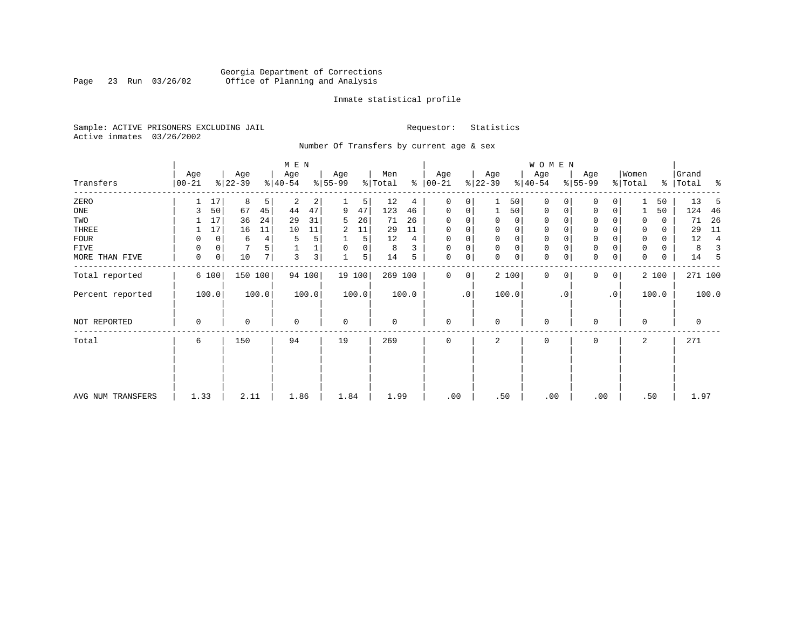## Georgia Department of Corrections<br>Page 23 Run 03/26/02 Office of Planning and Analysis Page 23 Run 03/26/02 Office of Planning and Analysis

## Inmate statistical profile

Sample: ACTIVE PRISONERS EXCLUDING JAIL **Requestor:** Statistics Active inmates 03/26/2002

Number Of Transfers by current age & sex

|                   |                |                  |         | M E N            |                |                  |        |                |       |                 |           |                  |       | <b>WOMEN</b>     |          |                  |                 |                  |       |                 |       |
|-------------------|----------------|------------------|---------|------------------|----------------|------------------|--------|----------------|-------|-----------------|-----------|------------------|-------|------------------|----------|------------------|-----------------|------------------|-------|-----------------|-------|
| Transfers         | Age<br>  00-21 | Age<br>$ 22-39 $ |         | Age<br>$8 40-54$ |                | Age<br>$8 55-99$ |        | Men<br>% Total | ⊱     | Age<br>$ 00-21$ |           | Age<br>$ 22-39 $ |       | Age<br>$ 40-54 $ |          | Age<br>$8 55-99$ |                 | Women<br>% Total | ွေ    | Grand<br> Total | ႜ     |
| ZERO              |                | 17<br>8          | 5       | 2                | 2              |                  | 5      | 12             | 4     | $\mathbf 0$     | 0         |                  | 50    | $\mathbf 0$      |          | $\Omega$         |                 |                  | 50    | 13              | 5     |
| ONE               | 3              | 50<br>67         | 45      | 44               | 47             | 9                | 47     | 123            | 46    | 0               | 0         | 1                | 50    | 0                | 0        | $\mathbf 0$      | 0               |                  | 50    | 124             | 46    |
| TWO               |                | 36<br>17         | 24      | 29               | 31             | 5                | 26     | 71             | 26    | $\Omega$        |           | 0                | 0     | 0                |          | $\mathbf 0$      |                 | 0                | 0     | 71              | 26    |
| THREE             |                | 17<br>16         | 11      | 10               | 11             | 2                | 11     | 29             | 11    | 0               |           | 0                | 0     | 0                |          | $\mathbf 0$      |                 | 0                | 0     | 29              | 11    |
| <b>FOUR</b>       | 0              | 0<br>6           | 4       | 5                | 5              |                  | 5      | 12             | 4     | 0               |           | $\Omega$         | 0     | $\mathbf 0$      |          | $\Omega$         |                 | 0                | 0     | 12              | 4     |
| FIVE              | 0              | 0                |         |                  |                | 0                | 0      | 8              | 3     | $\Omega$        | 0         | $\mathbf 0$      | 0     | 0                |          | $\mathbf 0$      |                 | 0                | 0     | 8               | 3     |
| MORE THAN FIVE    | 0              | 0<br>10          | 7       | 3                | 3 <sup>1</sup> | $\mathbf{1}$     | 5      | 14             | 5     | 0               | 0         | $\Omega$         | 0     | $\mathbf 0$      | 0        | $\Omega$         | 0               | $\Omega$         | 0     | 14              | 5     |
| Total reported    | 6 100          |                  | 150 100 |                  | 94 100         |                  | 19 100 | 269 100        |       | $\Omega$        | 0         |                  | 2 100 | $\mathbf 0$      | $\Omega$ | $\Omega$         | $\overline{0}$  |                  | 2 100 | 271 100         |       |
| Percent reported  | 100.0          |                  | 100.0   |                  | 100.0          |                  | 100.0  |                | 100.0 |                 | $\cdot$ 0 |                  | 100.0 |                  | . 0      |                  | .0 <sup>1</sup> |                  | 100.0 |                 | 100.0 |
| NOT REPORTED      | $\mathbf 0$    | 0                |         | $\mathbf 0$      |                | $\mathbf 0$      |        | $\mathbf 0$    |       | $\mathbf 0$     |           | $\mathbf 0$      |       | $\mathbf 0$      |          | $\Omega$         |                 | $\mathbf 0$      |       | $\mathbf 0$     |       |
| Total             | 6              | 150              |         | 94               |                | 19               |        | 269            |       | $\mathbf 0$     |           | 2                |       | 0                |          | $\Omega$         |                 | 2                |       | 271             |       |
|                   |                |                  |         |                  |                |                  |        |                |       |                 |           |                  |       |                  |          |                  |                 |                  |       |                 |       |
| AVG NUM TRANSFERS | 1.33           |                  | 2.11    | 1.86             |                | 1.84             |        | 1.99           |       | .00             |           | .50              |       | .00              |          | .00              |                 |                  | .50   | 1.97            |       |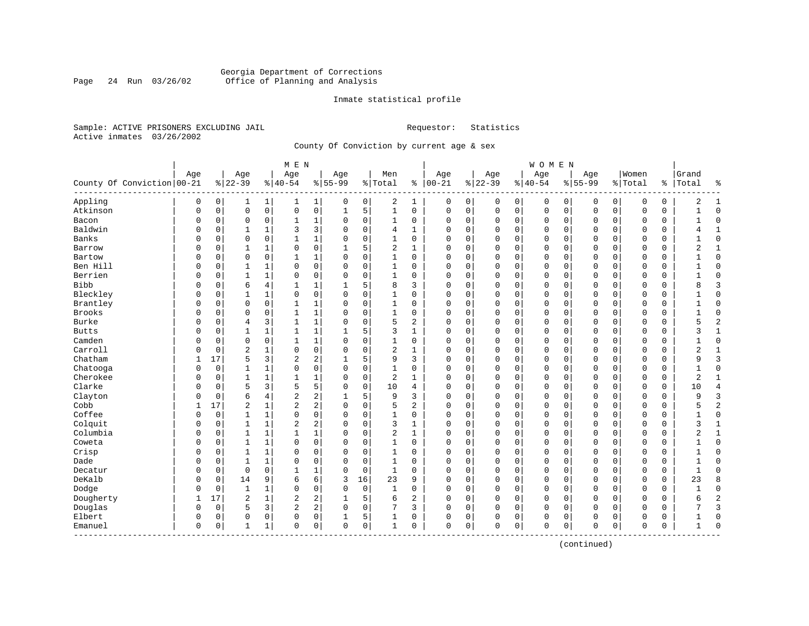## Georgia Department of Corrections Page 24 Run 03/26/02 Office of Planning and Analysis

## Inmate statistical profile

Sample: ACTIVE PRISONERS EXCLUDING JAIL **Requestor:** Statistics Active inmates 03/26/2002

County Of Conviction by current age & sex

|                            |             |          |                |              | M E N          |             |             |             |                |                |              |             |             |             | <b>WOMEN</b> |              |             |             |             |             |              |                |
|----------------------------|-------------|----------|----------------|--------------|----------------|-------------|-------------|-------------|----------------|----------------|--------------|-------------|-------------|-------------|--------------|--------------|-------------|-------------|-------------|-------------|--------------|----------------|
|                            | Age         |          | Age            |              | Age            |             | Age         |             | Men            |                | Age          |             | Age         |             | Age          |              | Age         |             | Women       |             | Grand        |                |
| County Of Conviction 00-21 |             |          | $8 22-39$      |              | $8 40-54$      |             | $8 55-99$   |             | %   Total      |                | $% 100 - 21$ |             | $ 22-39$    |             | $8 40-54$    |              | $8155 - 99$ |             | % Total     | ႜၟ          | Total        | ႜ              |
| Appling                    | 0           | 0        | 1              | 1            | 1              | $\mathbf 1$ | 0           | 0           | 2              | 1              | 0            | 0           | 0           | 0           | 0            | 0            | 0           | 0           | 0           | 0           | 2            | 1              |
| Atkinson                   | $\mathbf 0$ | 0        | $\mathbf 0$    | $\mathsf{O}$ | $\mathsf 0$    | 0           | $\mathbf 1$ | 5           | $\mathbf{1}$   | 0              | 0            | 0           | $\mathbf 0$ | $\mathbf 0$ | 0            | $\mathbf 0$  | $\Omega$    | $\mathbf 0$ | O           | 0           | $\mathbf{1}$ | $\mathbf 0$    |
| Bacon                      | 0           | 0        | $\mathbf 0$    | 0            | 1              | 1           | 0           | 0           | 1              | 0              | O            | 0           | $\Omega$    | 0           | 0            | $\mathbf 0$  | 0           | 0           | O           | 0           | $\mathbf{1}$ | $\mathbf 0$    |
| Baldwin                    | 0           | 0        | $\mathbf{1}$   | 1            | 3              | 3           | $\Omega$    | $\mathbf 0$ | 4              | $\mathbf{1}$   | $\Omega$     | 0           | $\Omega$    | $\mathbf 0$ | $\Omega$     | $\mathbf 0$  | $\Omega$    | $\Omega$    | $\Omega$    | 0           | 4            | $\mathbf{1}$   |
| Banks                      | O           | 0        | $\mathbf 0$    | $\mathbf 0$  | $\mathbf{1}$   | 1           | $\Omega$    | $\mathbf 0$ | $\mathbf{1}$   | $\Omega$       | $\Omega$     | 0           | $\Omega$    | $\Omega$    | $\Omega$     | $\sqrt{ }$   | $\Omega$    | $\Omega$    | $\Omega$    | $\Omega$    |              | $\mathbf 0$    |
| Barrow                     | U           | 0        | 1              | 1            | $\Omega$       | 0           | 1           | 5           | $\overline{2}$ | $\mathbf{1}$   | 0            | 0           | $\Omega$    | $\Omega$    | 0            | $\Omega$     | $\Omega$    | $\Omega$    | $\Omega$    | 0           | 2            | 1              |
| Bartow                     | 0           | 0        | $\mathbf 0$    | $\mathbf 0$  | 1              | $\mathbf 1$ | $\Omega$    | $\mathbf 0$ | 1              | 0              | 0            | 0           | $\Omega$    | 0           | 0            | 0            | $\Omega$    | 0           | $\Omega$    | 0           |              | $\mathbf 0$    |
| Ben Hill                   | 0           | 0        | 1              | 1            | 0              | 0           | $\Omega$    | $\mathbf 0$ | 1              | 0              | C            | 0           | $\Omega$    | 0           | 0            | 0            | $\Omega$    | 0           | 0           | 0           |              | $\mathbf 0$    |
| Berrien                    | 0           | 0        | $\mathbf{1}$   | $\mathbf{1}$ | $\mathbf 0$    | 0           | $\Omega$    | $\mathbf 0$ | $\mathbf{1}$   | $\Omega$       | $\Omega$     | 0           | $\Omega$    | $\Omega$    | $\Omega$     | $\mathbf 0$  | $\Omega$    | $\Omega$    | $\Omega$    | 0           | $\mathbf{1}$ | $\Omega$       |
| <b>Bibb</b>                | O           | 0        | 6              | 4            | $\mathbf{1}$   | 1           |             | 5           | 8              | 3              | $\Omega$     | 0           | $\Omega$    | 0           | 0            | $\mathbf 0$  | $\Omega$    | $\Omega$    | $\Omega$    | 0           | 8            | 3              |
| Bleckley                   | O           | 0        | $\mathbf{1}$   | $\mathbf{1}$ | $\mathbf 0$    | 0           | $\Omega$    | $\mathbf 0$ | $\mathbf{1}$   | 0              | $\Omega$     | 0           | $\Omega$    | $\mathbf 0$ | $\Omega$     | $\mathbf 0$  | $\Omega$    | $\Omega$    | $\Omega$    | $\Omega$    |              | $\mathbf 0$    |
| Brantley                   | 0           | 0        | $\mathbf 0$    | $\mathbf 0$  | $\mathbf{1}$   | 1           | $\Omega$    | $\mathbf 0$ | 1              | $\Omega$       | $\Omega$     | 0           | $\Omega$    | $\mathbf 0$ | $\Omega$     | $\mathbf 0$  | $\Omega$    | $\Omega$    | $\mathbf 0$ | 0           |              | $\mathbf 0$    |
| Brooks                     | 0           | 0        | $\mathbf 0$    | 0            | 1              | 1           | $\Omega$    | $\mathbf 0$ | 1              | 0              | O            | 0           | $\Omega$    | 0           | 0            | 0            | 0           | 0           | 0           | 0           |              | $\mathbf 0$    |
| Burke                      | 0           | 0        | 4              | 3            | 1              | 1           | $\Omega$    | $\mathbf 0$ | 5              | $\overline{a}$ | $\Omega$     | 0           | $\Omega$    | 0           | 0            | $\mathbf 0$  | $\Omega$    | 0           | O           | 0           | 5            | $\overline{c}$ |
| <b>Butts</b>               | 0           | 0        | $\mathbf{1}$   | 1            | 1              | 1           | 1           | 5           | 3              | 1              | $\Omega$     | 0           | $\Omega$    | 0           | 0            | $\Omega$     | $\Omega$    | 0           | $\Omega$    | 0           | 3            | $\mathbf{1}$   |
| Camden                     | O           | 0        | $\mathbf 0$    | 0            | $\mathbf{1}$   | 1           | $\Omega$    | $\mathbf 0$ | $\mathbf{1}$   | 0              | $\Omega$     | 0           | $\Omega$    | 0           | 0            | $\Omega$     | $\Omega$    | 0           | $\Omega$    | 0           |              | $\mathbf 0$    |
| Carroll                    | O           | $\Omega$ | $\overline{c}$ | 1            | $\mathbf 0$    | 0           | $\Omega$    | $\mathbf 0$ | 2              | 1              | C            | 0           | $\Omega$    | $\Omega$    | $\Omega$     | 0            | $\Omega$    | $\Omega$    | $\Omega$    | $\Omega$    | 2            | $\mathbf{1}$   |
| Chatham                    | 1           | 17       | 5              | 3            | 2              | 2           | 1           | 5           | 9              | 3              | O            | 0           | $\Omega$    | 0           | 0            | 0            | $\Omega$    | $\Omega$    | $\Omega$    | 0           | 9            | 3              |
| Chatooga                   | 0           | 0        | 1              | $\mathbf{1}$ | 0              | 0           | $\Omega$    | $\mathbf 0$ | 1              | 0              | O            | 0           | $\Omega$    | 0           | 0            | $\mathbf 0$  | 0           | 0           | 0           | 0           |              | $\mathbf 0$    |
| Cherokee                   | 0           | 0        | 1              | 1            | 1              | 1           | $\Omega$    | $\mathbf 0$ | $\overline{2}$ | $\mathbf{1}$   | $\Omega$     | 0           | $\Omega$    | 0           | 0            | $\mathbf 0$  | $\Omega$    | 0           | O           | 0           | 2            | $\mathbf{1}$   |
| Clarke                     | 0           | 0        | 5              | 3            | 5              | 5           | $\Omega$    | $\mathbf 0$ | 10             | 4              | $\Omega$     | 0           | $\Omega$    | $\mathbf 0$ | $\Omega$     | $\mathbf 0$  | $\Omega$    | $\Omega$    | $\Omega$    | $\mathbf 0$ | 10           | $\overline{4}$ |
| Clayton                    | U           | 0        | 6              | 4            | 2              | 2           |             | 5           | 9              | 3              | $\Omega$     | 0           | $\Omega$    | 0           | 0            | $\mathbf 0$  | $\Omega$    | 0           | 0           | 0           | 9            | 3              |
| Cobb                       |             | 17       | $\overline{c}$ | 1            | 2              | 2           | $\Omega$    | $\mathbf 0$ | 5              | 2              | O            | 0           | $\Omega$    | 0           | $\Omega$     | $\mathbf 0$  | $\Omega$    | 0           | $\Omega$    | $\Omega$    |              | $\overline{2}$ |
| Coffee                     | U           | 0        | 1              | 1            | 0              | 0           | $\Omega$    | 0           | 1              | 0              | $\Omega$     | 0           | $\Omega$    | 0           | 0            | 0            | $\Omega$    | $\Omega$    | $\mathbf 0$ | 0           | 1            | $\mathbf 0$    |
| Colquit                    | 0           | 0        | 1              | 1            | $\overline{2}$ | 2           | $\Omega$    | $\mathbf 0$ | 3              | 1              | $\mathbf 0$  | 0           | $\Omega$    | 0           | 0            | 0            | 0           | 0           | $\mathbf 0$ | 0           | 3            | 1              |
| Columbia                   | 0           | 0        | $\mathbf{1}$   | $\mathbf{1}$ | $\mathbf{1}$   | $\mathbf 1$ | $\Omega$    | $\mathbf 0$ | $\overline{2}$ | $\mathbf{1}$   | $\Omega$     | 0           | $\Omega$    | $\mathbf 0$ | $\Omega$     | $\mathbf 0$  | $\Omega$    | $\Omega$    | $\Omega$    | 0           | 2            | $\mathbf{1}$   |
| Coweta                     | 0           | 0        | $\mathbf{1}$   | $\mathbf{1}$ | $\mathbf 0$    | 0           | $\Omega$    | $\mathbf 0$ | $\mathbf{1}$   | $\Omega$       | $\Omega$     | 0           | $\Omega$    | $\mathbf 0$ | $\Omega$     | $\Omega$     | $\Omega$    | $\Omega$    | $\Omega$    | 0           | 1            | $\mathbf 0$    |
| Crisp                      | 0           | 0        | $\mathbf{1}$   | 1            | $\Omega$       | 0           | $\Omega$    | 0           | 1              | 0              | $\Omega$     | 0           | $\Omega$    | 0           | 0            | 0            | $\Omega$    | 0           | $\Omega$    | 0           |              | $\mathbf 0$    |
| Dade                       | 0           | 0        | $\mathbf{1}$   | 1            | $\Omega$       | 0           | $\Omega$    | $\mathbf 0$ | 1              | 0              | C            | 0           | $\Omega$    | $\Omega$    | 0            | $\Omega$     | $\Omega$    | 0           | $\Omega$    | $\Omega$    |              | $\mathbf 0$    |
| Decatur                    | 0           | 0        | $\mathbf 0$    | 0            | $\mathbf{1}$   | 1           | 0           | 0           | 1              | 0              | $\Omega$     | 0           | $\Omega$    | 0           | $\Omega$     | $\mathsf{C}$ | $\Omega$    | $\Omega$    | $\mathbf 0$ | 0           | $\mathbf{1}$ | $\Omega$       |
| DeKalb                     | 0           | 0        | 14             | 9            | 6              | 6           | 3           | 16          | 23             | 9              | $\mathbf 0$  | 0           | $\Omega$    | $\mathbf 0$ | $\Omega$     | $\mathbf 0$  | $\Omega$    | $\Omega$    | $\Omega$    | 0           | 23           | 8              |
| Dodge                      | 0           | 0        | $\mathbf{1}$   | $\mathbf{1}$ | $\Omega$       | 0           | $\Omega$    | $\mathbf 0$ | $\mathbf{1}$   | $\Omega$       | $\Omega$     | $\mathbf 0$ | $\Omega$    | $\mathbf 0$ | $\Omega$     | $\mathbf 0$  | $\Omega$    | $\mathbf 0$ | $\Omega$    | 0           |              | $\mathbf 0$    |
| Dougherty                  | 1           | 17       | $\overline{2}$ | $\mathbf{1}$ | $\sqrt{2}$     | 2           | 1           | 5           | 6              | $\overline{c}$ | $\Omega$     | 0           | $\Omega$    | 0           | $\Omega$     | $\mathbf 0$  | $\Omega$    | $\Omega$    | $\Omega$    | 0           | 6            | $\overline{2}$ |
| Douglas                    | 0           | 0        | 5              | 3            | 2              | 2           | 0           | 0           | 7              | 3              | $\Omega$     | 0           | $\Omega$    | 0           | 0            | 0            | $\Omega$    | 0           | $\Omega$    | 0           |              | 3              |
| Elbert                     | 0           | 0        | $\mathbf 0$    | 0            | 0              | 0           |             | 5           | 1              | 0              | 0            | 0           | $\Omega$    | 0           | 0            | 0            | 0           | 0           | $\Omega$    | 0           |              | $\mathbf 0$    |
| Emanuel<br>---------       | $\mathbf 0$ | 0        | 1              | $\mathbf{1}$ | 0              | 0           | 0           | 0           | 1              | 0              | 0            | 0           | $\Omega$    | 0           | 0            | 0            | $\Omega$    | 0           | $\mathbf 0$ | 0           | 1            | $\bigcap$      |

(continued)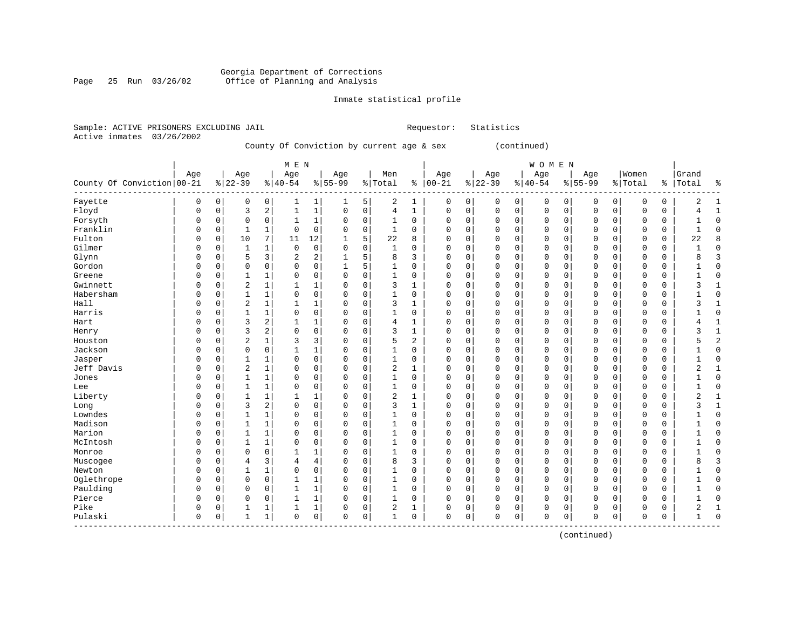#### Georgia Department of Corrections Page 25 Run 03/26/02 Office of Planning and Analysis

## Inmate statistical profile

|  |                           | Sample: ACTIVE PRISONERS EXCLUDING JAIL |                                           | Requestor: Statistics |              |  |
|--|---------------------------|-----------------------------------------|-------------------------------------------|-----------------------|--------------|--|
|  | Active inmates 03/26/2002 |                                         |                                           |                       |              |  |
|  |                           |                                         | County Of Conviction by current age & sex |                       | (continued)  |  |
|  |                           |                                         | M E N                                     |                       | <b>WOMEN</b> |  |

| County Of Conviction   00-21 | Age      |             | Age<br>$8 22-39$ |                | Age<br>$% 40 - 54$ |                | Age<br>$8 55-99$ |             | Men<br>%   Total |              | Age<br>$8   00 - 21$ |             | Age<br>$ 22-39$ |             | Age<br>$ 40-54$ |          | Age<br>$8155 - 99$ |             | Women<br>% Total |   | Grand<br>%   Total | ႜ              |
|------------------------------|----------|-------------|------------------|----------------|--------------------|----------------|------------------|-------------|------------------|--------------|----------------------|-------------|-----------------|-------------|-----------------|----------|--------------------|-------------|------------------|---|--------------------|----------------|
| Fayette                      | 0        | 0           | 0                | $\overline{0}$ | 1                  | 1              | 1                | 5           | 2                | 1            | 0                    | 0           | 0               | 0           | 0               | 0        | 0                  | 0           | 0                | 0 | 2                  | 1              |
| Floyd                        | 0        | 0           | 3                | $\overline{2}$ | 1                  | $\mathbf{1}$   | $\mathbf 0$      | $\mathbf 0$ | 4                | 1            | $\Omega$             | $\mathsf 0$ | $\Omega$        | $\mathbf 0$ | $\mathbf 0$     | 0        | $\mathbf 0$        | 0           | $\Omega$         | 0 | 4                  | $\mathbf{1}$   |
| Forsyth                      | O        | $\mathbf 0$ | $\Omega$         | $\mathbf 0$    | 1                  | $\mathbf{1}$   | $\Omega$         | $\mathbf 0$ | $\mathbf{1}$     | 0            | $\Omega$             | $\mathbf 0$ | $\Omega$        | 0           | $\mathbf{0}$    | 0        | $\mathbf 0$        | 0           | $\Omega$         | 0 |                    | $\mathbf 0$    |
| Franklin                     | O        | $\mathbf 0$ | $\mathbf{1}$     | $\mathbf{1}$   | 0                  | $\Omega$       | $\Omega$         | $\Omega$    | $\mathbf{1}$     | $\Omega$     | $\cap$               | $\Omega$    | $\Omega$        | $\Omega$    | $\mathbf{0}$    | $\Omega$ | $\Omega$           | $\mathbf 0$ | $\mathbf 0$      | 0 |                    | $\bigcap$      |
| Fulton                       | $\cap$   | $\mathbf 0$ | 10               | 7              | 11                 | 12             | 1                | 5           | 22               | 8            | ∩                    | $\Omega$    | $\Omega$        | $\Omega$    | $\mathbf 0$     | $\Omega$ | $\mathbf 0$        | 0           | 0                | 0 | 22                 | 8              |
| Gilmer                       | O        | $\mathbf 0$ | 1                | 1              | 0                  | $\mathbf 0$    | $\Omega$         | $\mathbf 0$ | 1                | 0            | $\Omega$             | $\mathbf 0$ | $\Omega$        | $\Omega$    | $\Omega$        | $\Omega$ | $\mathbf 0$        | 0           | 0                | 0 | 1                  | $\Omega$       |
| Glynn                        | 0        | $\mathbf 0$ | 5                | $\overline{3}$ | 2                  | $\overline{a}$ |                  | 5           | 8                | 3            | O                    | $\mathbf 0$ | 0               | $\Omega$    | $\Omega$        | $\Omega$ | $\mathbf 0$        | $\mathbf 0$ | 0                | 0 | 8                  |                |
| Gordon                       | O        | $\mathbf 0$ | 0                | $\Omega$       | 0                  | $\Omega$       |                  | 5           |                  | 0            | O                    | $\mathbf 0$ | $\Omega$        | $\Omega$    | $\Omega$        | $\Omega$ | $\mathbf 0$        | $\mathbf 0$ | 0                | 0 |                    | $\mathbf 0$    |
| Greene                       | O        | $\mathbf 0$ | 1                | $\mathbf{1}$   | 0                  | $\Omega$       | $\Omega$         | $\mathbf 0$ | $\mathbf{1}$     | 0            | O                    | $\mathbf 0$ | 0               | 0           | $\Omega$        | $\Omega$ | $\mathbf 0$        | $\mathbf 0$ | 0                | 0 |                    | $\Omega$       |
| Gwinnett                     | O        | $\mathbf 0$ | $\overline{2}$   | $\mathbf{1}$   | 1                  | 1              | $\Omega$         | $\mathbf 0$ | 3                | 1            |                      | $\mathbf 0$ | $\Omega$        | $\mathbf 0$ | $\Omega$        | 0        | $\mathbf 0$        | $\mathbf 0$ | $\Omega$         | 0 | 3                  | $\mathbf{1}$   |
| Habersham                    |          | $\mathbf 0$ | 1                | $\mathbf{1}$   | 0                  | $\mathbf 0$    | $\Omega$         | $\mathbf 0$ | $\mathbf{1}$     | 0            |                      | $\mathbf 0$ | $\Omega$        | $\mathbf 0$ | $\Omega$        | 0        | $\mathbf 0$        | $\mathbf 0$ | $\Omega$         | 0 |                    | $\mathbf 0$    |
| Hall                         | $\Omega$ | $\mathbf 0$ | 2                | $\mathbf{1}$   | $\mathbf{1}$       | $\mathbf{1}$   | $\Omega$         | $\mathbf 0$ | 3                | $\mathbf{1}$ |                      | $\mathbf 0$ | $\Omega$        | 0           | $\Omega$        | 0        | $\mathbf 0$        | 0           | $\Omega$         | 0 | 3                  | $\mathbf{1}$   |
| Harris                       |          | $\Omega$    | 1                | $\mathbf{1}$   | 0                  | 0              | $\Omega$         | 0           | $\mathbf{1}$     | 0            | $\cap$               | 0           | 0               | $\Omega$    | 0               | 0        | $\mathbf 0$        | 0           | 0                | 0 |                    | $\mathbf 0$    |
| Hart                         | U        | $\mathbf 0$ | 3                | 2              | 1                  | 1              | $\Omega$         | 0           | 4                | 1            | $\cap$               | $\mathbf 0$ | $\Omega$        | 0           | 0               | 0        | $\mathbf 0$        | 0           | 0                | 0 |                    | $\mathbf{1}$   |
| Henry                        | O        | $\mathbf 0$ | 3                | 2              | 0                  | 0              | $\Omega$         | 0           | 3                | 1            | $\Omega$             | 0           | 0               | $\Omega$    | $\Omega$        | 0        | $\mathbf 0$        | 0           | 0                | 0 |                    | $\mathbf{1}$   |
| Houston                      | $\Omega$ | $\mathbf 0$ | 2                | 1              | 3                  | 3              | $\Omega$         | 0           | 5                | 2            | $\Omega$             | 0           | $\Omega$        | 0           | 0               | 0        | $\mathbf 0$        | 0           | 0                | 0 |                    | $\overline{2}$ |
| Jackson                      | O        | $\mathbf 0$ | 0                | 0              |                    | 1              | $\Omega$         | 0           |                  | 0            | O                    | 0           | 0               | 0           | $\Omega$        | $\Omega$ | 0                  | 0           | $\Omega$         | 0 |                    | $\mathbf 0$    |
| Jasper                       | O        | $\mathbf 0$ | 1                | 1              | 0                  | 0              | $\Omega$         | $\mathbf 0$ | -1               | 0            |                      | $\mathbf 0$ | C               | 0           | $\Omega$        | $\Omega$ | $\mathbf 0$        | 0           | $\Omega$         | 0 |                    | $\Omega$       |
| Jeff Davis                   | O        | $\mathbf 0$ | 2                | $\mathbf{1}$   | 0                  | $\Omega$       | $\Omega$         | $\Omega$    | 2                | $\mathbf{1}$ | $\Omega$             | $\mathbf 0$ | C               | $\Omega$    | $\Omega$        | 0        | $\mathbf 0$        | $\mathbf 0$ | $\Omega$         | 0 |                    | $\mathbf{1}$   |
| Jones                        | O        | $\Omega$    | $\mathbf{1}$     | $\mathbf{1}$   | 0                  | $\Omega$       | $\Omega$         | $\Omega$    | $\mathbf{1}$     | $\Omega$     | $\Omega$             | $\Omega$    | $\Omega$        | 0           | $\Omega$        | $\Omega$ | $\mathbf 0$        | $\mathbf 0$ | $\mathbf 0$      | 0 |                    | $\Omega$       |
| Lee                          | U        | 0           | 1                | 1              | 0                  | 0              | $\Omega$         | $\Omega$    | $\mathbf{1}$     | 0            | $\Omega$             | 0           | $\Omega$        | $\Omega$    | $\Omega$        | $\Omega$ | $\mathbf 0$        | 0           | 0                | 0 |                    | $\Omega$       |
| Liberty                      | U        | $\Omega$    | $\mathbf{1}$     | $\mathbf{1}$   | 1                  | $\mathbf{1}$   | $\Omega$         | $\Omega$    | 2                | 1            | $\Omega$             | $\Omega$    | $\Omega$        | $\Omega$    | $\Omega$        | $\Omega$ | $\Omega$           | $\Omega$    | $\Omega$         | 0 | 2                  | -1             |
| Long                         |          | $\Omega$    | 3                | 2              | 0                  | $\Omega$       | $\Omega$         | $\mathbf 0$ | 3                | 1            | $\Omega$             | $\mathbf 0$ | $\Omega$        | $\Omega$    | $\Omega$        | $\Omega$ | $\mathbf 0$        | 0           | 0                | 0 |                    | $\mathbf{1}$   |
| Lowndes                      |          | $\Omega$    | 1                | $\mathbf{1}$   | 0                  | 0              | $\Omega$         | $\mathbf 0$ |                  | 0            | O                    | $\mathbf 0$ | 0               | 0           | $\Omega$        | $\Omega$ | $\mathbf 0$        | $\mathbf 0$ | 0                | 0 |                    | $\Omega$       |
| Madison                      |          | 0           | 1                | $\mathbf{1}$   | 0                  | 0              | $\Omega$         | $\mathbf 0$ |                  | 0            |                      | $\mathbf 0$ | 0               | 0           | $\Omega$        | $\Omega$ | 0                  | $\Omega$    | $\Omega$         | 0 |                    | $\Omega$       |
| Marion                       |          | 0           | 1                | $\mathbf{1}$   | 0                  | $\Omega$       | $\Omega$         | $\mathbf 0$ | 1                | 0            |                      | $\mathbf 0$ | C               | 0           | 0               | 0        | $\mathbf 0$        | $\mathbf 0$ | 0                | 0 |                    | $\Omega$       |
| McIntosh                     |          | $\mathbf 0$ | 1                | $\mathbf{1}$   | $\Omega$           | $\Omega$       | $\Omega$         | $\mathbf 0$ | $\mathbf{1}$     | 0            |                      | $\mathbf 0$ | C               | 0           | $\Omega$        | $\Omega$ | $\Omega$           | $\mathbf 0$ | $\Omega$         | 0 |                    | $\Omega$       |
| Monroe                       |          | 0           | $\Omega$         | $\mathbf 0$    |                    | 1              | $\Omega$         | $\mathbf 0$ | $\mathbf{1}$     | 0            |                      | $\mathsf 0$ | C               | 0           | $\Omega$        | 0        | $\Omega$           | $\mathbf 0$ | $\Omega$         | 0 |                    | $\cap$         |
| Muscogee                     |          | $\mathsf 0$ | 4                | 3              | 4                  | 4              | $\Omega$         | $\mathbf 0$ | 8                | 3            |                      | $\mathbf 0$ | $\Omega$        | 0           | $\Omega$        | 0        | $\mathbf 0$        | $\mathbf 0$ | $\Omega$         | 0 | 8                  | 3              |
| Newton                       |          | $\mathbf 0$ | $\mathbf{1}$     | $\mathbf{1}$   | 0                  | 0              | $\Omega$         | $\mathbf 0$ | $\mathbf{1}$     | 0            |                      | $\mathbf 0$ | 0               | $\Omega$    | 0               | 0        | $\mathbf 0$        | $\mathbf 0$ | $\mathbf 0$      | 0 |                    | $\mathbf 0$    |
| Oglethrope                   | O        | $\mathbf 0$ | 0                | 0              | 1                  | 1              | $\Omega$         | 0           | $\mathbf{1}$     | 0            | $\Omega$             | $\mathbf 0$ | $\Omega$        | 0           | $\Omega$        | 0        | $\mathbf 0$        | 0           | 0                | 0 |                    | $\mathbf 0$    |
| Paulding                     | O        | $\mathsf 0$ | 0                | 0              | 1                  | 1              | $\Omega$         | 0           | -1               | 0            | $\Omega$             | 0           | 0               | 0           | $\mathbf 0$     | 0        | $\mathbf 0$        | 0           | 0                | 0 |                    | $\mathbf 0$    |
| Pierce                       | O        | 0           | 0                | 0              |                    | $\mathbf{1}$   | $\Omega$         | 0           |                  | 0            | $\Omega$             | 0           | 0               | 0           | 0               | 0        | $\mathbf 0$        | 0           | 0                | 0 |                    | $\mathbf 0$    |
| Pike                         | 0        | 0           | 1                | 1              | 1                  | 1              | $\Omega$         | 0           | 2                | 1            | O                    | 0           | 0               | 0           | 0               | 0        | 0                  | 0           | 0                | 0 |                    | -1             |
| Pulaski                      | 0        | 0           | 1                | 1              | 0                  | 0              | $\Omega$         | 0           | -1               | 0            | $\mathbf 0$          | 0           | 0               | 0           | $\mathbf 0$     | 0        | $\mathbf 0$        | 0           | $\Omega$         | 0 |                    | $\mathbf 0$    |

(continued)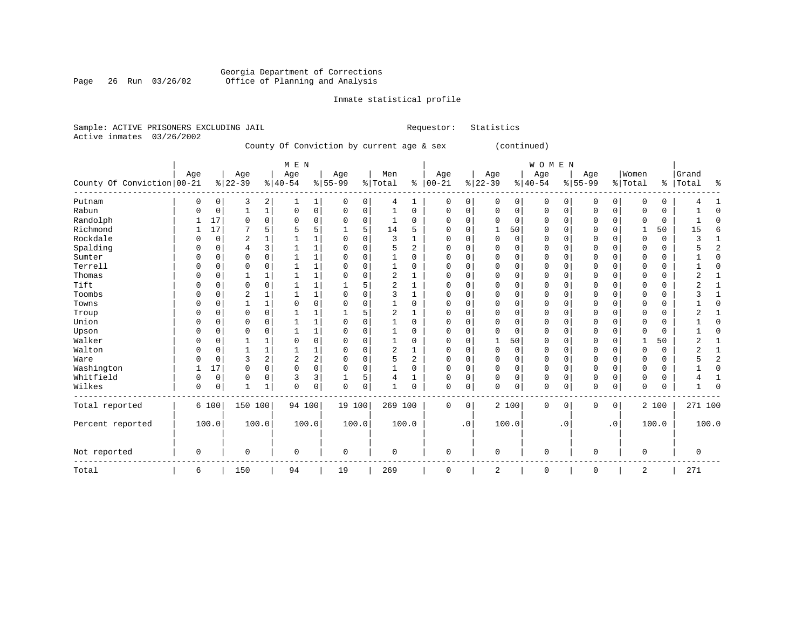#### Georgia Department of Corrections Page 26 Run 03/26/02 Office of Planning and Analysis

## Inmate statistical profile

|  | Sample: ACTIVE PRISONERS EXCLUDING JAIL |  |                                           | Requestor: Statistics |              |  |
|--|-----------------------------------------|--|-------------------------------------------|-----------------------|--------------|--|
|  | Active inmates 03/26/2002               |  |                                           |                       |              |  |
|  |                                         |  | County Of Conviction by current age & sex |                       | (continued)  |  |
|  |                                         |  |                                           |                       |              |  |
|  |                                         |  | M F. N                                    |                       | <b>WOMEN</b> |  |

| County Of Conviction 00-21 | Age      |             | Age<br>$ 22-39$ |                         | Age<br>$ 40-54$ |                     | Age<br>$8 55-99$ |             | Men<br>% Total |                | Age<br>$% 100-21$ |             | Age<br>$ 22-39 $ |                | Age<br>$ 40-54$ |           | Age<br>$8 55-99$ |             | Women<br>% Total | $\frac{8}{6}$ | Grand<br>Total | ႜ              |
|----------------------------|----------|-------------|-----------------|-------------------------|-----------------|---------------------|------------------|-------------|----------------|----------------|-------------------|-------------|------------------|----------------|-----------------|-----------|------------------|-------------|------------------|---------------|----------------|----------------|
| Putnam                     | 0        | 0           | 3               | 2                       | 1               | 1                   | 0                | 0           | 4              | 1              | $\mathbf 0$       | 0           | 0                | 0 <sup>1</sup> | 0               | 0         | 0                | 0           | $\mathbf 0$      | 0             |                |                |
| Rabun                      | $\Omega$ | $\mathbf 0$ | $\mathbf{1}$    | $\mathbf 1$             | 0               | $\mathsf{O}\xspace$ | $\mathbf 0$      | $\mathbf 0$ | $\mathbf{1}$   | $\mathbf 0$    | $\mathbf 0$       | $\mathsf 0$ | $\mathbf 0$      | $\mathbf 0$    | $\mathbf 0$     | 0         | $\mathbf 0$      | $\mathbf 0$ | $\cap$           | 0             |                | $\Omega$       |
| Randolph                   |          | 17          | 0               | $\mathbf 0$             | 0               | $\mathbf 0$         | 0                | 0           |                | 0              | $\Omega$          | $\mathbf 0$ | $\Omega$         | $\Omega$       | 0               | 0         | $\Omega$         | $\Omega$    | O                | 0             |                | ∩              |
| Richmond                   |          | 17          |                 | 5                       |                 | 5                   | 1                | 5           | 14             | 5              | $\Omega$          | $\mathbf 0$ |                  | 50             | 0               | 0         | $\Omega$         | $\Omega$    |                  | 50            | 15             | 6              |
| Rockdale                   |          | 0           | 2               | $\mathbf{1}$            |                 | $\mathbf{1}$        | 0                | O           | 3              |                | 0                 | $\mathbf 0$ | $\Omega$         | $\mathbf 0$    | 0               | O         | $\Omega$         | $\Omega$    | $\Omega$         | 0             |                |                |
| Spalding                   | ∩        | 0           | 4               | 3                       | 1               | $\mathbf{1}$        | $\Omega$         | $\Omega$    | 5              | 2              | $\Omega$          | $\mathbf 0$ | $\mathbf 0$      | $\mathbf 0$    | $\Omega$        | $\Omega$  | $\Omega$         | $\Omega$    | $\cap$           | 0             |                | $\overline{c}$ |
| Sumter                     |          | 0           | 0               | $\mathbf 0$             |                 | $\mathbf{1}$        | $\Omega$         | 0           |                | 0              | $\Omega$          | $\mathbf 0$ | $\Omega$         | $\Omega$       | 0               | 0         | $\Omega$         | $\Omega$    | O                | 0             |                | $\Omega$       |
| Terrell                    | U        | 0           | $\Omega$        | 0                       |                 | $\mathbf 1$         | 0                | 0           |                | $\Omega$       | $\Omega$          | $\mathbf 0$ | $\Omega$         | $\mathbf 0$    | 0               | O         | $\Omega$         | $\Omega$    | $\Omega$         | 0             |                | $\Omega$       |
| Thomas                     | U        | 0           |                 | $\mathbf{1}$            |                 | $\mathbf{1}$        | 0                | $\Omega$    | $\overline{a}$ |                | $\Omega$          | $\Omega$    | $\Omega$         | $\Omega$       | 0               | 0         | $\Omega$         | $\Omega$    | O                | 0             | $\overline{2}$ |                |
| Tift                       |          | 0           | $\Omega$        | $\mathbf 0$             |                 | $\mathbf{1}$        |                  | 5           | $\overline{2}$ |                | $\Omega$          | $\mathbf 0$ | $\Omega$         | $\Omega$       | $\Omega$        | O         | $\Omega$         | $\Omega$    | C                | 0             | ◠              |                |
| Toombs                     |          | 0           | 2               | 1                       |                 | $\mathbf{1}$        | 0                | 0           | 3              |                | O                 | $\Omega$    | O                | $\mathbf 0$    | 0               | U         | $\Omega$         |             | C                | 0             |                |                |
| Towns                      |          | 0           |                 | 1                       | $\Omega$        | $\mathbf 0$         | 0                | 0           |                | $\Omega$       | $\Omega$          | 0           | $\Omega$         | 0              | 0               | $\Omega$  | $\Omega$         | $\Omega$    | $\Omega$         | 0             |                | $\Omega$       |
| Troup                      |          | 0           | $\Omega$        | $\Omega$                |                 | $\mathbf{1}$        |                  | 5           | $\overline{2}$ |                | 0                 | $\Omega$    | $\Omega$         | $\Omega$       | 0               | O         | $\Omega$         | $\Omega$    | $\Omega$         | 0             |                |                |
| Union                      | $\cap$   | 0           | $\Omega$        | $\Omega$                | $\mathbf{1}$    | $\mathbf{1}$        | $\Omega$         | $\Omega$    |                | $\Omega$       | $\Omega$          | $\Omega$    | $\Omega$         | $\Omega$       | $\Omega$        | U         | $\Omega$         | $\cap$      | $\cap$           | 0             |                | $\Omega$       |
| Upson                      |          | 0           | $\Omega$        | $\mathbf 0$             |                 | $\mathbf 1$         | 0                | 0           |                | $\Omega$       | $\Omega$          | $\mathbf 0$ | $\Omega$         | $\mathbf 0$    | 0               | U         | $\Omega$         | $\Omega$    | $\cap$           | 0             |                | $\Omega$       |
| Walker                     |          | 0           |                 | 1                       | $\Omega$        | $\mathbf 0$         | 0                | 0           |                | 0              | $\Omega$          | $\mathbf 0$ |                  | 50             | 0               | 0         | $\Omega$         | $\Omega$    |                  | 50            | 2              |                |
| Walton                     | $\Omega$ | 0           |                 | $\mathbf{1}$            |                 | $\mathbf{1}$        | 0                | $\Omega$    | 2              | 1              | 0                 | $\Omega$    | $\Omega$         | $\Omega$       | 0               | $\Omega$  | $\Omega$         | $\Omega$    | $\Omega$         | 0             | 2              |                |
| Ware                       |          | 0           | 3               | $\overline{\mathbf{c}}$ | $\overline{2}$  | 2                   | $\Omega$         | $\Omega$    | 5              | $\overline{a}$ | $\Omega$          | $\mathbf 0$ | $\mathbf 0$      | $\mathbf 0$    | 0               | $\Omega$  | $\Omega$         | $\Omega$    | $\cap$           | 0             |                | $\overline{c}$ |
| Washington                 |          | 17          | 0               | $\mathbf 0$             | 0               | $\mathbf 0$         | $\Omega$         | 0           |                | $\Omega$       | $\Omega$          | $\mathbf 0$ | $\Omega$         | $\mathbf 0$    | 0               | O         | $\Omega$         | $\Omega$    | $\Omega$         | 0             |                | $\Omega$       |
| Whitfield                  | 0        | 0           | 0               | 0                       | 3               | $\overline{3}$      |                  | 5           |                |                | $\Omega$          | 0           | $\Omega$         | 0              | 0               | 0         | $\mathbf 0$      | 0           | $\Omega$         | 0             |                |                |
| Wilkes                     | 0        | 0           | $\mathbf{1}$    | $\mathbf{1}$            | $\Omega$        | $\mathbf 0$         | $\Omega$         | $\mathbf 0$ |                | $\Omega$       | $\Omega$          | 0           | $\Omega$         | $\mathbf 0$    | $\mathbf 0$     | $\Omega$  | $\Omega$         | $\mathbf 0$ | $\Omega$         | 0             |                |                |
| Total reported             |          | 6 100       | 150 100         |                         | 94 100          |                     | 19 100           |             | 269 100        |                | $\Omega$          | 0           |                  | 2 100          | $\mathbf 0$     | 0         | $\mathbf 0$      | $\mathbf 0$ |                  | 2 100         | 271 100        |                |
| Percent reported           |          | 100.0       | 100.0           |                         |                 | 100.0               |                  | 100.0       |                | 100.0          |                   | $\cdot$ 0   |                  | 100.0          |                 | $\cdot$ 0 |                  | $\cdot$ 0   |                  | 100.0         | 100.0          |                |
| Not reported               | 0        |             | $\mathbf 0$     |                         | $\mathbf 0$     |                     | $\mathbf 0$      |             | $\mathbf 0$    |                | $\mathbf 0$       |             | 0                |                | $\mathbf 0$     |           | $\Omega$         |             | $\mathbf 0$      |               | $\mathbf 0$    |                |
| Total                      | 6        |             | 150             |                         | 94              |                     | 19               |             | 269            |                | $\mathbf 0$       |             | 2                |                | 0               |           | 0                |             | 2                |               | 271            |                |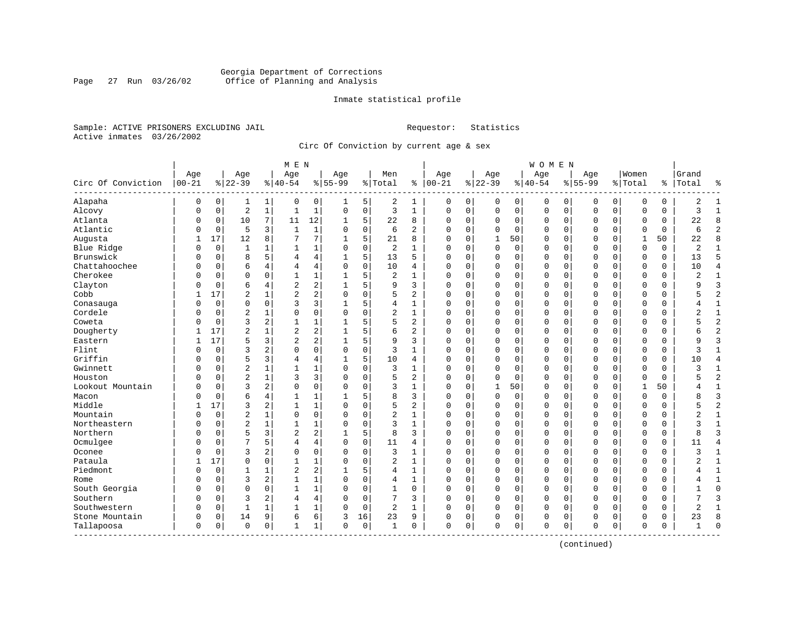## Georgia Department of Corrections<br>Page 27 Run 03/26/02 Office of Planning and Analysis Page 27 Run 03/26/02 Office of Planning and Analysis

## Inmate statistical profile

Sample: ACTIVE PRISONERS EXCLUDING JAIL **Requestor:** Statistics Active inmates 03/26/2002

Circ Of Conviction by current age & sex

|                             |                   |             |                  |              | M E N            |              |                  |             |                |                |                 |             |                 |             | W O M E N       |             |                  |             |                  |          |                |                |
|-----------------------------|-------------------|-------------|------------------|--------------|------------------|--------------|------------------|-------------|----------------|----------------|-----------------|-------------|-----------------|-------------|-----------------|-------------|------------------|-------------|------------------|----------|----------------|----------------|
| Circ Of Conviction          | Age<br>$ 00 - 21$ |             | Age<br>$8 22-39$ |              | Age<br>$8 40-54$ |              | Age<br>$8 55-99$ |             | Men<br>% Total | ႜ              | Age<br>$ 00-21$ |             | Age<br>$ 22-39$ |             | Age<br>$ 40-54$ |             | Age<br>$8 55-99$ |             | Women<br>% Total | ి        | Grand<br>Total | ႜ              |
| Alapaha                     | 0                 | 0           | 1                | 1            | 0                | 0            | 1                | 5           | 2              | 1              | 0               | 0           | 0               | 0           | 0               | 0           | 0                | 0           | O                | 0        | 2              | $\mathbf{1}$   |
| Alcovy                      | 0                 | $\mathbf 0$ | $\overline{2}$   | $\mathbf{1}$ | $\mathbf{1}$     | $\mathbf 1$  | $\Omega$         | $\mathbf 0$ | 3              | $\mathbf{1}$   | $\mathbf 0$     | $\mathbf 0$ | $\mathbf{0}$    | $\mathbf 0$ | $\mathbf 0$     | $\mathbf 0$ | $\Omega$         | $\mathbf 0$ | $\Omega$         | 0        | 3              | $\mathbf{1}$   |
| Atlanta                     | 0                 | $\mathbf 0$ | 10               | 7            | 11               | 12           |                  | 5           | 22             | 8              | $\Omega$        | 0           | $\mathbf 0$     | 0           | 0               | $\mathbf 0$ | 0                | 0           | O                | 0        | 22             | 8              |
| Atlantic                    | 0                 | $\mathbf 0$ | 5                | 3            | $\mathbf{1}$     | $1\,$        | $\Omega$         | $\mathbf 0$ | 6              | $\overline{a}$ | $\Omega$        | $\Omega$    | $\Omega$        | $\Omega$    | $\Omega$        | $\mathbf 0$ | $\Omega$         | $\Omega$    | $\Omega$         | 0        | 6              | $\overline{2}$ |
| Augusta                     | 1                 | 17          | 12               | 8            | 7                | 7            | 1                | 5           | 21             | 8              | $\Omega$        | $\Omega$    | 1               | 50          | O               | $\Omega$    | $\Omega$         | $\Omega$    | $\mathbf{1}$     | 50       | 22             | 8              |
| Blue Ridge                  | U                 | $\mathbf 0$ | $\mathbf{1}$     | 1            | 1                | $\mathbf 1$  | $\Omega$         | $\mathbf 0$ | 2              | 1              | $\Omega$        | $\Omega$    | $\Omega$        | $\mathbf 0$ | 0               | $\Omega$    | $\Omega$         | $\Omega$    | $\Omega$         | 0        | 2              | $\mathbf{1}$   |
| Brunswick                   | 0                 | 0           | 8                | 5            | 4                | 4            |                  | 5           | 13             | 5              | $\Omega$        | 0           | 0               | 0           | 0               | 0           | $\Omega$         | $\mathbf 0$ | O                | 0        | 13             | 5              |
| Chattahoochee               | 0                 | $\Omega$    | 6                | 4            | 4                | 4            | $\Omega$         | $\mathbf 0$ | 10             | 4              | $\Omega$        | $\Omega$    | $\Omega$        | 0           | 0               | $\Omega$    | $\Omega$         | $\Omega$    | $\Omega$         | 0        | 10             | $\overline{4}$ |
| Cherokee                    | $\Omega$          | $\mathbf 0$ | $\Omega$         | $\Omega$     | -1               | $\mathbf 1$  |                  | 5           | 2              | $\mathbf{1}$   | $\Omega$        | 0           | $\mathbf 0$     | 0           | 0               | $\mathbf 0$ | $\Omega$         | 0           | $\Omega$         | 0        | $\overline{2}$ | $\mathbf{1}$   |
| Clayton                     | U                 | $\mathbf 0$ | 6                | 4            | $\overline{2}$   | 2            |                  | 5           | 9              | 3              | $\Omega$        | 0           | $\Omega$        | 0           | 0               | 0           | $\Omega$         | 0           | $\Omega$         | 0        | 9              | 3              |
| Cobb                        |                   | 17          | $\overline{c}$   | 1            | $\overline{2}$   | 2            | $\Omega$         | $\Omega$    | 5              | 2              | $\Omega$        | $\Omega$    | $\Omega$        | 0           | 0               | $\Omega$    | $\Omega$         | $\Omega$    | $\Omega$         | 0        | 5              | $\overline{2}$ |
| Conasauga                   | 0                 | $\Omega$    | $\mathbf 0$      | $\Omega$     | 3                | 3            |                  | 5           | 4              | $\mathbf{1}$   | $\Omega$        | $\Omega$    | $\Omega$        | $\Omega$    | 0               | $\Omega$    | $\Omega$         | $\Omega$    | $\Omega$         | $\Omega$ | 4              | $\mathbf{1}$   |
| Cordele                     | Λ                 | $\mathbf 0$ | $\overline{c}$   | 1            | $\Omega$         | 0            | $\Omega$         | $\mathbf 0$ | 2              | $\mathbf{1}$   | $\Omega$        | 0           | $\Omega$        | 0           | O               | $\Omega$    | $\Omega$         | $\mathbf 0$ | $\Omega$         | 0        | 2              | $\mathbf{1}$   |
| Coweta                      | በ                 | $\mathbf 0$ | 3                | 2            | $\mathbf{1}$     | 1            |                  | 5           | 5              | $\overline{2}$ | $\Omega$        | $\Omega$    | $\Omega$        | 0           | 0               | $\Omega$    | $\Omega$         | $\Omega$    | $\Omega$         | 0        | 5              | $\overline{2}$ |
| Dougherty                   |                   | 17          | $\overline{2}$   | 1            | $\overline{2}$   | 2            |                  | 5           | 6              | 2              | $\Omega$        | 0           | $\mathbf 0$     | 0           | 0               | $\Omega$    | $\Omega$         | 0           | $\Omega$         | 0        | б              | $\overline{c}$ |
| Eastern                     |                   | 17          | 5                | 3            | $\overline{2}$   | 2            |                  | 5           | 9              | 3              | $\Omega$        | $\Omega$    | $\Omega$        | $\Omega$    | 0               | $\Omega$    | $\Omega$         | $\Omega$    | $\Omega$         | 0        | 9              | 3              |
| Flint                       | U                 | $\Omega$    | 3                | 2            | $\Omega$         | 0            | $\Omega$         | $\Omega$    | 3              | $\mathbf{1}$   | $\Omega$        | O           | $\Omega$        | $\Omega$    | 0               | $\Omega$    | $\Omega$         | $\Omega$    | $\cap$           | 0        | ς              | $\mathbf{1}$   |
| Griffin                     | 0                 | $\mathbf 0$ | 5                | 3            | 4                | 4            |                  | 5           | 10             | 4              | $\Omega$        | $\Omega$    | U               | $\Omega$    | 0               | $\Omega$    | $\Omega$         | $\Omega$    | $\Omega$         | 0        | 10             | $\overline{4}$ |
| Gwinnett                    | U                 | $\mathbf 0$ | $\overline{2}$   | 1            | $\mathbf{1}$     | 1            | $\Omega$         | $\mathbf 0$ | 3              | $\mathbf{1}$   | $\Omega$        | 0           | $\Omega$        | 0           | 0               | 0           | $\Omega$         | $\mathbf 0$ | $\Omega$         | 0        | 3              | $\mathbf{1}$   |
| Houston                     | U                 | 0           | $\overline{c}$   | $\mathbf{1}$ | 3                | 3            |                  | $\mathbf 0$ | 5              | $\overline{2}$ | $\Omega$        | 0           | $\Omega$        | 0           | 0               | 0           | $\Omega$         | 0           | O                | 0        | 5              | $\overline{2}$ |
| Lookout Mountain            | O                 | $\Omega$    | 3                | 2            | $\Omega$         | 0            | $\Omega$         | $\mathbf 0$ | 3              | $\mathbf{1}$   | $\Omega$        | 0           | $\mathbf{1}$    | 50          | $\Omega$        | $\mathbf 0$ | $\Omega$         | $\Omega$    | $\mathbf{1}$     | 50       | 4              | $\mathbf{1}$   |
| Macon                       | U                 | $\mathbf 0$ | 6                | 4            |                  | 1            |                  | 5           | 8              | 3              | $\Omega$        | 0           | $\mathbf 0$     | 0           | 0               | 0           | $\Omega$         | $\Omega$    | $\Omega$         | 0        | 8              | $\overline{3}$ |
| Middle                      |                   | 17          | 3                | 2            | $\mathbf{1}$     | $\mathbf 1$  | $\Omega$         | $\Omega$    | 5              | 2              | $\Omega$        | 0           | $\Omega$        | $\Omega$    | $\Omega$        | $\Omega$    | $\Omega$         | $\Omega$    | $\Omega$         | 0        |                | $\overline{2}$ |
| Mountain                    | 0                 | $\mathbf 0$ | $\overline{2}$   | 1            | $\mathbf 0$      | 0            | $\Omega$         | $\mathbf 0$ | $\overline{a}$ | 1              | $\Omega$        | 0           | $\Omega$        | 0           | 0               | $\Omega$    | $\Omega$         | 0           | $\Omega$         | 0        | $\overline{2}$ | $\mathbf{1}$   |
| Northeastern                | 0                 | $\mathbf 0$ | $\overline{2}$   | 1            | $\mathbf{1}$     | 1            | $\Omega$         | $\mathbf 0$ | 3              | $\mathbf{1}$   | $\Omega$        | $\Omega$    | $\Omega$        | 0           | 0               | $\Omega$    | $\Omega$         | $\Omega$    | $\Omega$         | 0        | 3              | $\mathbf{1}$   |
| Northern                    | $\Omega$          | $\Omega$    | 5                | 3            | $\overline{2}$   | 2            |                  | 5           | 8              | 3              | $\Omega$        | $\Omega$    | $\Omega$        | $\Omega$    | 0               | $\Omega$    | $\Omega$         | $\Omega$    | $\Omega$         | 0        | 8              | $\mathbf{z}$   |
| Ocmulgee                    | $\Omega$          | $\mathbf 0$ | 7                | 5            | 4                | 4            | $\Omega$         | $\mathbf 0$ | 11             | 4              | $\Omega$        | 0           | $\mathbf 0$     | 0           | 0               | $\mathbf 0$ | $\Omega$         | 0           | $\Omega$         | 0        | 11             | 4              |
| Oconee                      | 0                 | $\mathbf 0$ | 3                | 2            | $\Omega$         | 0            | $\Omega$         | 0           | 3              | 1              | $\Omega$        | $\Omega$    | $\Omega$        | $\Omega$    | 0               | $\Omega$    | $\Omega$         | $\Omega$    | $\Omega$         | 0        | 3              | 1              |
| Pataula                     |                   | 17          | $\Omega$         | $\Omega$     | $\mathbf{1}$     | 1            | $\Omega$         | $\Omega$    | $\overline{2}$ | $\mathbf{1}$   | $\Omega$        | $\Omega$    | $\Omega$        | $\Omega$    | 0               | $\Omega$    | $\Omega$         | $\Omega$    | $\cap$           | O        |                | $\mathbf{1}$   |
| Piedmont                    | U                 | $\mathbf 0$ | 1                | 1            | $\overline{2}$   | 2            |                  | 5           | 4              | $\mathbf{1}$   | $\Omega$        | $\Omega$    | $\Omega$        | $\Omega$    | $\Omega$        | $\Omega$    | $\Omega$         | $\Omega$    | $\Omega$         | 0        | 4              | $\mathbf{1}$   |
| Rome                        | 0                 | $\mathbf 0$ | 3                | 2            | $\mathbf{1}$     | 1            | $\Omega$         | $\mathbf 0$ | 4              | 1              | 0               | $\Omega$    | $\Omega$        | 0           | 0               | $\Omega$    | $\Omega$         | 0           | $\Omega$         | 0        | 4              | $\mathbf{1}$   |
| South Georgia               | U                 | 0           | $\Omega$         | 0            | 1                | $\mathbf{1}$ | $\Omega$         | $\mathbf 0$ | 1              | 0              | $\Omega$        | 0           | $\Omega$        | 0           | 0               | $\mathbf 0$ | $\Omega$         | 0           | $\Omega$         | 0        |                | $\mathbf 0$    |
| Southern                    | $\Omega$          | $\Omega$    | 3                | 2            | 4                | 4            | $\Omega$         | $\mathbf 0$ | 7              | 3              | $\Omega$        | $\Omega$    | $\Omega$        | 0           | 0               | $\mathbf 0$ | $\Omega$         | $\Omega$    | $\Omega$         | $\Omega$ | 7              | $\mathbf{z}$   |
| Southwestern                | 0                 | 0           | $\mathbf{1}$     |              | 1                | $\mathbf 1$  | $\Omega$         | 0           | 2              | 1              | $\Omega$        | 0           | $\mathbf 0$     | 0           | 0               | 0           | $\Omega$         | 0           | $\Omega$         | 0        | $\overline{2}$ | 1              |
| Stone Mountain              | 0                 | 0           | 14               | 9            | 6                | 6            | 3                | 16          | 23             | 9              | 0               | 0           | 0               | 0           | 0               | 0           | $\Omega$         | 0           | $\Omega$         | 0        | 23             | 8              |
| Tallapoosa<br>------------- | 0                 | $\mathbf 0$ | $\Omega$         | 0            | $\mathbf{1}$     | 1            | $\Omega$         | 0           | 1              | 0              | $\mathbf 0$     | 0           | $\Omega$        | $\mathbf 0$ | 0               | $\mathbf 0$ | $\Omega$         | 0           | $\mathbf 0$      | 0        | 1              | $\cap$         |

(continued)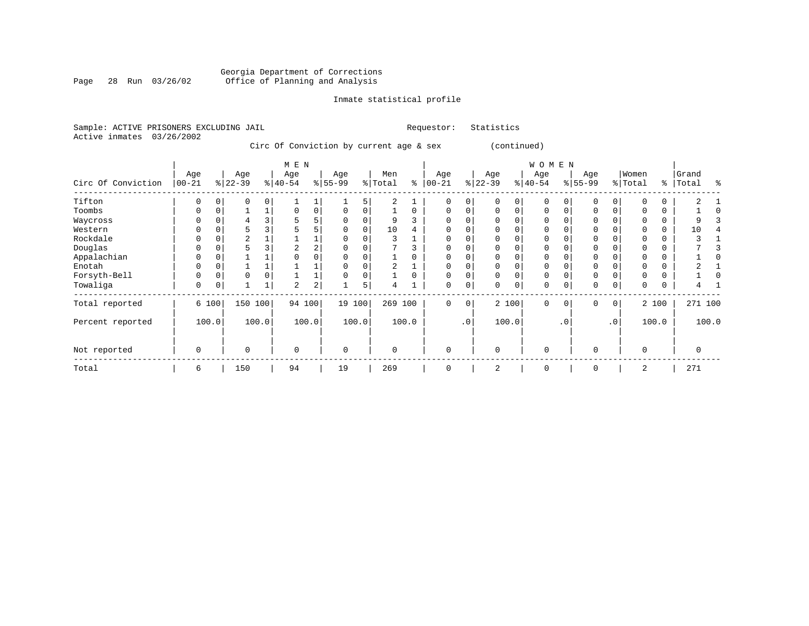#### Georgia Department of Corrections Page 28 Run 03/26/02 Office of Planning and Analysis

## Inmate statistical profile

|  | Sample: ACTIVE PRISONERS EXCLUDING JAIL |                         |                         |     |                                         | Requestor: | Statistics |              |     |       |  |
|--|-----------------------------------------|-------------------------|-------------------------|-----|-----------------------------------------|------------|------------|--------------|-----|-------|--|
|  | Active inmates 03/26/2002               |                         |                         |     |                                         |            |            |              |     |       |  |
|  |                                         |                         |                         |     | Circ Of Conviction by current age & sex |            |            | (continued)  |     |       |  |
|  |                                         |                         | M E N                   |     |                                         |            |            | <b>WOMEN</b> |     |       |  |
|  | ∆αρ                                     | $\Delta \cap \triangle$ | $\Delta \cap \triangle$ | ∆αρ | Men                                     | ∆α⊖        | ∆αρ        | ∆α≏          | Aae | M∩men |  |

| Circ Of Conviction | Age<br>$ 00 - 21$ |       | Age<br>$ 22-39$ |       | Age<br>$ 40-54 $ |                | Age<br>$ 55-99 $ |       | Men<br>% Total | နွ       | Age<br>$ 00 - 21$ | $\frac{1}{6}$ | Age<br>$ 22 - 39 $ | $\frac{8}{3}$ | Age<br>$40 - 54$ |           | Age<br>$8 55-99$ |                 | Women<br>% Total | ⊱        | Grand<br>Total | န္    |
|--------------------|-------------------|-------|-----------------|-------|------------------|----------------|------------------|-------|----------------|----------|-------------------|---------------|--------------------|---------------|------------------|-----------|------------------|-----------------|------------------|----------|----------------|-------|
| Tifton             | 0                 |       | 0               |       |                  |                |                  | 5     | 2              |          | 0                 | 0             | 0                  | $\Omega$      | $\mathbf 0$      |           | 0                | 0               |                  | 0        |                |       |
| Toombs             |                   |       |                 |       | $\Omega$         | $\mathbf 0$    |                  |       |                | $\Omega$ | $\Omega$          | 0             | $\Omega$           | $\Omega$      | $\Omega$         |           | $\Omega$         | O               |                  | $\Omega$ |                |       |
| Waycross           |                   |       |                 |       |                  |                |                  |       | 9              |          | 0                 |               |                    |               | 0                |           | $\Omega$         |                 |                  | 0        | 9              |       |
| Western            |                   |       |                 |       |                  |                |                  |       | 10             | 4        | $\Omega$          | U             |                    |               | $\Omega$         |           | $\mathbf 0$      |                 |                  | $\Omega$ | 10             |       |
| Rockdale           |                   |       |                 |       |                  |                |                  |       |                |          |                   |               |                    |               |                  |           | O                |                 |                  |          |                |       |
| Douglas            |                   |       |                 |       |                  | $\overline{2}$ |                  |       |                |          |                   |               |                    |               | $\Omega$         |           |                  |                 |                  |          |                |       |
| Appalachian        |                   |       |                 |       | 0                |                |                  |       |                |          | $\Omega$          | U             |                    |               | O                |           | $\mathbf 0$      |                 |                  | 0        |                |       |
| Enotah             |                   |       |                 |       |                  |                |                  |       |                |          |                   |               |                    |               | $\Omega$         |           | $\Omega$         |                 |                  | 0        |                |       |
| Forsyth-Bell       |                   |       | 0               |       |                  |                |                  |       |                |          | 0                 | 0             | 0                  |               | $\mathbf 0$      |           | $\mathbf 0$      |                 |                  | 0        |                |       |
| Towaliga           | 0                 |       |                 |       | 2                | 2              |                  | 5     | 4              |          | 0                 | 0             | 0                  | $\mathbf 0$   | $\mathbf 0$      |           | $\mathbf 0$      | 0               | $\Omega$         | $\Omega$ |                |       |
| Total reported     |                   | 6 100 | 150             | 100   | 94 100           |                | 19 100           |       | 269 100        |          | 0                 | 0             |                    | 2 100         | $\Omega$         | $\Omega$  | $\mathbf 0$      | 0               |                  | 2 100    | 271 100        |       |
| Percent reported   |                   | 100.0 |                 | 100.0 |                  | 100.0          |                  | 100.0 |                | 100.0    |                   | $\cdot$ 0     |                    | 100.0         |                  | $\cdot$ 0 |                  | .0 <sup>1</sup> |                  | 100.0    |                | 100.0 |
| Not reported       | 0                 |       | $\mathbf 0$     |       | $\mathbf 0$      |                | $\mathbf 0$      |       | 0              |          | $\mathbf 0$       |               | $\mathbf 0$        |               | $\mathbf{0}$     |           | $\mathbf 0$      |                 | $\Omega$         |          | 0              |       |
| Total              | 6                 |       | 150             |       | 94               |                | 19               |       | 269            |          | $\Omega$          |               | 2                  |               | $\mathbf 0$      |           | $\Omega$         |                 | 2                |          | 271            |       |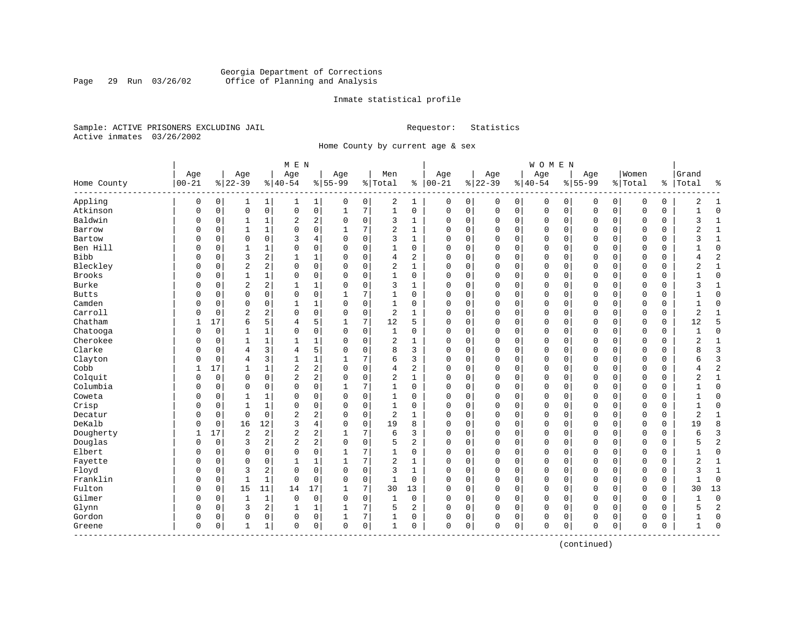## Georgia Department of Corrections<br>Page 29 Run 03/26/02 Office of Planning and Analysis Page 29 Run 03/26/02 Office of Planning and Analysis

## Inmate statistical profile

Sample: ACTIVE PRISONERS EXCLUDING JAIL **Requestor:** Statistics Active inmates 03/26/2002

Home County by current age & sex

| Age<br>$00 - 21$<br>Home County<br>Appling<br>0 | Age<br>$8 22-39$<br>0<br>1<br>$\mathbf 0$<br>0<br>0<br>$\mathbf{1}$ | $\mathbf 1$<br>$\mathsf{O}$ | Age<br>$8 40-54$<br>1 |                | Age<br>$8 55-99$ |                | Men<br>% Total |                | Age<br>$8   00 - 21$ |   | Age<br>$ 22-39$ |             | Age<br>$8 40-54$ |             | Age<br>$8155 - 99$ |             | Women       |          | Grand<br>Total | နွ             |
|-------------------------------------------------|---------------------------------------------------------------------|-----------------------------|-----------------------|----------------|------------------|----------------|----------------|----------------|----------------------|---|-----------------|-------------|------------------|-------------|--------------------|-------------|-------------|----------|----------------|----------------|
|                                                 |                                                                     |                             |                       |                |                  |                |                |                |                      |   |                 |             |                  |             |                    |             |             |          |                |                |
|                                                 |                                                                     |                             |                       |                |                  |                |                |                |                      |   |                 |             |                  |             |                    |             | % Total     | %        |                |                |
|                                                 |                                                                     |                             |                       | 1              | 0                | $\overline{0}$ | 2              | 1              | 0                    | 0 | 0               | 0           | 0                | 0           | 0                  | 0           | 0           | 0        | 2              | 1              |
| Atkinson<br>0                                   |                                                                     |                             | 0                     | 0              | $\mathbf 1$      | 7              | $\mathbf 1$    | 0              | $\mathbf 0$          | 0 | $\mathbf 0$     | $\mathbf 0$ | 0                | $\mathbf 0$ | $\mathbf 0$        | $\mathbf 0$ | $\mathbf 0$ | 0        | $\mathbf{1}$   | $\mathbf 0$    |
| Baldwin<br>0                                    |                                                                     | 1                           | 2                     | 2              | $\mathbf 0$      | $\mathbf 0$    | 3              | 1              | $\Omega$             | 0 | $\mathbf 0$     | 0           | 0                | $\mathbf 0$ | $\mathbf 0$        | $\mathbf 0$ | 0           | 0        | 3              | 1              |
| Barrow<br>O                                     | 0                                                                   | $\mathbf{1}$                | $\Omega$              | 0              |                  | 7              | $\overline{2}$ | 1              | $\Omega$             | 0 | $\mathbf 0$     | 0           | $\Omega$         | $\mathbf 0$ | $\Omega$           | $\Omega$    | $\Omega$    | $\Omega$ | 2              | $\mathbf{1}$   |
| Bartow<br>O                                     | $\Omega$<br>0                                                       | $\Omega$                    | 3                     | 4              | $\Omega$         | $\Omega$       | 3              | 1              | $\Omega$             | O | $\Omega$        | $\Omega$    | $\Omega$         | $\Omega$    | $\Omega$           | $\Omega$    | $\Omega$    | $\Omega$ | ς              | $\mathbf 1$    |
| Ben Hill<br>0                                   | 0<br>$\mathbf{1}$                                                   | 1                           | 0                     | 0              | 0                | $\Omega$       | $\mathbf{1}$   | 0              | $\Omega$             | 0 | $\mathbf 0$     | 0           | 0                | $\mathbf 0$ | $\Omega$           | $\Omega$    | $\mathbf 0$ | 0        |                | $\mathbf{0}$   |
| <b>Bibb</b><br>0                                | 3<br>0                                                              | $\overline{a}$              | $\mathbf{1}$          | $\mathbf 1$    | 0                | 0              | 4              | 2              | 0                    | 0 | $\mathbf 0$     | $\mathbf 0$ | 0                | 0           | 0                  | 0           | $\mathbf 0$ | 0        |                | $\overline{2}$ |
| Bleckley<br>0                                   | $\overline{2}$<br>0                                                 | 2                           | $\Omega$              | 0              | $\Omega$         | $\mathbf 0$    | 2              | $\mathbf{1}$   | $\Omega$             | 0 | $\Omega$        | 0           | $\Omega$         | $\mathbf 0$ | $\Omega$           | $\Omega$    | $\Omega$    | 0        | $\overline{2}$ | $\mathbf{1}$   |
| <b>Brooks</b><br>O                              | $\mathbf{1}$<br>0                                                   | $\mathbf{1}$                | $\Omega$              | 0              | $\Omega$         | $\mathbf 0$    | $\mathbf{1}$   | 0              | $\Omega$             | 0 | $\mathbf{0}$    | $\mathbf 0$ | $\Omega$         | $\mathbf 0$ | $\mathbf{0}$       | $\mathbf 0$ | $\Omega$    | 0        |                | $\Omega$       |
| Burke<br>O                                      | $\overline{2}$<br>0                                                 | 2                           | 1                     | 1              | $\Omega$         | $\mathbf 0$    | 3              | 1              | $\Omega$             | 0 | $\mathbf 0$     | 0           | 0                | 0           | 0                  | 0           | 0           | 0        | ζ              | 1              |
| <b>Butts</b><br>U                               | $\mathbf 0$<br>0                                                    | 0                           | 0                     | 0              |                  | 7              | 1              | 0              | $\Omega$             | 0 | $\mathbf 0$     | 0           | 0                | $\mathbf 0$ | $\Omega$           | $\Omega$    | $\mathbf 0$ | 0        |                | $\Omega$       |
| Camden<br>0                                     | $\mathbf 0$<br>0                                                    | $\mathbf 0$                 | $\mathbf{1}$          | 1              | $\Omega$         | $\mathbf 0$    | 1              | 0              | 0                    | 0 | $\mathbf 0$     | 0           | 0                | $\mathbf 0$ | $\Omega$           | $\mathbf 0$ | $\mathbf 0$ | 0        | 1              | $\Omega$       |
| Carroll<br>0                                    | $\overline{2}$<br>0                                                 | 2                           | 0                     | 0              | $\Omega$         | $\mathbf 0$    | 2              | 1              | 0                    | 0 | $\mathbf 0$     | 0           | 0                | $\mathbf 0$ | 0                  | 0           | $\mathbf 0$ | 0        | $\overline{2}$ | 1              |
| Chatham<br>17<br>1                              | 6                                                                   | 5                           | 4                     | 5              | 1                | 7              | 12             | 5              | $\Omega$             | 0 | $\Omega$        | 0           | $\Omega$         | $\mathbf 0$ | $\Omega$           | 0           | $\mathbf 0$ | 0        | 12             | 5              |
| Chatooga<br>$\Omega$                            | 0<br>$\mathbf{1}$                                                   | 1                           | 0                     | 0              | $\Omega$         | $\mathbf 0$    | $\mathbf{1}$   | $\Omega$       | $\mathbf{0}$         | 0 | $\mathbf 0$     | 0           | $\Omega$         | $\mathbf 0$ | $\mathbf{0}$       | 0           | $\mathbf 0$ | 0        | -1             | $\mathbf{0}$   |
| Cherokee<br>U                                   | 0<br>1                                                              | 1                           |                       | 1              | O                | 0              | 2              | 1              | 0                    | 0 | 0               | 0           | 0                | 0           | 0                  | 0           | 0           | 0        | $\overline{2}$ | 1              |
| Clarke<br>O                                     | 0<br>$\overline{4}$                                                 | 3                           | 4                     | 5              | $\Omega$         | 0              | 8              | 3              | $\Omega$             | 0 | $\mathbf 0$     | 0           | 0                | $\mathbf 0$ | $\Omega$           | 0           | $\mathbf 0$ | 0        |                | $\overline{3}$ |
| Clayton<br>0                                    | $\Omega$<br>4                                                       | 3                           | $\mathbf{1}$          | $\mathbf 1$    |                  | 7              | 6              | 3              | $\Omega$             | 0 | $\Omega$        | $\Omega$    | $\Omega$         | $\Omega$    | $\Omega$           | $\Omega$    | $\mathbf 0$ | 0        | 6              | 3              |
| Cobb<br>17<br>1                                 | 1                                                                   | 1                           | $\overline{c}$        | 2              | $\Omega$         | $\mathbf 0$    | 4              | $\overline{c}$ | 0                    | 0 | $\mathbf 0$     | $\mathbf 0$ | 0                | $\mathbf 0$ | 0                  | $\Omega$    | $\mathbf 0$ | 0        |                | $\overline{a}$ |
| Colquit<br>O                                    | 0<br>$\mathbf 0$                                                    | $\Omega$                    | $\overline{c}$        | 2 <sup>1</sup> | $\Omega$         | $\mathbf 0$    | 2              | $\mathbf{1}$   | $\Omega$             | 0 | $\Omega$        | 0           | 0                | 0           | $\Omega$           | 0           | $\mathbf 0$ | 0        | $\overline{2}$ | $1\,$          |
| Columbia<br>O                                   | $\mathbf 0$<br>0                                                    | 0                           | 0                     | 0              | 1                | 7              | 1              | 0              | $\Omega$             | 0 | $\mathbf 0$     | 0           | 0                | 0           | $\mathbf 0$        | 0           | $\mathbf 0$ | 0        |                | $\mathbf 0$    |
| Coweta<br>O                                     | 0<br>$\mathbf{1}$                                                   | 1                           | 0                     | 0              | $\Omega$         | 0              | 1              | $\Omega$       | $\mathbf 0$          | 0 | $\mathbf 0$     | 0           | $\Omega$         | $\mathbf 0$ | $\Omega$           | $\Omega$    | $\Omega$    | 0        |                | $\Omega$       |
| Crisp<br>O                                      | 0<br>$\mathbf{1}$                                                   | 1                           | 0                     | 0              | $\Omega$         | $\mathbf 0$    | $\mathbf{1}$   | $\Omega$       | $\Omega$             | 0 | $\mathbf 0$     | 0           | $\Omega$         | $\mathbf 0$ | $\Omega$           | $\Omega$    | $\mathbf 0$ | 0        |                | $\Omega$       |
| Decatur<br>U                                    | $\mathbf 0$<br>0                                                    | $\mathbf 0$                 | $\overline{c}$        | 2              | $\Omega$         | $\mathbf 0$    | $\overline{c}$ | $\mathbf{1}$   | $\Omega$             | 0 | $\mathbf 0$     | 0           | $\Omega$         | $\mathbf 0$ | $\Omega$           | $\Omega$    | $\mathbf 0$ | 0        | $\overline{c}$ | 1              |
| DeKalb<br>0                                     | 0<br>16                                                             | 12                          | 3                     | $\overline{4}$ | $\Omega$         | $\mathbf 0$    | 19             | 8              | 0                    | 0 | $\mathbf 0$     | 0           | 0                | 0           | 0                  | 0           | $\mathbf 0$ | 0        | 19             | 8              |
| Dougherty<br>17<br>1                            | $\overline{2}$                                                      | 2                           | 2                     | 2              | 1                | 7              | 6              | 3              | 0                    | 0 | $\Omega$        | 0           | 0                | 0           | 0                  | 0           | $\mathbf 0$ | 0        | 6              | 3              |
| Douglas<br>0                                    | 0<br>3                                                              | 2                           | $\overline{2}$        | 2              | $\Omega$         | 0              | 5              | 2              | $\Omega$             | 0 | $\mathbf 0$     | 0           | 0                | $\mathbf 0$ | $\mathbf 0$        | 0           | 0           | 0        | 5              | $\overline{2}$ |
| Elbert<br>O                                     | $\mathbf 0$<br>0                                                    | $\mathbf 0$                 | 0                     | 0              |                  | 7              | 1              | 0              | $\Omega$             | 0 | $\mathbf 0$     | 0           | 0                | $\mathbf 0$ | $\Omega$           | $\Omega$    | 0           | 0        |                | $\mathbf{0}$   |
| Fayette<br>O                                    | $\mathbf 0$<br>0                                                    | 0                           | $\mathbf{1}$          | 1              |                  | 7              | 2              | 1              | $\Omega$             | 0 | $\mathbf 0$     | 0           | 0                | $\mathbf 0$ | $\Omega$           | $\Omega$    | $\mathbf 0$ | 0        | 2              | 1              |
| Floyd<br>U                                      | 3<br>0                                                              | 2                           | 0                     | 0              | $\mathbf 0$      | $\mathbf 0$    | 3              | 1              | $\Omega$             | 0 | $\mathbf 0$     | 0           | $\Omega$         | $\mathbf 0$ | $\Omega$           | $\Omega$    | $\mathbf 0$ | 0        | ζ              | 1              |
| Franklin<br>0                                   | 0<br>1                                                              | $\mathbf{1}$                | 0                     | 0              | $\Omega$         | $\mathbf 0$    | $\mathbf{1}$   | 0              | 0                    | 0 | $\mathbf 0$     | 0           | 0                | $\mathbf 0$ | 0                  | 0           | $\mathbf 0$ | 0        |                | $\Omega$       |
| Fulton<br>0                                     | 0<br>15                                                             | 11                          | 14                    | 17             | 1                | 7              | 30             | 13             | $\Omega$             | 0 | $\mathbf 0$     | 0           | $\Omega$         | $\mathbf 0$ | $\Omega$           | $\Omega$    | $\Omega$    | 0        | 30             | 13             |
| Gilmer<br>O                                     | $\mathbf{1}$<br>0                                                   | $\mathbf{1}$                | 0                     | 0              | $\Omega$         | $\mathbf 0$    | $\mathbf 1$    | 0              | $\Omega$             | 0 | $\mathbf 0$     | 0           | $\Omega$         | 0           | $\Omega$           | 0           | 0           | 0        | $\mathbf{1}$   | $\Omega$       |
| Glynn<br>0                                      | 0<br>3                                                              | 2                           | 1                     | 1              |                  | 7              | 5              | 2              | $\mathbf 0$          | 0 | $\mathbf 0$     | 0           | 0                | 0           | 0                  | $\mathbf 0$ | 0           | 0        |                | $\overline{2}$ |
| Gordon<br>0                                     | 0<br>0                                                              | 0                           | 0                     | 0              |                  | 7              | 1              | 0              | 0                    | 0 | 0               | 0           | 0                | 0           | 0                  | 0           | 0           | 0        |                | $\Omega$       |
| 0<br>Greene                                     | 0<br>1                                                              | $\mathbf 1$                 | 0                     | 0              | $\mathbf 0$      | 0              | 1              | 0              | $\mathbf 0$          | 0 | $\mathbf 0$     | $\mathbf 0$ | $\Omega$         | $\mathbf 0$ | $\mathbf 0$        | 0           | $\mathbf 0$ | 0        | 1              | $\Omega$       |

(continued)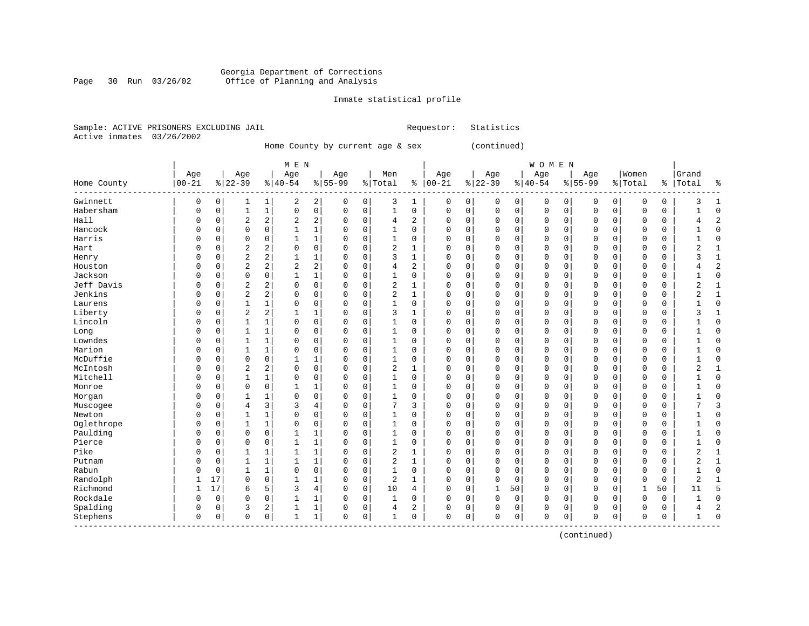## Georgia Department of Corrections Page 30 Run 03/26/02 Office of Planning and Analysis

## Inmate statistical profile

|  | Sample: ACTIVE PRISONERS EXCLUDING JAIL | Requestor: Statistics |
|--|-----------------------------------------|-----------------------|
|  | Active inmates 03/26/2002               |                       |

Home County by current age & sex (continued)

| Home County | Age<br>$00 - 21$ |          | Age<br>$8 22-39$ |                | M E N<br>Age<br>$8 40-54$ |                | Age<br>$8155 - 99$ |             | Men<br>% Total | ႜ            | Age<br>$ 00-21$ |          | Age<br>$ 22-39$ |             | WOMEN<br>Age<br>$ 40-54$ |             | Age<br>$8155 - 99$ |             | Women<br>% Total |          | Grand<br>%   Total | ႜ              |
|-------------|------------------|----------|------------------|----------------|---------------------------|----------------|--------------------|-------------|----------------|--------------|-----------------|----------|-----------------|-------------|--------------------------|-------------|--------------------|-------------|------------------|----------|--------------------|----------------|
| Gwinnett    | 0                | 0        | 1                | 1              | 2                         | $\overline{a}$ | 0                  | 0           | 3              | 1            | 0               | 0        | 0               | 0           | 0                        | 0           | 0                  | 0           | 0                | 0        | 3                  | 1              |
| Habersham   | 0                | 0        | 1                | $\mathbf{1}$   | 0                         | 0              | $\mathbf 0$        | $\mathbf 0$ | $\mathbf{1}$   | 0            | $\mathbf 0$     | 0        | $\mathbf 0$     | $\mathbf 0$ | 0                        | $\mathbf 0$ | $\mathbf{0}$       | $\mathbf 0$ | $\mathbf 0$      | 0        |                    | $\Omega$       |
| Hall        | O                | 0        | $\overline{2}$   | 2              | 2                         | $\overline{a}$ | 0                  | $\mathbf 0$ | 4              | 2            | 0               | 0        | $\mathbf 0$     | $\mathbf 0$ | 0                        | $\mathbf 0$ | $\Omega$           | $\mathbf 0$ | 0                | 0        | 4                  | $\overline{2}$ |
| Hancock     | O                | 0        | $\mathbf 0$      | $\mathbf 0$    | $\mathbf{1}$              | 1              | 0                  | $\mathbf 0$ | $\mathbf{1}$   | 0            | 0               | 0        | 0               | 0           | 0                        | $\mathbf 0$ | 0                  | 0           | $\mathbf 0$      | 0        |                    | $\Omega$       |
| Harris      | O                | 0        | $\Omega$         | $\Omega$       | $\mathbf 1$               | $\mathbf 1$    | $\Omega$           | $\mathbf 0$ | $\mathbf{1}$   | $\Omega$     | $\Omega$        | 0        | $\mathbf{0}$    | $\mathbf 0$ | $\Omega$                 | $\mathbf 0$ | $\Omega$           | 0           | $\Omega$         | 0        | $\mathbf{1}$       | $\Omega$       |
| Hart        | U                | 0        | $\overline{2}$   | 2              | 0                         | 0              | 0                  | 0           | $\overline{2}$ | 1            | $\Omega$        | 0        | $\Omega$        | 0           | $\Omega$                 | $\mathbf 0$ | $\mathbf 0$        | $\Omega$    | $\Omega$         | 0        | 2                  | $\mathbf{1}$   |
| Henry       | U                | 0        | $\overline{2}$   | $\overline{a}$ | $\mathbf{1}$              | 1              | $\Omega$           | 0           | 3              | 1            | $\Omega$        | 0        | $\mathbf 0$     | $\mathbf 0$ | $\Omega$                 | $\mathbf 0$ | $\Omega$           | 0           | $\mathbf 0$      | 0        | 3                  | 1              |
| Houston     | O                | 0        | $\overline{2}$   | $\overline{a}$ | $\overline{a}$            | $\overline{a}$ | $\mathbf 0$        | $\mathbf 0$ | 4              | 2            | $\Omega$        | 0        | $\mathbf 0$     | $\mathbf 0$ | 0                        | 0           | $\Omega$           | $\Omega$    | $\mathbf 0$      | 0        |                    | $\overline{2}$ |
| Jackson     | U                | 0        | $\mathbf 0$      | $\mathbf 0$    | $\mathbf{1}$              | $1\vert$       | $\Omega$           | $\mathbf 0$ | 1              | 0            | $\Omega$        | 0        | $\mathbf 0$     | $\mathbf 0$ | $\Omega$                 | $\mathbf 0$ | $\mathbf{0}$       | 0           | $\mathbf 0$      | 0        | 1                  | $\Omega$       |
| Jeff Davis  | U                | 0        | $\overline{2}$   | $\overline{a}$ | 0                         | 0              | $\Omega$           | $\mathbf 0$ | $\overline{c}$ | 1            | $\Omega$        | 0        | $\mathbf 0$     | $\mathbf 0$ | $\Omega$                 | $\mathbf 0$ | $\Omega$           | $\Omega$    | $\mathbf 0$      | 0        | $\overline{2}$     | 1              |
| Jenkins     | 0                | 0        | $\overline{2}$   | $\overline{a}$ | $\Omega$                  | 0              | $\Omega$           | $\mathbf 0$ | 2              | $\mathbf{1}$ | $\Omega$        | 0        | $\Omega$        | 0           | 0                        | $\mathbf 0$ | $\Omega$           | 0           | $\Omega$         | 0        | 2                  | $\mathbf{1}$   |
| Laurens     | O                | 0        | $\mathbf 1$      | $\mathbf{1}$   | 0                         | 0              | $\Omega$           | 0           | $\mathbf{1}$   | 0            | $\mathbf 0$     | 0        | $\Omega$        | 0           | $\Omega$                 | 0           | $\mathbf 0$        | 0           | $\mathbf 0$      | 0        |                    | $\Omega$       |
| Liberty     | 0                | 0        | $\overline{2}$   | 2              | 1                         | 1              | $\Omega$           | 0           | 3              | 1            | $\Omega$        | 0        | $\mathbf 0$     | 0           | $\Omega$                 | $\mathbf 0$ | $\mathbf 0$        | 0           | $\Omega$         | 0        | 3                  | $\mathbf{1}$   |
| Lincoln     | U                | 0        | 1                | 1              | 0                         | 0              | $\Omega$           | $\mathbf 0$ | 1              | 0            | $\Omega$        | 0        | $\mathbf 0$     | 0           | 0                        | $\mathbf 0$ | 0                  | 0           | 0                | 0        |                    | $\Omega$       |
| Long        | O                | 0        | $\mathbf{1}$     | $\mathbf{1}$   | 0                         | 0              | $\Omega$           | $\Omega$    | $\mathbf{1}$   | $\Omega$     | $\Omega$        | 0        | $\Omega$        | 0           | $\Omega$                 | $\mathbf 0$ | $\mathbf 0$        | $\Omega$    | $\mathbf 0$      | $\Omega$ |                    | $\Omega$       |
| Lowndes     | U                | $\Omega$ | 1                | $\mathbf{1}$   | $\Omega$                  | 0              | $\Omega$           | $\Omega$    | 1              | $\Omega$     | $\Omega$        | 0        | $\Omega$        | $\Omega$    | $\Omega$                 | $\Omega$    | $\Omega$           | $\Omega$    | $\Omega$         | $\Omega$ | 1                  | $\Omega$       |
| Marion      | 0                | 0        | 1                | $\mathbf{1}$   | 0                         | 0              | $\Omega$           | $\mathbf 0$ | 1              | 0            | $\Omega$        | 0        | $\mathbf 0$     | $\mathbf 0$ | 0                        | $\mathbf 0$ | $\Omega$           | $\Omega$    | $\mathbf 0$      | 0        |                    | $\Omega$       |
| McDuffie    | O                | 0        | $\mathbf 0$      | $\mathbf 0$    | $\mathbf{1}$              | 1              | $\Omega$           | $\mathbf 0$ | $\mathbf{1}$   | 0            | $\Omega$        | 0        | $\Omega$        | $\mathbf 0$ | $\Omega$                 | $\mathbf 0$ | $\Omega$           | $\mathbf 0$ | $\mathbf 0$      | $\Omega$ |                    | $\Omega$       |
| McIntosh    | O                | 0        | $\overline{2}$   | $\overline{a}$ | 0                         | 0              | $\Omega$           | $\mathbf 0$ | $\overline{c}$ | $\mathbf{1}$ | $\mathbf 0$     | 0        | $\mathbf 0$     | $\mathbf 0$ | 0                        | $\mathbf 0$ | $\mathbf{0}$       | 0           | $\mathbf 0$      | 0        | $\overline{2}$     | $\mathbf{1}$   |
| Mitchell    | O                | 0        | $\mathbf{1}$     | $\mathbf{1}$   | 0                         | 0              | $\Omega$           | 0           | 1              | 0            | $\Omega$        | 0        | $\mathbf 0$     | $\mathbf 0$ | 0                        | $\mathbf 0$ | $\mathbf{0}$       | $\mathbf 0$ | $\mathbf 0$      | 0        |                    | $\Omega$       |
| Monroe      | U                | 0        | $\mathbf 0$      | $\mathbf 0$    | 1                         | 1              | 0                  | 0           | 1              | 0            | $\mathbf 0$     | 0        | $\mathbf 0$     | 0           | $\Omega$                 | 0           | $\Omega$           | 0           | 0                | 0        |                    | $\Omega$       |
| Morgan      | U                | 0        | 1                | 1              | $\Omega$                  | 0              | $\Omega$           | $\mathbf 0$ | 1              | 0            | $\Omega$        | 0        | $\mathbf 0$     | 0           | 0                        | $\mathbf 0$ | 0                  | 0           | $\mathbf 0$      | 0        |                    | $\Omega$       |
| Muscogee    | U                | 0        | $\overline{4}$   | 3              | 3                         | 4              | $\Omega$           | $\Omega$    | 7              | 3            | $\Omega$        | 0        | $\Omega$        | 0           | $\Omega$                 | $\mathbf 0$ | $\mathbf 0$        | $\Omega$    | $\mathbf 0$      | $\Omega$ |                    | 3              |
| Newton      | 0                | 0        | 1                | 1              | 0                         | 0              | $\Omega$           | $\mathbf 0$ | 1              | 0            | 0               | 0        | $\mathbf 0$     | $\mathbf 0$ | 0                        | $\mathbf 0$ | 0                  | $\mathbf 0$ | $\mathbf 0$      | 0        |                    | $\mathbf{0}$   |
| Oglethrope  | U                | 0        | 1                | $\mathbf{1}$   | $\mathbf 0$               | 0              | $\Omega$           | $\mathsf 0$ | 1              | 0            | 0               | 0        | $\Omega$        | 0           | $\Omega$                 | $\mathbf 0$ | 0                  | $\mathbf 0$ | $\mathbf 0$      | 0        |                    | $\Omega$       |
| Paulding    | 0                | 0        | $\mathbf 0$      | $\mathbf 0$    | $\mathbf{1}$              | 1              | $\Omega$           | 0           | $\mathbf 1$    | $\Omega$     | $\Omega$        | 0        | $\Omega$        | 0           | 0                        | 0           | $\mathbf 0$        | 0           | 0                | 0        |                    | $\Omega$       |
| Pierce      | O                | 0        | $\mathbf 0$      | $\mathbf 0$    | $\mathbf{1}$              | 1              | $\Omega$           | 0           | $\mathbf 1$    | 0            | $\mathbf{0}$    | 0        | $\mathbf 0$     | 0           | 0                        | 0           | 0                  | $\mathbf 0$ | 0                | 0        |                    | $\Omega$       |
| Pike        | O                | 0        | $\mathbf{1}$     | 1              | $\mathbf{1}$              | 1              | $\Omega$           | $\mathbf 0$ | 2              | 1            | $\Omega$        | 0        | $\mathbf 0$     | $\mathbf 0$ | $\Omega$                 | $\mathbf 0$ | $\mathbf{0}$       | $\mathbf 0$ | 0                | 0        | 2                  | $\mathbf{1}$   |
| Putnam      | O                | 0        | $\mathbf{1}$     | $\mathbf{1}$   | $\mathbf{1}$              | 1              | $\Omega$           | $\mathbf 0$ | $\overline{2}$ | $\mathbf{1}$ | $\Omega$        | 0        | $\Omega$        | $\mathbf 0$ | $\Omega$                 | $\mathbf 0$ | $\Omega$           | $\Omega$    | $\Omega$         | 0        | 2                  | $\mathbf{1}$   |
| Rabun       | U                | 0        | $\mathbf{1}$     | $\mathbf{1}$   | 0                         | 0              | $\Omega$           | $\Omega$    | $\mathbf{1}$   | $\Omega$     | $\Omega$        | $\Omega$ | $\mathbf 0$     | $\mathbf 0$ | $\Omega$                 | $\mathbf 0$ | $\Omega$           | $\Omega$    | $\mathbf 0$      | $\Omega$ | $\mathbf{1}$       | $\Omega$       |
| Randolph    | 1                | 17       | $\mathbf 0$      | $\mathbf 0$    | $\mathbf{1}$              | 1              | $\mathbf 0$        | $\mathbf 0$ | 2              | $\mathbf{1}$ | $\Omega$        | 0        | $\Omega$        | 0           | $\Omega$                 | $\mathbf 0$ | $\Omega$           | $\Omega$    | $\mathbf 0$      | 0        | 2                  | $\mathbf{1}$   |
| Richmond    | 1                | 17       | 6                | 5              | 3                         | 4              | $\Omega$           | 0           | 10             | 4            | 0               | 0        | 1               | 50          | 0                        | $\mathbf 0$ | 0                  | $\mathbf 0$ | $\mathbf{1}$     | 50       | 11                 | 5              |
| Rockdale    | O                | 0        | $\mathbf 0$      | 0              | $\mathbf{1}$              | $\mathbf 1$    | $\Omega$           | 0           | 1              | 0            | $\Omega$        | 0        | $\mathbf 0$     | $\mathbf 0$ | 0                        | $\mathbf 0$ | 0                  | 0           | $\mathbf 0$      | 0        | $\mathbf{1}$       | $\Omega$       |
| Spalding    | 0                | 0        | 3                | 2              | 1                         | 1              | $\Omega$           | 0           | 4              | 2            | $\Omega$        | 0        | $\Omega$        | 0           | $\Omega$                 | 0           | $\Omega$           | $\mathbf 0$ | $\Omega$         | 0        | 4                  | $\overline{2}$ |
| Stephens    | 0                | 0        | $\Omega$         | 0              | $\mathbf{1}$              | $\mathbf 1$    | $\Omega$           | 0           | 1              | 0            | $\Omega$        | 0        | $\Omega$        | $\mathbf 0$ | $\Omega$                 | 0           | 0                  | 0           | $\Omega$         | 0        |                    | $\Omega$       |

(continued)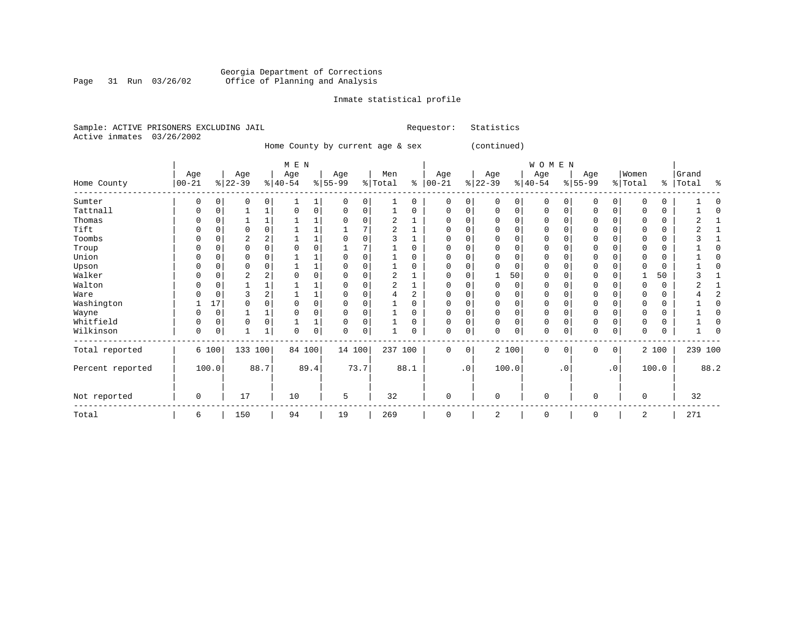#### Georgia Department of Corrections Page 31 Run 03/26/02 Office of Planning and Analysis

## Inmate statistical profile

|  | Sample: ACTIVE PRISONERS EXCLUDING JAIL |  | Requestor: Statistics |  |
|--|-----------------------------------------|--|-----------------------|--|
|  | Active inmates 03/26/2002               |  |                       |  |

Home County by current age & sex (continued)

|                  |                  |          |                 |          | M E N            |      |                  |          |                |          |                   |           |                 |             | WOMEN            |           |                  |           |                  |          |                |      |
|------------------|------------------|----------|-----------------|----------|------------------|------|------------------|----------|----------------|----------|-------------------|-----------|-----------------|-------------|------------------|-----------|------------------|-----------|------------------|----------|----------------|------|
| Home County      | Age<br>$00 - 21$ |          | Age<br>$ 22-39$ |          | Age<br>$ 40-54 $ |      | Age<br>$ 55-99 $ |          | Men<br>% Total | ి        | Age<br>$ 00 - 21$ |           | Age<br>$ 22-39$ |             | Age<br>$ 40-54 $ |           | Age<br>$ 55-99 $ |           | Women<br>% Total | ွေ       | Grand<br>Total | 昙    |
|                  |                  |          |                 |          |                  |      |                  |          |                |          |                   |           |                 |             |                  |           |                  |           |                  |          |                |      |
| Sumter           | 0                |          |                 |          |                  |      | $\Omega$         | 0        |                | 0        | 0                 | 0         |                 | 0           | $\Omega$         |           | 0                | 0         |                  | 0        |                |      |
| Tattnall         | O                | $\Omega$ |                 |          |                  | 0    | $\Omega$         | 0        |                | $\Omega$ | $\Omega$          | 0         | $\Omega$        | 0           | 0                | $\Omega$  | $\mathbf 0$      | 0         |                  | 0        |                |      |
| Thomas           |                  |          |                 |          |                  |      |                  |          |                |          | U                 |           |                 | 0           | 0                |           | 0                | 0         |                  | 0        |                |      |
| Tift             |                  |          |                 | O        |                  |      |                  | 7        |                |          |                   |           |                 | 0           | O                |           | $\Omega$         | U         |                  | $\Omega$ |                |      |
| Toombs           |                  |          |                 |          |                  | 1    |                  | $\Omega$ |                |          | ∩                 |           |                 | 0           | 0                |           | $\Omega$         |           |                  | 0        |                |      |
| Troup            | O                |          | O               |          |                  | 0    |                  |          |                | 0        | O                 |           |                 | $\mathbf 0$ | 0                |           | $\mathbf 0$      | 0         |                  | 0        |                |      |
| Union            | U                |          |                 |          |                  |      |                  | $\Omega$ |                | 0        |                   | U         |                 | 0           | $\Omega$         |           | $\Omega$         | 0         |                  | $\Omega$ |                |      |
| Upson            |                  |          |                 |          |                  |      |                  | $\Omega$ |                | 0        |                   |           |                 | 0           | 0                |           | 0                |           |                  | 0        |                |      |
| Walker           | O                |          | 2               |          |                  | 0    |                  | $\Omega$ |                |          | U                 |           |                 | 50          | O                |           | $\mathbf 0$      | 0         |                  | 50       |                |      |
| Walton           |                  | C        |                 |          |                  |      |                  | $\Omega$ |                |          |                   |           | $\Omega$        | $\mathbf 0$ | O                |           | $\Omega$         | O         |                  | $\Omega$ |                |      |
| Ware             |                  |          |                 |          |                  |      |                  | $\Omega$ |                | 2        |                   |           |                 | 0           | 0                |           | $\Omega$         |           |                  | 0        |                |      |
| Washington       |                  | 17       |                 |          |                  | 0    | 0                |          |                | $\Omega$ | U                 |           |                 | 0           | $\Omega$         |           | $\mathbf 0$      |           | $\Omega$         | 0        |                |      |
| Wayne            | O                | $\Omega$ |                 |          |                  | 0    | U                | $\Omega$ |                | $\Omega$ |                   |           |                 | 0           | $\Omega$         |           | 0                | 0         |                  | $\Omega$ |                |      |
| Whitfield        | 0                | 0        | $\Omega$        | $\Omega$ |                  | 1    | $\Omega$         | 0        |                | 0        | $\Omega$          | 0         |                 | 0           | 0                | $\Omega$  | 0                | 0         |                  | 0        |                |      |
| Wilkinson        | 0                | 0        |                 |          | 0                | 0    | 0                | 0        |                | 0        | 0                 | 0         | 0               | 0           | 0                |           | $\mathbf 0$      | 0         | $\Omega$         | 0        |                |      |
| Total reported   |                  | 6 100    | 133 100         |          | 84 100           |      | 14 100           |          |                | 237 100  | 0                 | 0         |                 | 2 100       | $\mathbf 0$      | $\Omega$  | $\mathbf{0}$     | 0         |                  | 2 100    | 239 100        |      |
| Percent reported |                  | 100.0    |                 | 88.7     |                  | 89.4 |                  | 73.7     |                | 88.1     |                   | $\cdot$ 0 |                 | 100.0       |                  | $\cdot$ 0 |                  | $\cdot$ 0 |                  | 100.0    |                | 88.2 |
| Not reported     | 0                |          | 17              |          | 10               |      | 5                |          | 32             |          | $\Omega$          |           | $\Omega$        |             | $\mathbf 0$      |           | $\mathbf 0$      |           | $\Omega$         |          | 32             |      |
| Total            | 6                |          | 150             |          | 94               |      | 19               |          | 269            |          | 0                 |           | 2               |             | 0                |           | 0                |           | 2                |          | 271            |      |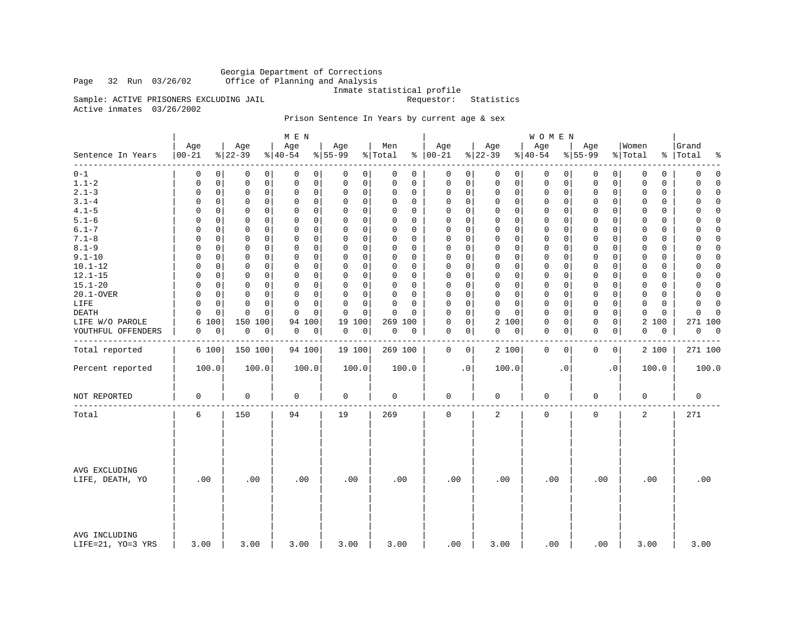Georgia Department of Corrections Office of Planning and Analysis

Inmate statistical profile<br>Requestor: Statistics

Active inmates 03/26/2002

Sample: ACTIVE PRISONERS EXCLUDING JAIL

## Prison Sentence In Years by current age & sex

|                                    |                   |                 | M E N           |                          |                |                   |                 | <b>WOMEN</b>     |                             |                  |                          |
|------------------------------------|-------------------|-----------------|-----------------|--------------------------|----------------|-------------------|-----------------|------------------|-----------------------------|------------------|--------------------------|
| Sentence In Years                  | Age<br>$ 00 - 21$ | Age<br>$ 22-39$ | Age<br>$ 40-54$ | Age<br>$\frac{8}{55-99}$ | Men<br>% Total | Age<br>$% 100-21$ | Age<br>$ 22-39$ | Age<br>$ 40-54$  | Age<br>$8 55-99$            | Women<br>% Total | Grand<br>%   Total<br>နွ |
| --------                           | 0                 | 0               | 0               | 0                        | 0              | 0                 | 0               | 0                | 0                           | 0                | $\mathbf 0$              |
| $0 - 1$                            | 0                 | 0               | 0               | 0                        | 0              | 0                 | 0               | 0                | 0                           | 0                | 0                        |
| $1.1 - 2$                          | 0                 | $\mathbf 0$     | $\mathbf 0$     | 0                        | 0              | $\mathsf 0$       | $\mathbf 0$     | 0                | 0                           | $\mathbf 0$      | $\Omega$                 |
|                                    | 0                 | 0               | 0               | $\mathbf 0$              | 0              | 0                 | $\mathbf 0$     | 0                | 0                           | 0                | 0                        |
| $2.1 - 3$                          | $\mathbf 0$       | $\mathbf 0$     | $\mathsf 0$     | 0                        | $\mathbf 0$    | 0                 | $\mathbf 0$     | 0                | $\mathbf 0$                 | 0                | $\Omega$                 |
|                                    | 0                 | 0               | $\mathbf 0$     | 0                        | 0              | 0                 | 0               | 0                | 0                           | 0                | $\Omega$                 |
| $3.1 - 4$                          | $\Omega$          | $\Omega$        | $\Omega$        | $\mathbf 0$              | $\Omega$       | 0                 | $\mathbf 0$     | 0                | $\mathbf 0$                 | 0                | $\Omega$                 |
|                                    | $\Omega$          | 0               | $\Omega$        | 0                        | 0              | 0                 | $\mathbf 0$     | 0                | 0                           | $\Omega$         | O                        |
| $4.1 - 5$                          | 0                 | 0               | $\mathbf 0$     | 0                        | $\Omega$       | $\mathsf 0$       | $\mathbf 0$     | 0                | $\mathsf{O}$                | $\mathbf 0$      | $\Omega$                 |
|                                    | $\Omega$          | 0               | 0               | 0                        | 0              | 0                 | $\mathbf 0$     | 0                | 0                           | 0                | 0                        |
| $5.1 - 6$                          | $\Omega$          | 0               | 0               | 0                        | $\Omega$       | $\Omega$          | $\mathbf 0$     | 0                | $\mathbf 0$                 | 0                | $\Omega$                 |
|                                    | $\Omega$          | $\Omega$        | $\Omega$        | 0                        | $\Omega$       | 0                 | 0               | 0                | 0                           | 0                | 0                        |
| $6.1 - 7$                          | $\Omega$          | 0               | $\mathbf 0$     | $\mathbf 0$              | $\Omega$       | $\mathbf 0$       | $\mathbf 0$     | $\mathbf 0$      | $\mathbf 0$                 | $\mathbf 0$      | $\Omega$                 |
|                                    | $\Omega$          | 0               | $\Omega$        | 0                        | 0              | 0                 | $\mathbf 0$     | 0                | $\mathbf 0$                 | $\Omega$         | $\Omega$                 |
| $7.1 - 8$                          | $\Omega$          | $\mathbf 0$     | $\mathbf 0$     | 0                        | $\Omega$       | $\mathbf 0$       | $\mathbf 0$     | 0                | $\mathbf 0$                 | 0                | $\Omega$                 |
|                                    | 0                 | 0               | 0               | 0                        | $\Omega$       | 0                 | $\mathbf 0$     | 0                | 0                           | $\Omega$         | 0                        |
| $8.1 - 9$                          | $\Omega$          | 0               | $\mathbf 0$     | 0                        | $\Omega$       | $\mathbf 0$       | $\mathbf 0$     | 0                | $\mathbf 0$                 | $\mathbf 0$      | $\mathbf 0$              |
|                                    | 0                 | 0               | $\mathbf 0$     | 0                        | 0              | 0                 | 0               | 0                | 0                           | 0                | $\Omega$                 |
| $9.1 - 10$                         | $\Omega$          | $\Omega$        | $\Omega$        | $\mathbf 0$              | $\Omega$       | $\Omega$          | $\mathbf 0$     | 0                | 0                           | $\Omega$         | $\Omega$                 |
|                                    | $\Omega$          | 0               | $\Omega$        | 0                        | $\Omega$       | 0                 | $\mathbf 0$     | 0                | $\Omega$                    | $\Omega$         | O                        |
| $10.1 - 12$                        | 0                 | 0               | $\mathbf 0$     | 0                        | 0              | $\mathsf 0$       | $\mathbf 0$     | 0                | $\mathsf{O}$                | $\mathbf 0$      | $\Omega$                 |
|                                    | 0                 | 0               | 0               | 0                        | 0              | 0                 | 0               | 0                | 0                           | 0                | 0                        |
| $12.1 - 15$                        | 0                 | 0               | 0               | 0                        | 0              | $\Omega$          | $\mathbf 0$     | 0                | $\mathbf 0$                 | $\Omega$         | $\Omega$                 |
|                                    | $\Omega$          | $\mathbf 0$     | 0               | $\mathbf 0$              | $\Omega$       | 0                 | 0               | 0                | 0                           | 0                | 0                        |
| $15.1 - 20$                        | $\Omega$          | 0               | $\mathbf 0$     | $\mathbf 0$              | $\Omega$       | $\mathbf 0$       | $\mathbf 0$     | $\mathbf 0$      | $\mathbf 0$                 | $\mathbf 0$      | $\Omega$                 |
|                                    | $\Omega$          | 0               | $\Omega$        | 0                        | 0              | 0                 | $\mathbf 0$     | 0                | $\mathbf 0$                 | $\mathbf 0$      | $\Omega$                 |
| 20.1-OVER                          | $\Omega$          | $\mathbf 0$     | $\mathbf 0$     | 0                        | 0              | $\mathbf 0$       | $\mathbf 0$     | 0                | $\mathbf 0$                 | 0                | 0                        |
|                                    | 0                 | 0               | 0               | 0                        | $\Omega$       | 0                 | $\mathbf 0$     | 0                | $\mathbf 0$                 | 0                | $\Omega$                 |
| LIFE                               | $\mathbf 0$       | $\mathbf 0$     | $\mathbf 0$     | $\Omega$                 | $\mathbf 0$    | $\mathbf 0$       | $\mathbf 0$     | 0                | $\mathbf 0$                 | $\mathbf 0$      | 0                        |
|                                    | $\Omega$          | $\mathbf 0$     | $\mathbf 0$     | 0                        | $\Omega$       | 0                 | $\mathbf 0$     | 0                | 0                           | $\mathbf 0$      | $\Omega$                 |
| <b>DEATH</b>                       | $\Omega$          | 0               | $\Omega$        | $\Omega$                 | $\Omega$       | $\mathbf 0$       | $\Omega$        | 0                | $\mathbf 0$                 | $\Omega$         | $\Omega$                 |
|                                    | $\Omega$          | $\Omega$        | $\Omega$        | $\Omega$                 | $\Omega$       | $\Omega$          | 0               | 0                | 0                           | 0                | $\Omega$                 |
| LIFE W/O PAROLE                    | 100<br>6          | 150<br>100      | 100<br>94       | 19<br>100                | 269 100        | $\mathsf 0$<br>0  | 2<br>100        | 0<br>0           | $\mathsf{O}$<br>$\mathsf 0$ | 2<br>100         | 271 100                  |
| YOUTHFUL OFFENDERS                 | 0                 | 0               | 0               | 0                        | 0              | 0                 | 0               | 0                | $\mathbf 0$                 | 0                | 0                        |
|                                    | 0                 | 0               | 0               | 0                        | 0              | 0                 | 0               | 0                | 0                           | 0                | 0                        |
|                                    |                   |                 |                 |                          |                |                   |                 |                  |                             |                  |                          |
| Total reported                     | 6 100             | 150 100         | 94 100          | 19 100                   | 269 100        | 0<br>0            | 2 100           | $\mathbf 0$<br>0 | 0<br>0                      | 2 100            | 271 100                  |
| Percent reported                   | 100.0             | 100.0           | 100.0           | 100.0                    | 100.0          | $\cdot$ 0         | 100.0           | $\cdot$ 0        | $\cdot$ 0                   | 100.0            | 100.0                    |
| NOT REPORTED                       | $\mathbf 0$       | $\mathbf 0$     | 0               | $\mathsf 0$              | $\mathbf 0$    | 0                 | $\mathbf 0$     | 0                | $\mathbf 0$                 | 0                | $\mathbf 0$              |
| Total                              | 6                 | 150             | 94              | 19                       | 269            | $\mathbf 0$       | 2               | 0                | $\mathbf 0$                 | 2                | 271                      |
| AVG EXCLUDING<br>LIFE, DEATH, YO   | .00               | .00             | .00             | .00                      | .00            | .00               | .00             | .00              | .00                         | .00              | .00                      |
| AVG INCLUDING<br>LIFE=21, YO=3 YRS | 3.00              | 3.00            | 3.00            | 3.00                     | 3.00           | .00               | 3.00            | .00              | .00                         | 3.00             | 3.00                     |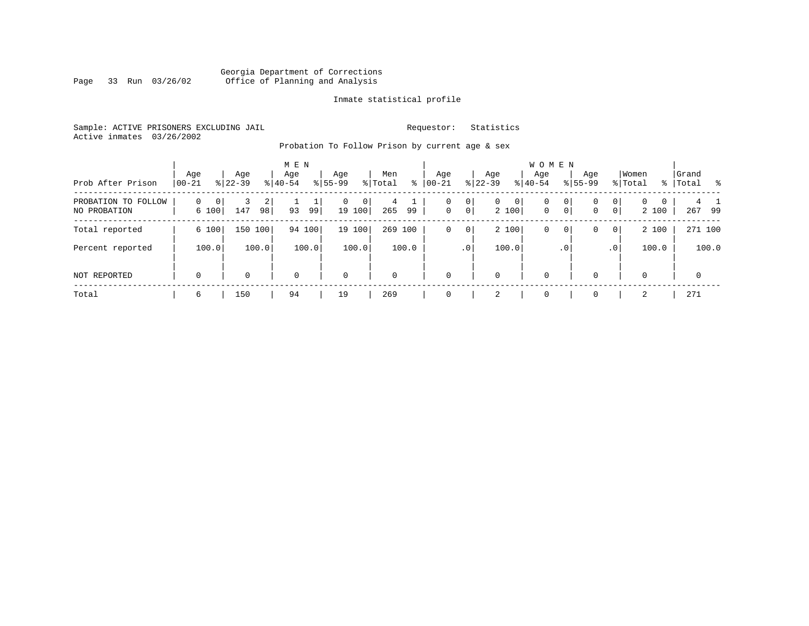## Georgia Department of Corrections Page 33 Run 03/26/02 Office of Planning and Analysis

## Inmate statistical profile

Sample: ACTIVE PRISONERS EXCLUDING JAIL **Requestor:** Statistics Active inmates 03/26/2002

Probation To Follow Prison by current age & sex

| Prob After Prison                      | Age<br>$ 00-21$ | Age<br>$ 22-39 $ | M E N<br>Age<br>$8 40-54$ | Age<br>$8 55-99$                         | Men<br>% Total<br>ွေ | Age<br>$ 00 - 21 $ | Aqe<br>$8$   22-39                                          | <b>WOMEN</b><br>Age<br>$8 40-54$ | Age<br>$8155 - 99$                                   | Women<br>% Total                                           | Grand<br>%   Total % |
|----------------------------------------|-----------------|------------------|---------------------------|------------------------------------------|----------------------|--------------------|-------------------------------------------------------------|----------------------------------|------------------------------------------------------|------------------------------------------------------------|----------------------|
| PROBATION TO<br>FOLLOW<br>NO PROBATION | 0<br>0<br>6 100 | 2<br>147<br>98   | 93<br>99                  | $\mathbf{0}$<br>0 <sup>1</sup><br>19 100 | 4<br>265<br>99       | 0<br>$\mathbf 0$   | $\circ$<br>$\overline{0}$<br>0 <sup>1</sup><br> 0 <br>2 100 | 0<br>$\mathbf 0$                 | 0 <sup>1</sup><br>0<br>0 <sup>1</sup><br>$\mathbf 0$ | $\mathbf{0}$<br> 0 <br>$\Omega$<br>0 <sup>1</sup><br>2 100 | 267<br>99            |
| Total reported                         | 6 100           | 150 100          | 94 100                    | 19 100                                   | 269 100              | 0                  | 2 100<br>$\overline{0}$                                     | 0                                | 0 <sup>1</sup><br>0                                  | 2 100<br>0 <sup>1</sup>                                    | 271 100              |
| Percent reported                       | 100.0           | 100.0            | 100.0                     | 100.0                                    | 100.0                | .0 <sup>1</sup>    | 100.0                                                       |                                  | .0'                                                  | 100.0<br>$\cdot$ 0                                         | 100.0                |
| NOT REPORTED                           | $\mathbf 0$     | $\Omega$         | $\mathbf 0$               | $\mathbf 0$                              | $\Omega$             | $\Omega$           | 0                                                           | $\mathbf{0}$                     | $\Omega$                                             | 0                                                          | $\Omega$             |
| Total                                  | 6               | 150              | 94                        | 19                                       | 269                  |                    | 2                                                           | $\Omega$                         | 0                                                    | 2                                                          | 271                  |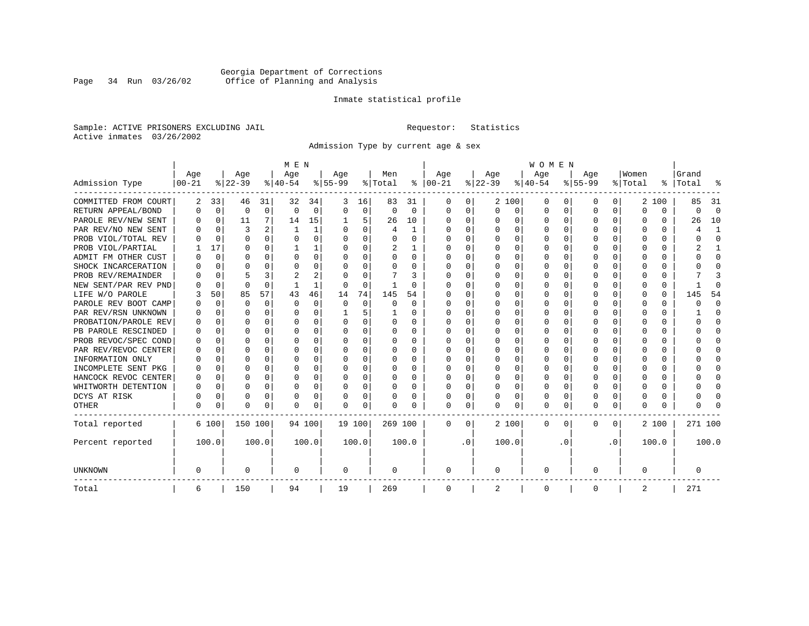## Georgia Department of Corrections<br>Page 34 Run 03/26/02 Office of Planning and Analysis Page 34 Run 03/26/02 Office of Planning and Analysis

## Inmate statistical profile

Sample: ACTIVE PRISONERS EXCLUDING JAIL **Requestor:** Statistics Active inmates 03/26/2002

Admission Type by current age & sex

|                      |           |             |           |          | M E N     |          |           |          |          |          |               |           |          |          | <b>WOMEN</b> |          |              |              |          |          |           |          |
|----------------------|-----------|-------------|-----------|----------|-----------|----------|-----------|----------|----------|----------|---------------|-----------|----------|----------|--------------|----------|--------------|--------------|----------|----------|-----------|----------|
|                      | Age       |             | Age       |          | Age       |          | Age       |          | Men      |          | Age           |           | Age      |          | Age          |          | Age          |              | Women    |          | Grand     |          |
| Admission Type       | $00 - 21$ |             | $ 22-39 $ |          | $8 40-54$ |          | $8 55-99$ |          | % Total  |          | $8   00 - 21$ |           | $ 22-39$ |          | $ 40-54 $    |          | $8 55-99$    |              | % Total  |          | %   Total | န္       |
| COMMITTED FROM COURT | 2         | 33          | 46        | 31       | 32        | 34       |           | 16       | 83       | 31       | $\Omega$      | 0         |          | 2 100    | 0            | O        | 0            | 0            |          | 2 100    | 85        | 31       |
| RETURN APPEAL/BOND   | 0         | $\Omega$    | $\Omega$  | $\Omega$ | $\Omega$  | $\Omega$ | ∩         | $\Omega$ | $\Omega$ | $\Omega$ | $\Omega$      | $\Omega$  | $\Omega$ | $\Omega$ | 0            | $\Omega$ | $\Omega$     | $\Omega$     | O        | $\Omega$ | O         | $\Omega$ |
| PAROLE REV/NEW SENT  | O         | 0           | 11        | 7        | 14        | 15       |           | 5        | 26       | 10       | $\Omega$      | 0         | $\Omega$ | $\Omega$ | O            | $\Omega$ | <sup>0</sup> | $\Omega$     | O        | U        | 26        | 10       |
| PAR REV/NO NEW SENT  | O         | $\Omega$    | ζ         | 2        |           | 1        |           | $\Omega$ | 4        |          | O             | 0         |          | $\Omega$ | U            | $\Omega$ | <sup>0</sup> | 0            |          | U        |           |          |
| PROB VIOL/TOTAL REV  | O         | $\Omega$    | O         | 0        | O         | 0        | $\Omega$  | $\Omega$ | O        | 0        | $\Omega$      | 0         | $\Omega$ | $\Omega$ | 0            | $\Omega$ | <sup>0</sup> | 0            | O        | 0        | ი         | $\Omega$ |
| PROB VIOL/PARTIAL    |           | 17          | O         | 0        |           | 1        | ∩         | $\Omega$ | 2        |          | $\Omega$      | 0         | $\Omega$ | $\Omega$ | 0            | $\Omega$ | <sup>0</sup> | 0            | O        | 0        |           | -1       |
| ADMIT FM OTHER CUST  | U         | 0           | U         | 0        | O         | 0        | ∩         | $\Omega$ | O        | $\Omega$ | $\Omega$      | 0         | $\Omega$ | $\Omega$ | O            | $\Omega$ | ∩            | 0            | U        | 0        | U         | ∩        |
| SHOCK INCARCERATION  |           | $\Omega$    | $\Omega$  | $\Omega$ | O         | 0        |           | $\Omega$ | 0        | 0        | $\Omega$      | 0         | $\Omega$ | $\Omega$ | 0            | $\Omega$ | <sup>0</sup> | $\Omega$     | O        | $\Omega$ |           | ∩        |
| PROB REV/REMAINDER   |           | $\Omega$    |           | 3        |           | 2        |           | $\Omega$ |          | 3        | 0             | 0         | $\Omega$ | $\Omega$ | 0            | $\Omega$ | $\Omega$     | $\Omega$     | $\Omega$ | $\Omega$ |           | 3        |
| NEW SENT/PAR REV PND |           | $\Omega$    | $\Omega$  | $\Omega$ |           | 1        |           | $\Omega$ |          | $\Omega$ | O             | 0         | $\Omega$ | $\Omega$ | 0            | $\Omega$ |              | $\Omega$     |          | 0        |           | ſ        |
| LIFE W/O PAROLE      | 3         | 50          | 85        | 57       | 43        | 46       | 14        | 74       | 145      | 54       | O             | 0         | O        | $\Omega$ | 0            | $\Omega$ | <sup>0</sup> | $\Omega$     | O        | $\Omega$ | 145       | 54       |
| PAROLE REV BOOT CAMP |           | $\Omega$    | O         | $\Omega$ | $\Omega$  | $\Omega$ | $\Omega$  | $\Omega$ | O        | $\Omega$ | 0             | 0         | O        | $\Omega$ | 0            | $\Omega$ | O            | $\Omega$     | O        | 0        | ი         | $\Omega$ |
| PAR REV/RSN UNKNOWN  |           | $\Omega$    | U         | $\Omega$ | O         | 0        |           | 5        |          | 0        | n             | 0         | O        | $\Omega$ | 0            | ∩        | O            | $\Omega$     | O        | 0        |           | ∩        |
| PROBATION/PAROLE REV | U         | $\Omega$    | U         | 0        | $\Omega$  | 0        | $\Omega$  | $\Omega$ | 0        | 0        | n             | 0         | O        | $\Omega$ | O            | ∩        | ∩            | 0            | U        | 0        | ∩         | ∩        |
| PB PAROLE RESCINDED  | U         | $\Omega$    | ∩         | $\Omega$ | $\Omega$  | O        | ∩         | $\Omega$ | O        | 0        | $\Omega$      | 0         | ∩        | $\Omega$ | O            | C        | ∩            | 0            | U        | U        |           | ∩        |
| PROB REVOC/SPEC COND | O         | 0           | U         | 0        | n         | 0        |           | $\Omega$ | 0        | U        | $\Omega$      | O         | $\Omega$ | $\Omega$ | U            | C        | ∩            | 0            |          | U        |           | ∩        |
| PAR REV/REVOC CENTER | O         | 0           | U         | 0        | O         | 0        |           | $\Omega$ | 0        | 0        | $\Omega$      | 0         |          | $\Omega$ | 0            | $\Omega$ |              | 0            |          | 0        |           | ∩        |
| INFORMATION ONLY     | U         | 0           | U         | 0        | O         | 0        | ∩         | $\Omega$ | 0        | 0        | $\Omega$      | 0         | $\Omega$ | $\Omega$ | 0            | $\Omega$ | ∩            | <sup>n</sup> | n        | 0        |           | ∩        |
| INCOMPLETE SENT PKG  | U         | 0           | U         | $\Omega$ | n         | 0        | ∩         | $\Omega$ | O        | 0        | ∩             | 0         | $\Omega$ | $\Omega$ | O            | $\Omega$ | ∩            | 0            | U        | 0        |           | ∩        |
| HANCOCK REVOC CENTER | O         | 0           | U         | $\Omega$ | O         | 0        | ∩         | $\Omega$ | O        | 0        | $\Omega$      | 0         | $\Omega$ | $\Omega$ | O            | $\Omega$ | ∩            | $\Omega$     | U        | 0        |           | $\Omega$ |
| WHITWORTH DETENTION  | U         | $\mathbf 0$ | U         | $\Omega$ | $\Omega$  | 0        | ∩         | $\Omega$ | O        | 0        | $\Omega$      | 0         | $\Omega$ | $\Omega$ | O            | $\Omega$ | $\cap$       | $\Omega$     | U        | $\Omega$ |           | $\cap$   |
| DCYS AT RISK         |           | 0           | 0         | $\Omega$ | 0         | 0        |           | 0        | 0        | 0        | $\Omega$      | 0         |          | 0        | 0            | $\Omega$ | 0            | $\Omega$     | O        | $\Omega$ |           | ſ        |
| <b>OTHER</b>         | 0         | 0           | $\Omega$  | 0        | 0         | 0        |           | 0        | 0        | 0        | $\Omega$      | 0         | 0        | 0        | 0            | $\Omega$ | $\Omega$     | $\Omega$     | U        | 0        |           |          |
| Total reported       |           | 6 100       | 150 100   |          | 94 100    |          | 19 100    |          | 269 100  |          | $\Omega$      | 0         |          | 2 100    | 0            | 0        | 0            | 0            |          | 2 100    | 271 100   |          |
| Percent reported     |           | 100.0       |           | 100.0    |           | 100.0    |           | 100.0    |          | 100.0    |               | $\cdot$ 0 |          | 100.0    |              | . 0      |              | $\cdot$ 0    |          | 100.0    |           | 100.0    |
| <b>UNKNOWN</b>       | 0         |             | 0         |          | 0         |          | 0         |          | 0        |          | 0             |           | 0        |          | 0            |          | 0            |              | 0        |          | 0         |          |
| Total                | 6         |             | 150       |          | 94        |          | 19        |          | 269      |          | $\mathbf 0$   |           | 2        |          | 0            |          | 0            |              | 2        |          | 271       |          |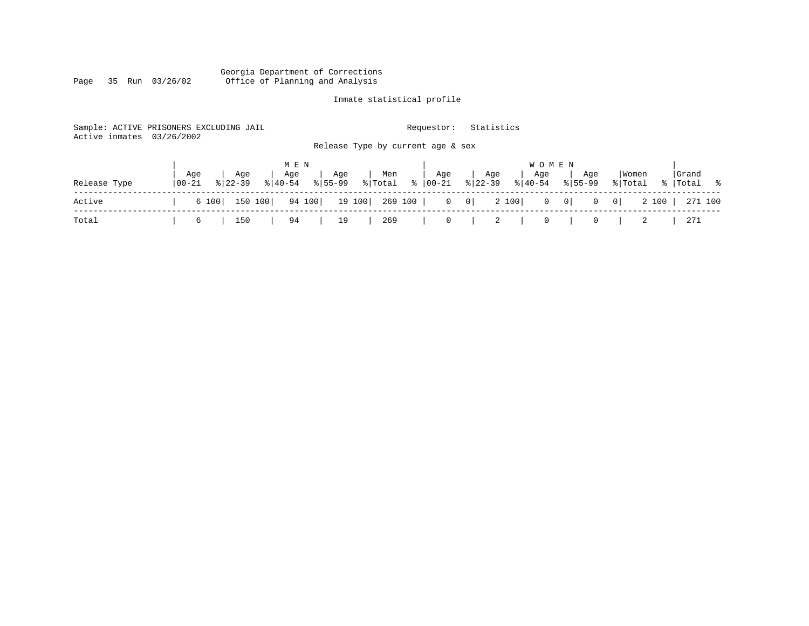#### Georgia Department of Corrections Page 35 Run 03/26/02 Office of Planning and Analysis

## Inmate statistical profile

| Active inmates | Sample: ACTIVE PRISONERS EXCLUDING JAIL<br>03/26/2002 |                                       | Requestor:            | Statistics                 |                                                         |                                               |             |
|----------------|-------------------------------------------------------|---------------------------------------|-----------------------|----------------------------|---------------------------------------------------------|-----------------------------------------------|-------------|
|                |                                                       | Release Type by current age & sex     |                       |                            |                                                         |                                               |             |
|                |                                                       | M E N                                 |                       |                            | <b>WOMEN</b>                                            |                                               |             |
|                | Aqe<br>Aqe                                            | Age<br>Men<br>Age                     | Age                   | Age<br>Aqe                 | Aqe                                                     | Women                                         | Grand       |
| Release Type   | $8122 - 39$<br>  00-21                                | %   Total<br>$8155 - 99$<br>$ 40-54 $ | $\frac{1}{6}$   00-21 | $8 22-39$<br>$8 40-54$     | $8155 - 99$                                             | % Total                                       | %   Total % |
| Active         | 150 100<br>6 100                                      | 94 100<br>19 100  269 100             |                       | 2 100<br>$0 \qquad 0 \mid$ | $\begin{bmatrix} 0 & 0 \end{bmatrix}$<br>$\overline{0}$ | 2 100<br>$\begin{array}{c c} 0 & \end{array}$ | 271 100     |
| Total          | 150<br>6                                              | 269<br>94<br>19                       | 0                     | 2<br>$\overline{0}$        | 0                                                       | 2                                             | 271         |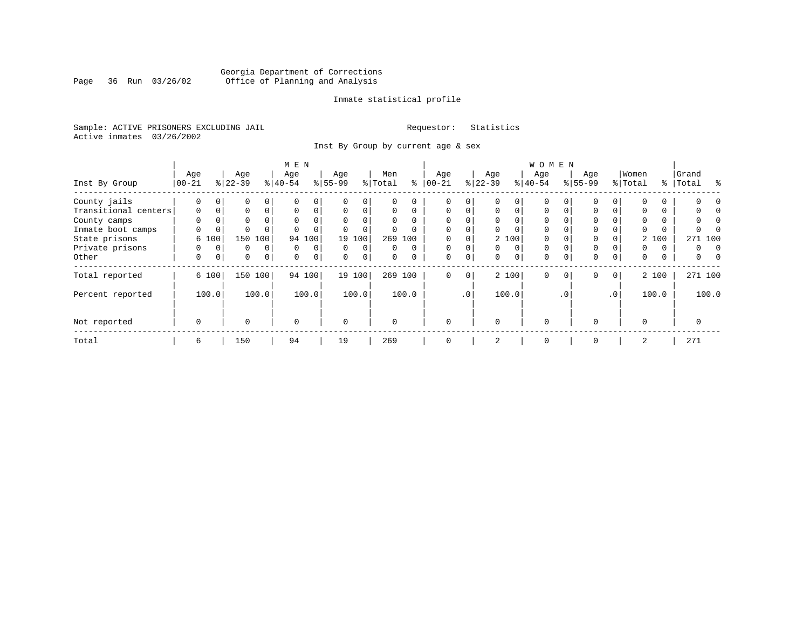## Georgia Department of Corrections<br>Page 36 Run 03/26/02 Office of Planning and Analysis Page 36 Run 03/26/02 Office of Planning and Analysis

## Inmate statistical profile

Sample: ACTIVE PRISONERS EXCLUDING JAIL **Requestor:** Statistics Active inmates 03/26/2002

Inst By Group by current age & sex

|                      |             |          |           |                | M E N       |             |             |             |          |          |             |                 |          |             | <b>WOMEN</b> |          |             |                 |          |       |                |
|----------------------|-------------|----------|-----------|----------------|-------------|-------------|-------------|-------------|----------|----------|-------------|-----------------|----------|-------------|--------------|----------|-------------|-----------------|----------|-------|----------------|
|                      | Age         |          | Age       |                | Age         |             | Age         |             | Men      |          | Age         |                 | Age      |             | Age          |          | Age         |                 | Women    |       | Grand          |
| Inst By Group        | $00 - 21$   |          | $ 22-39 $ |                | $ 40-54 $   |             | $8 55-99$   |             | % Total  | နွ       | $ 00-21 $   |                 | $ 22-39$ |             | $ 40-54 $    |          | $8155 - 99$ |                 | % Total  |       | %   Total<br>ႜ |
| County jails         | 0           | 0        | 0         | 0              |             | 0           |             | $\Omega$    | U        |          |             | 0               |          |             | $\Omega$     |          |             |                 |          |       |                |
| Transitional centers | $\mathbf 0$ | 0        | 0         | $\Omega$       | $\Omega$    | 0           | $\Omega$    | $\Omega$    | 0        | $\Omega$ | $\mathbf 0$ | $\Omega$        | 0        | $\mathbf 0$ | $\Omega$     | $\Omega$ | $\Omega$    |                 |          |       |                |
| County camps         | $\Omega$    |          | 0         |                | $\Omega$    | 0           |             |             | $\Omega$ | $\Omega$ | $\Omega$    |                 | $\Omega$ |             | $\Omega$     |          | $\Omega$    |                 | $\Omega$ |       |                |
| Inmate boot camps    | 0           | 0        | $\Omega$  |                |             |             |             | $\Omega$    | 0        |          | $\mathbf 0$ |                 |          |             | $\Omega$     |          | 0           |                 |          |       |                |
| State prisons        |             | 6 100    | 150       | 100            | 94          | 100         |             | 19 100      |          | 269 100  |             |                 |          | 2 100       | $\Omega$     |          | $\Omega$    |                 |          | 2 100 | 271 100        |
| Private prisons      | $\Omega$    | $\Omega$ | 0         | $\Omega$       | $\Omega$    | 0           | $\Omega$    | $\Omega$    | 0        | $\Omega$ | $\Omega$    | $\Omega$        | $\Omega$ | $\Omega$    | $\Omega$     |          | $\Omega$    |                 | 0        | 0     | 0<br>$\Omega$  |
| Other                | 0           | 0        | 0         | $\overline{0}$ | 0           | $\mathbf 0$ | $\mathbf 0$ | $\mathbf 0$ | 0        | $\Omega$ | $\mathbf 0$ | $\mathbf 0$     | 0        | 0           | $\mathbf 0$  | $\Omega$ | $\mathbf 0$ | 0               | 0        | 0     | 0              |
| Total reported       |             | 6 100    |           | 150 100        |             | 94 100      |             | 19 100      |          | 269 100  | $\mathbf 0$ | 0               |          | 2 100       | $\Omega$     | $\Omega$ | $\Omega$    | 0 <sup>1</sup>  |          | 2 100 | 271 100        |
| Percent reported     |             | 100.0    |           | 100.0          |             | 100.0       |             | 100.0       |          | 100.0    |             | .0 <sup>1</sup> |          | 100.0       |              | . 0      |             | .0 <sup>1</sup> |          | 100.0 | 100.0          |
| Not reported         | $\mathbf 0$ |          | $\Omega$  |                | $\mathbf 0$ |             | $\Omega$    |             | $\Omega$ |          | $\Omega$    |                 | $\Omega$ |             | $\mathbf 0$  |          | $\Omega$    |                 | $\Omega$ |       | 0              |
| Total                | 6           |          | 150       |                | 94          |             | 19          |             | 269      |          | 0           |                 | 2        |             | $\mathbf 0$  |          | 0           |                 | 2        |       | 271            |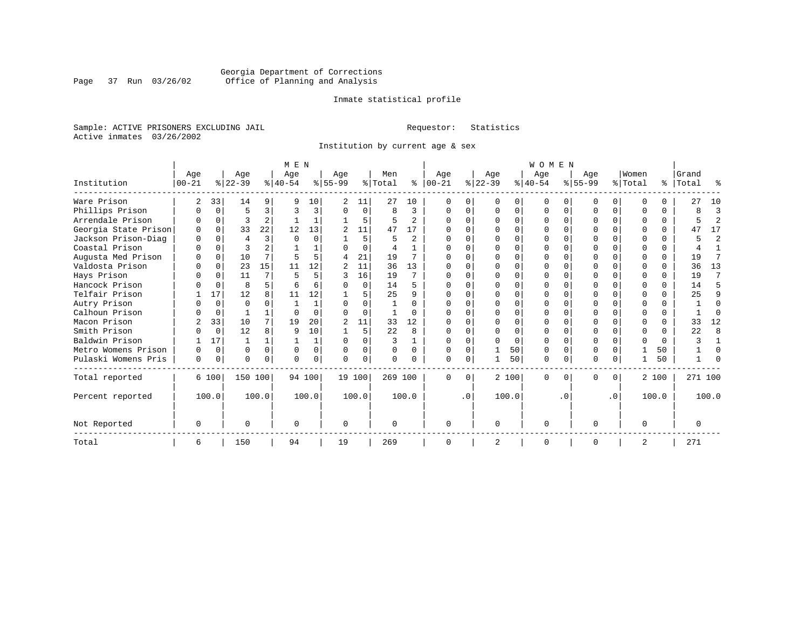## Georgia Department of Corrections<br>Page 37 Run 03/26/02 Office of Planning and Analysis Page 37 Run 03/26/02 Office of Planning and Analysis

## Inmate statistical profile

Sample: ACTIVE PRISONERS EXCLUDING JAIL **Requestor:** Statistics Active inmates 03/26/2002

Institution by current age & sex

|                      |          |          |           |                | M E N     |             |                |          |          |                |          |           |              |        | <b>WOMEN</b> |           |           |           |                |          |           |                |
|----------------------|----------|----------|-----------|----------------|-----------|-------------|----------------|----------|----------|----------------|----------|-----------|--------------|--------|--------------|-----------|-----------|-----------|----------------|----------|-----------|----------------|
|                      | Age      |          | Age       |                | Age       |             | Age            |          | Men      |                | Age      |           | Age          |        | Age          |           | Aqe       |           | Women          |          | Grand     |                |
| Institution          | 00-21    |          | $ 22-39 $ |                | $8 40-54$ |             | $8 55-99$      |          | % Total  | ႜ              | $ 00-21$ |           | $ 22-39 $    |        | $ 40-54 $    |           | $ 55-99 $ |           | % Total        |          | %   Total | ႜ              |
| Ware Prison          | 2        | 33       | 14        | 9              | q         | 10          | 2              | 11       | 27       | 10             | $\Omega$ |           | 0            | 0      | $\mathbf 0$  | $\Omega$  | O         | $\Omega$  | $\Omega$       | 0        | 27        | 10             |
| Phillips Prison      |          | $\Omega$ | 5         | 3              | 3         | 3           | $\Omega$       | 0        | 8        | 3              | ∩        |           | <sup>0</sup> | 0      | $\Omega$     | $\Omega$  | O         | $\Omega$  | $\Omega$       | $\Omega$ | ጸ         | 3              |
| Arrendale Prison     |          | $\Omega$ | ς         | $\overline{a}$ |           |             |                | 5        | 5        | $\mathfrak{D}$ |          |           | ∩            | 0      | ∩            | $\Omega$  |           | 0         | ∩              | $\Omega$ |           | $\overline{2}$ |
| Georgia State Prison |          | $\Omega$ | 33        | 22             | 12        | 13          | 2              | 11       | 47       | 17             |          |           |              | $\cap$ |              | $\Omega$  |           | $\Omega$  | $\Omega$       | $\Omega$ | 47        | 17             |
| Jackson Prison-Diag  | $\cap$   | $\Omega$ | 4         | 3              | $\Omega$  | $\Omega$    |                | 5        |          | $\overline{a}$ |          |           |              | U      |              | ∩         |           | U         | $\Omega$       | $\Omega$ |           | $\overline{2}$ |
| Coastal Prison       |          | $\Omega$ |           |                |           |             |                | $\Omega$ | 4        | 1              |          |           |              |        |              |           |           |           | $\Omega$       | $\Omega$ |           |                |
| Augusta Med Prison   |          | $\Omega$ | 10        |                | 5         | 5.          | 4              | 21       | 19       |                |          |           | ∩            | U      | ∩            | $\cap$    |           | 0         | ∩              | $\Omega$ | 19        |                |
| Valdosta Prison      |          | $\Omega$ | 23        | 15             | 11        | 12          | 2              | 11       | 36       | 13             |          |           |              | U      |              |           |           |           | ∩              | 0        | 36        | 13             |
| Hays Prison          |          | $\Omega$ | 11        | 7              | 5         | 5           |                | 16       | 19       | 7              |          |           |              | 0      |              | $\Omega$  |           | 0         | $\Omega$       | $\Omega$ | 19        | 7              |
| Hancock Prison       |          | $\Omega$ | 8         | 5.             |           | б.          |                | $\Omega$ | 14       | 5              |          |           | $\cap$       | U      |              | $\cap$    | $\cap$    | U         | $\Omega$       | $\Omega$ | 14        | 5              |
| Telfair Prison       |          | 17       | 12        | 8              | 11        | 12          |                | 5        | 25       | 9              |          |           |              |        |              |           |           |           | ∩              | $\Omega$ | 25        |                |
| Autry Prison         |          | $\Omega$ | $\Omega$  |                |           |             |                | 0        |          | $\Omega$       |          |           |              | C.     |              |           |           |           | ∩              | 0        |           |                |
| Calhoun Prison       |          | $\Omega$ |           |                | $\cap$    | $\cap$      | U              | $\Omega$ |          | $\Omega$       | U        |           | <sup>0</sup> | 0      |              |           | U         | U         | $\Omega$       | $\Omega$ |           |                |
| Macon Prison         |          | 33       | 10        | 7 <sup>1</sup> | 19        | 20          | $\mathfrak{D}$ | 11       | 33       | 12             |          |           | $\Omega$     | 0      |              | $\Omega$  |           | 0         | $\Omega$       | $\Omega$ | 33        | 12             |
| Smith Prison         |          | $\Omega$ | 12        | 8              | q         | 10          |                | 5        | 22       | 8              |          |           | <sup>0</sup> | $\cap$ |              | $\cap$    | U         | 0         | $\Omega$       | $\Omega$ | 22        | 8              |
| Baldwin Prison       |          | 17       |           |                |           | $\mathbf 1$ | U              |          | 3        | $\mathbf{1}$   |          |           |              | O      | ∩            |           |           |           | $\Omega$       | $\Omega$ |           |                |
| Metro Womens Prison  |          | $\Omega$ | O         | $\Omega$       | $\Omega$  | 0           | $\Omega$       | 0        | 0        | $\Omega$       |          |           |              | 50     | $\Omega$     | $\Omega$  | O         | 0         |                | 50       |           |                |
| Pulaski Womens Pris  | $\Omega$ | 0        | U         | $\Omega$       | $\cap$    | $\Omega$    | U              | 0        | $\Omega$ |                | $\cap$   |           |              | 50     | $\Omega$     | 0         | $\Omega$  | 0         |                | 50       |           |                |
| Total reported       |          | 6 100    | 150 100   |                |           | 94 100      | 19 100         |          | 269 100  |                | $\Omega$ | $\Omega$  |              | 2 100  | $\Omega$     | $\Omega$  | $\Omega$  | $\Omega$  |                | 2 100    | 271 100   |                |
| Percent reported     |          | 100.0    |           | 100.0          |           | 100.0       |                | 100.0    |          | 100.0          |          | $\cdot$ 0 |              | 100.0  |              | $\cdot$ 0 |           | $\cdot$ 0 |                | 100.0    |           | 100.0          |
| Not Reported         | O        |          | U         |                | $\Omega$  |             | 0              |          | $\Omega$ |                | $\Omega$ |           | $\Omega$     |        | $\Omega$     |           | O         |           | $\Omega$       |          |           |                |
| Total                | 6        |          | 150       |                | 94        |             | 19             |          | 269      |                |          |           | 2            |        | $\Omega$     |           | $\Omega$  |           | $\overline{2}$ |          | 271       |                |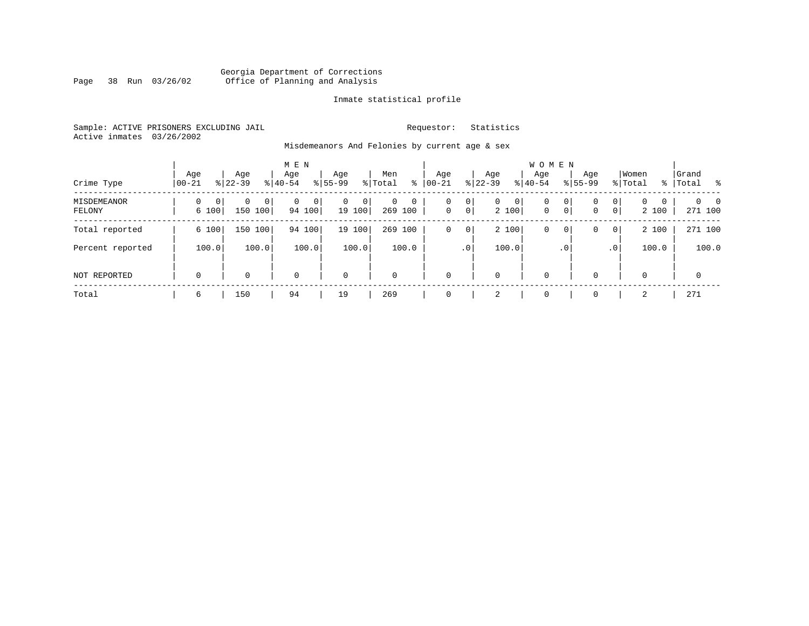## Georgia Department of Corrections Page 38 Run 03/26/02 Office of Planning and Analysis

## Inmate statistical profile

Sample: ACTIVE PRISONERS EXCLUDING JAIL **Requestor:** Statistics Active inmates 03/26/2002

Misdemeanors And Felonies by current age & sex

| Crime Type            | Age<br>$00 - 21$                  | Age<br>$8 22-39$               | M E N<br>Age<br>$8 40-54$ | Age<br>$8155 - 99$          | Men<br>ွေ<br>% Total                  | Age<br>$00 - 21$ | Age<br>$ 22 - 39 $                                | <b>WOMEN</b><br>Aqe<br>$8 40-54$ | Age<br>$8155 - 99$ | Women<br>% Total                                                | Grand<br>%   Total         |
|-----------------------|-----------------------------------|--------------------------------|---------------------------|-----------------------------|---------------------------------------|------------------|---------------------------------------------------|----------------------------------|--------------------|-----------------------------------------------------------------|----------------------------|
| MISDEMEANOR<br>FELONY | $\Omega$<br>$\mathbf{0}$<br>6 100 | 0<br>0 <sup>1</sup><br>150 100 | 0<br>$\Omega$<br>94 100   | $\mathbf{0}$<br>0<br>19 100 | $\Omega$<br>$\mathbf 0$<br>269<br>100 | 0<br>$\mathbf 0$ | 0<br>0<br>$\mathbf{0}$<br>$\overline{0}$<br>2 100 | $\mathbf 0$<br>$\mathbf{0}$      | 0<br>0<br> 0 <br>0 | $\mathbf{0}$<br>$\Omega$<br>$\Omega$<br>$\overline{0}$<br>2 100 | $\Omega$<br>- 0<br>271 100 |
| Total reported        | 6 100                             | 150 100                        | 94 100                    | 19 100                      | 269<br>100                            | 0                | 2 100<br>0                                        | 0                                | 0<br>0             | 2 100<br>$\overline{0}$                                         | 271 100                    |
| Percent reported      | 100.0                             | 100.0                          | 100.0                     | 100.0                       | 100.0                                 |                  | 100.0<br>.0 <sup>1</sup>                          |                                  | . 0                | 100.0<br>.0 <sup>1</sup>                                        | 100.0                      |
| NOT REPORTED          | $\mathbf 0$                       | 0                              | $\mathbf 0$               | $\mathbf 0$                 | $\mathbf 0$                           | $\mathbf 0$      | 0                                                 | $\mathbf 0$                      | $\Omega$           | $\Omega$                                                        | $\mathbf 0$                |
| Total                 | 6                                 | 150                            | 94                        | 19                          | 269                                   | $\Omega$         | 2                                                 | $\mathbf 0$                      | $\Omega$           | 2                                                               | 271                        |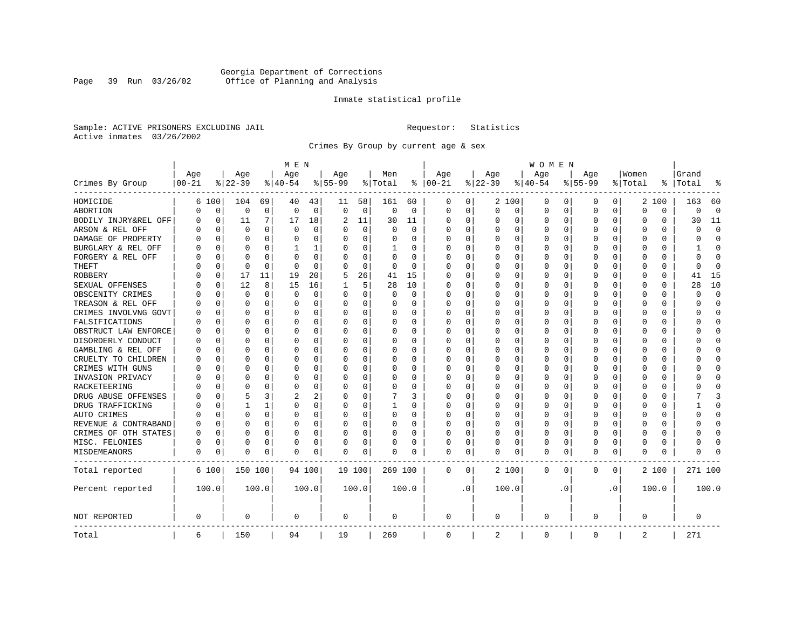## Georgia Department of Corrections<br>Page 39 Run 03/26/02 Office of Planning and Analysis Page 39 Run 03/26/02 Office of Planning and Analysis

## Inmate statistical profile

Sample: ACTIVE PRISONERS EXCLUDING JAIL **Requestor:** Statistics Active inmates 03/26/2002

Crimes By Group by current age & sex

|                      |            |             |          |              | M E N       |          |           |             |          |          |             |           |             |          | W O M E N   |          |           |           |             |          |              |             |
|----------------------|------------|-------------|----------|--------------|-------------|----------|-----------|-------------|----------|----------|-------------|-----------|-------------|----------|-------------|----------|-----------|-----------|-------------|----------|--------------|-------------|
|                      | Age        |             | Age      |              | Age         |          | Age       |             | Men      |          | Age         |           | Age         |          | Age         |          | Age       |           | Women       |          | Grand        |             |
| Crimes By Group      | $ 00 - 21$ |             | $ 22-39$ |              | $ 40-54$    |          | $8 55-99$ |             | % Total  | ႜ        | $ 00-21$    |           | $ 22-39$    |          | $ 40-54$    |          | $8 55-99$ |           | % Total     | ႜ        | Total        | 읏           |
| HOMICIDE             | 6          | 100         | 104      | 69           | 40          | 43       | 11        | 58          | 161      | 60       | 0           | 0         |             | 2 100    | 0           | 0        | 0         | 0         |             | 2 100    | 163          | 60          |
| ABORTION             | U          | $\mathbf 0$ | 0        | $\mathbf 0$  | $\mathbf 0$ | 0        | $\Omega$  | $\mathbf 0$ | 0        | 0        | 0           | 0         | $\mathbf 0$ | 0        | 0           | 0        | $\Omega$  | 0         | $\Omega$    | 0        | $\Omega$     | $\mathbf 0$ |
| BODILY INJRY&REL OFF | 0          | $\mathbf 0$ | 11       | 7            | 17          | 18       | 2         | 11          | 30       | 11       | 0           | 0         | 0           | 0        | 0           | 0        | $\Omega$  | 0         | O           | 0        | 30           | 11          |
| ARSON & REL OFF      | O          | $\Omega$    | $\Omega$ | 0            | $\Omega$    | 0        |           | $\Omega$    | $\Omega$ | $\Omega$ | $\Omega$    | $\Omega$  | 0           | 0        | $\Omega$    | $\Omega$ | $\Omega$  | $\Omega$  | O           | 0        | $\Omega$     | $\Omega$    |
| DAMAGE OF PROPERTY   | U          | $\Omega$    | $\Omega$ | 0            | $\Omega$    | 0        | O         | $\Omega$    | 0        | 0        | $\Omega$    | 0         | $\Omega$    | 0        | $\Omega$    | $\Omega$ | $\Omega$  | $\Omega$  | C           | 0        | $\Omega$     | $\Omega$    |
| BURGLARY & REL OFF   |            | $\Omega$    | $\Omega$ | $\Omega$     | 1           | 1        |           | $\Omega$    | 1        | 0        | $\Omega$    | $\Omega$  | 0           | $\Omega$ | 0           | $\Omega$ | $\Omega$  | $\Omega$  | O           | $\Omega$ |              | $\Omega$    |
| FORGERY & REL OFF    |            | $\Omega$    | $\Omega$ | $\Omega$     | $\Omega$    | 0        |           | $\Omega$    | 0        | O        | O           | $\Omega$  | 0           | $\Omega$ | 0           | $\Omega$ | $\Omega$  | $\Omega$  | C           | 0        | U            | $\bigcap$   |
| THEFT                |            | 0           | $\Omega$ | $\Omega$     | $\Omega$    | $\Omega$ |           | 0           | 0        | $\Omega$ | $\Omega$    | 0         | U           | O        | U           | 0        | $\Omega$  | $\Omega$  | C           | 0        | <sup>0</sup> | $\Omega$    |
| <b>ROBBERY</b>       | U          | 0           | 17       | 11           | 19          | 20       |           | 26          | 41       | 15       | $\Omega$    | 0         | 0           | O        | 0           | 0        | $\Omega$  | $\Omega$  | C           | 0        | 41           | 15          |
| SEXUAL OFFENSES      | U          | $\Omega$    | 12       | 8            | 15          | 16       |           | 5           | 28       | 10       | $\Omega$    | 0         | U           | O        | $\Omega$    | $\Omega$ | $\Omega$  | $\Omega$  | C           | U        | 28           | 10          |
| OBSCENITY CRIMES     |            | $\Omega$    | $\Omega$ | 0            | 0           | 0        | $\Omega$  | 0           | 0        | 0        | $\Omega$    | 0         | U           | O        | 0           | $\Omega$ | $\Omega$  | $\Omega$  | C           | 0        | <sup>0</sup> | $\mathbf 0$ |
| TREASON & REL OFF    |            | $\mathbf 0$ | $\Omega$ | 0            | 0           | 0        | $\Omega$  | 0           | 0        | 0        | $\Omega$    | 0         | 0           | 0        | 0           | 0        | $\Omega$  | 0         | O           | 0        | O            | $\mathbf 0$ |
| CRIMES INVOLVNG GOVT |            | $\Omega$    | $\Omega$ | $\Omega$     | 0           | 0        |           | 0           | 0        | $\Omega$ | $\Omega$    | $\Omega$  | $\Omega$    | $\Omega$ | 0           | $\Omega$ | $\Omega$  | $\Omega$  | $\Omega$    | 0        | U            | $\Omega$    |
| FALSIFICATIONS       | O          | $\Omega$    | $\Omega$ | $\Omega$     | $\Omega$    | 0        | ∩         | 0           | 0        | 0        | $\Omega$    | 0         | 0           | $\Omega$ | 0           | 0        | $\Omega$  | $\Omega$  | O           | 0        | U            | $\mathbf 0$ |
| OBSTRUCT LAW ENFORCE | U          | $\Omega$    | $\Omega$ | 0            | 0           | 0        |           | 0           | 0        | 0        | $\Omega$    | 0         | 0           | $\Omega$ | 0           | 0        | $\Omega$  | 0         | C           | 0        |              | $\mathbf 0$ |
| DISORDERLY CONDUCT   | O          | $\Omega$    | $\Omega$ | <sup>0</sup> | $\Omega$    | 0        |           | $\Omega$    | 0        | O        | $\Omega$    | $\Omega$  | U           | $\Omega$ | $\Omega$    | $\Omega$ | $\Omega$  | $\Omega$  | C           | 0        |              | $\cap$      |
| GAMBLING & REL OFF   | U          | $\Omega$    | O        | 0            | $\Omega$    | 0        | $\Omega$  | $\Omega$    | 0        | 0        | $\Omega$    | $\Omega$  | O           | 0        | U           | O        | O         | $\Omega$  | O           | 0        |              | $\Omega$    |
| CRUELTY TO CHILDREN  | 0          | 0           | $\Omega$ | $\Omega$     | $\Omega$    | 0        |           | $\mathbf 0$ | 0        | 0        | $\Omega$    | $\Omega$  | 0           | 0        | 0           | 0        | $\Omega$  | $\Omega$  | C           | 0        |              | $\Omega$    |
| CRIMES WITH GUNS     | Ω          | $\Omega$    | $\Omega$ | 0            | $\Omega$    | 0        |           | $\Omega$    | 0        | O        | $\Omega$    | $\Omega$  | U           | O        | U           | $\Omega$ | $\Omega$  | $\Omega$  | C           | 0        |              | $\Omega$    |
| INVASION PRIVACY     | U          | 0           | ∩        | <sup>0</sup> | $\Omega$    | 0        |           | 0           | 0        | 0        | $\Omega$    | $\Omega$  | $\Omega$    | O        | 0           | 0        | O         | $\Omega$  | O           | 0        |              | $\Omega$    |
| RACKETEERING         |            | $\Omega$    | ∩        | 0            | n           | 0        |           | 0           | 0        | 0        | $\Omega$    | 0         | O           | O        | 0           | $\Omega$ | $\Omega$  | $\Omega$  | O           | 0        |              | $\cap$      |
| DRUG ABUSE OFFENSES  | n          | $\Omega$    | 5        | 3            | 2           | 2        |           | $\Omega$    |          | 3        | $\Omega$    | $\Omega$  | $\Omega$    | $\Omega$ | 0           | $\Omega$ | $\Omega$  | $\Omega$  | $\cap$      | 0        |              | 3           |
| DRUG TRAFFICKING     | Ω          | $\Omega$    |          | 1            | $\Omega$    | 0        | $\Omega$  | 0           | 1        | 0        | $\Omega$    | $\Omega$  | 0           | 0        | 0           | $\Omega$ | $\Omega$  | $\Omega$  | O           | 0        |              | $\Omega$    |
| AUTO CRIMES          |            | $\Omega$    | $\Omega$ | 0            | $\Omega$    | 0        |           | 0           | $\Omega$ | 0        | 0           | 0         | 0           | 0        | 0           | 0        | $\Omega$  | 0         | O           | 0        |              | $\mathbf 0$ |
| REVENUE & CONTRABAND | 0          | $\Omega$    | $\Omega$ | $\Omega$     | 0           | 0        | $\Omega$  | 0           | 0        | $\Omega$ | $\Omega$    | 0         | 0           | 0        | 0           | $\Omega$ | $\Omega$  | 0         | O           | 0        | U            | $\Omega$    |
| CRIMES OF OTH STATES | 0          | $\Omega$    | $\Omega$ | $\Omega$     | $\Omega$    | 0        | $\Omega$  | $\Omega$    | 0        | 0        | $\Omega$    | $\Omega$  | $\Omega$    | $\Omega$ | 0           | $\Omega$ | $\Omega$  | $\Omega$  | $\Omega$    | 0        | U            | $\Omega$    |
| MISC. FELONIES       | 0          | $\Omega$    | $\Omega$ | 0            | 0           | 0        |           | 0           | 0        | 0        | $\Omega$    | 0         | 0           | $\Omega$ | 0           | $\Omega$ | $\Omega$  | $\Omega$  | O           | 0        |              | $\bigcap$   |
| MISDEMEANORS         | 0          | 0           | $\Omega$ | 0            | $\Omega$    | 0        | $\Omega$  | 0           | 0        | O        | 0           | 0         | U           | 0        | $\Omega$    | 0        | $\Omega$  | 0         | C           | 0        | Λ            |             |
| Total reported       |            | 6 100       | 150 100  |              |             | 94 100   |           | 19 100      | 269 100  |          | 0           | 0         |             | 2 100    | $\mathbf 0$ | 0        | 0         | 0         |             | 2 100    | 271 100      |             |
| Percent reported     |            | 100.0       |          | 100.0        |             | 100.0    |           | 100.0       |          | 100.0    |             | $\cdot$ 0 |             | 100.0    |             | . 0      |           | $\cdot$ 0 |             | 100.0    |              | 100.0       |
| NOT REPORTED         | 0          |             | 0        |              | 0           |          | 0         |             | 0        |          | 0           |           | $\mathbf 0$ |          | $\mathbf 0$ |          | 0         |           | $\mathbf 0$ |          | 0            |             |
| Total                | 6          |             | 150      |              | 94          |          | 19        |             | 269      |          | $\mathbf 0$ |           | 2           |          | $\mathbf 0$ |          | 0         |           | 2           |          | 271          |             |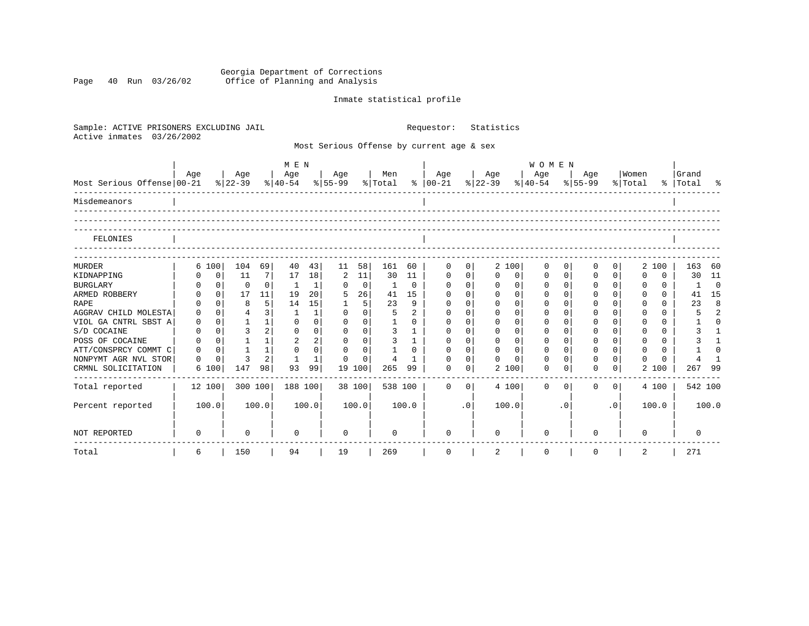Georgia Department of Corrections Page 40 Run 03/26/02 Office of Planning and Analysis

## Inmate statistical profile

| Sample: ACTIVE PRISONERS EXCLUDING JAIL<br>Active inmates<br>03/26/2002 |          |              |              |                | Requestor:     |                | Statistics                      |                |                |                |                                           |             |             |          |                                     |                |          |                |             |          |           |                |
|-------------------------------------------------------------------------|----------|--------------|--------------|----------------|----------------|----------------|---------------------------------|----------------|----------------|----------------|-------------------------------------------|-------------|-------------|----------|-------------------------------------|----------------|----------|----------------|-------------|----------|-----------|----------------|
|                                                                         |          |              |              |                |                |                |                                 |                |                |                | Most Serious Offense by current age & sex |             |             |          |                                     |                |          |                |             |          |           |                |
|                                                                         | Age      |              | Age          |                | M E N<br>  Age |                | Age                             |                | Men            |                | Age                                       |             | Age         |          | WOMEN<br>Age                        |                | Age      |                | Women       |          | Grand     |                |
| Most Serious Offense 00-21                                              |          |              |              |                |                |                | % 22-39 % 40-54 % 55-99 % Total |                |                |                | %   00-21 %   22-39                       |             |             |          | $\frac{8}{40-54}$ $\frac{8}{55-99}$ |                |          |                | % Total     |          | %   Total | ಿ              |
| Misdemeanors                                                            |          |              |              |                |                |                |                                 |                |                |                |                                           |             |             |          |                                     |                |          |                |             |          |           |                |
|                                                                         |          |              |              |                |                |                |                                 |                |                |                |                                           |             |             |          |                                     |                |          |                |             |          |           |                |
| FELONIES                                                                |          |              |              |                |                |                |                                 |                |                |                |                                           |             |             |          |                                     |                |          |                |             |          |           |                |
| <b>MURDER</b>                                                           | 6 100    |              | 104          | 69             | 40             | 43             | 11                              | 58             | 161            | 60             | $\Omega$                                  | $\Omega$    |             | 2 100    | $\Omega$                            | $\overline{0}$ | 0        | 0              |             | 2 100    | 163       | 60             |
| KIDNAPPING                                                              |          | $\mathbf 0$  | 11           | 7              | 17             | 18             | 2                               | 11             | 30             | 11             | $\mathbf 0$                               | $\mathbf 0$ | $\Omega$    | 0        | $\mathbf 0$                         | 0 <sup>1</sup> | $\Omega$ | $\mathbf 0$    | $\mathbf 0$ | $\Omega$ | 30        | 11             |
| <b>BURGLARY</b>                                                         |          | $\mathsf{O}$ | $\mathbf 0$  | $\Omega$       | -1             | 1              | $\Omega$                        | $\overline{0}$ | 1              | $\Omega$       | $\mathbf 0$                               | $\mathbf 0$ | $\mathbf 0$ | $\Omega$ | $\mathbf 0$                         | 0 <sup>1</sup> | $\Omega$ | $\Omega$       | 0           | $\Omega$ | -1        | $\bigcirc$     |
| ARMED ROBBERY                                                           |          | $\Omega$     | 17           | 11             | 19             | 20             | 5                               | 26             | 41             | 15             | $\Omega$                                  | $\Omega$    | $\Omega$    | $\Omega$ | $\Omega$                            | $\Omega$       | O        | $\Omega$       | $\Omega$    | $\Omega$ | 41        | 15             |
| <b>RAPE</b>                                                             |          | $\Omega$     | 8            | 5              | 14             | 15             | 1                               | 5 <sup>1</sup> | 23             | $\mathsf{Q}$   | $\mathbf 0$                               | $\Omega$    | $\Omega$    | $\Omega$ |                                     | $\Omega$       | O        | $\Omega$       | $\Omega$    | $\Omega$ | 23        | $\mathsf{R}$   |
| AGGRAV CHILD MOLESTA                                                    | $\Omega$ | $\Omega$     | 4            | 3 <sup>1</sup> | -1             |                | $\Omega$                        | $\Omega$       | 5              | $\overline{a}$ | $\Omega$                                  | $\Omega$    | $\Omega$    | $\Omega$ |                                     | $\Omega$       | $\Omega$ | $\Omega$       | $\Omega$    | $\Omega$ | 5         | $\overline{a}$ |
| VIOL GA CNTRL SBST A                                                    | 0        | $\Omega$     | $\mathbf{1}$ | $\mathbf{1}$   | $\Omega$       | $\Omega$       | $\Omega$                        | $\Omega$       | $\mathbf{1}$   | $\Omega$       | $\Omega$                                  | $\Omega$    | $\Omega$    | $\Omega$ | $\Omega$                            | $\Omega$       | $\Omega$ | $\Omega$       | $\Omega$    | $\Omega$ |           | $\cap$         |
| S/D COCAINE                                                             | 0        | $\Omega$     | 3            | $\overline{2}$ | $\Omega$       | $\Omega$       | $\Omega$                        | $\Omega$       | 3              | $\mathbf{1}$   | $\Omega$                                  | $\Omega$    | $\Omega$    | $\Omega$ | $\Omega$                            | $\Omega$       | $\Omega$ | $\Omega$       | $\Omega$    | $\Omega$ | 3         |                |
| POSS OF COCAINE                                                         | $\Omega$ | $\Omega$     | $\mathbf{1}$ | 1              | $\overline{a}$ | $\overline{a}$ | $\Omega$                        | $\Omega$       | 3              | $\mathbf{1}$   | $\Omega$                                  | $\Omega$    | $\Omega$    | $\Omega$ | $\Omega$                            | $\Omega$       | $\Omega$ | $\Omega$       | $\Omega$    | $\Omega$ |           | 1              |
| ATT/CONSPRCY COMMT C                                                    | $\Omega$ | $\Omega$     | $\mathbf{1}$ | 1              | $\Omega$       | $\Omega$       | $\Omega$                        | $\Omega$       | $\mathbf{1}$   | $\cap$         | $\Omega$                                  | $\Omega$    | $\Omega$    | $\Omega$ | $\Omega$                            | $\Omega$       | $\Omega$ | $\Omega$       | $\Omega$    | $\Omega$ |           | $\cap$         |
| NONPYMT AGR NVL STOR                                                    | $\Omega$ | $\Omega$     | ζ            | $\overline{2}$ | $\mathbf{1}$   | $\mathbf{1}$   | $\Omega$                        | $\Omega$       | $\overline{4}$ | $\mathbf{1}$   | $\Omega$                                  | $\Omega$    | $\cap$      | $\cap$   | $\cap$                              | $\Omega$       | $\cap$   | $\Omega$       | $\Omega$    | $\Omega$ |           |                |
| CRMNL SOLICITATION                                                      | 6 100    |              | 147          | 98             | 93             | 99             | 19 100                          |                | 265            | 99             | <sup>0</sup>                              | $\Omega$    |             | 2 100    | $\Omega$                            | $\Omega$       | O        | 0              |             | 2 100    | 267       | 99             |
| Total reported                                                          | 12 100   |              | 300 100      |                | 188 100        |                |                                 | 38 100         | 538 100        |                | $\Omega$                                  | $\Omega$    |             | 4 100    | $\Omega$                            | $\Omega$       | $\Omega$ | $\overline{0}$ |             | 4 100    |           | 542 100        |
| Percent reported                                                        | 100.0    |              |              | 100.0          |                | 100.0          |                                 | 100.0          |                | 100.0          |                                           | $\cdot$ 0   | 100.0       |          |                                     | . 0            |          | $\cdot$ 0      |             | 100.0    |           | 100.0          |
| NOT REPORTED                                                            | $\Omega$ |              | $\Omega$     |                | $\Omega$       |                | $\Omega$                        |                | $\cap$         |                | <sup>0</sup>                              |             |             |          |                                     |                | ∩        |                | $\Omega$    |          | $\Omega$  |                |
| Total                                                                   | 6        |              | 150          |                | 94             |                | 19                              |                | 269            |                | 0                                         |             | 2           |          | $\mathbf 0$                         |                | 0        |                | 2           |          | 271       |                |